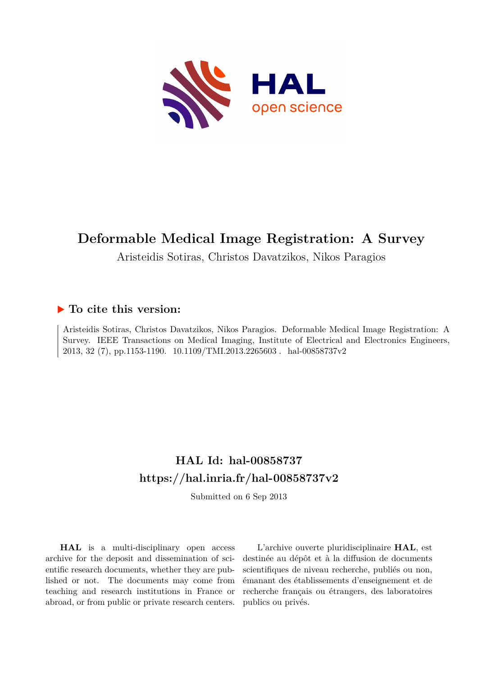

## **Deformable Medical Image Registration: A Survey**

Aristeidis Sotiras, Christos Davatzikos, Nikos Paragios

### **To cite this version:**

Aristeidis Sotiras, Christos Davatzikos, Nikos Paragios. Deformable Medical Image Registration: A Survey. IEEE Transactions on Medical Imaging, Institute of Electrical and Electronics Engineers, 2013, 32 (7), pp.1153-1190.  $10.1109/TMI.2013.2265603$ . hal-00858737v2

### **HAL Id: hal-00858737 <https://hal.inria.fr/hal-00858737v2>**

Submitted on 6 Sep 2013

**HAL** is a multi-disciplinary open access archive for the deposit and dissemination of scientific research documents, whether they are published or not. The documents may come from teaching and research institutions in France or abroad, or from public or private research centers.

L'archive ouverte pluridisciplinaire **HAL**, est destinée au dépôt et à la diffusion de documents scientifiques de niveau recherche, publiés ou non, émanant des établissements d'enseignement et de recherche français ou étrangers, des laboratoires publics ou privés.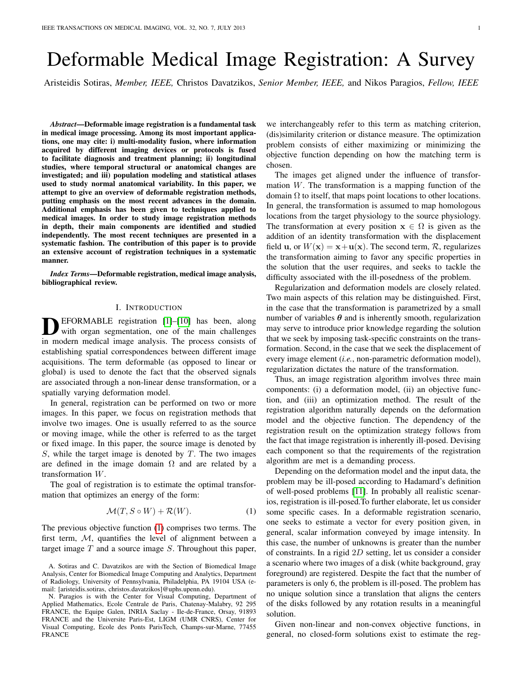# Deformable Medical Image Registration: A Survey

Aristeidis Sotiras, *Member, IEEE,* Christos Davatzikos, *Senior Member, IEEE,* and Nikos Paragios, *Fellow, IEEE*

*Abstract*—Deformable image registration is a fundamental task in medical image processing. Among its most important applications, one may cite: i) multi-modality fusion, where information acquired by different imaging devices or protocols is fused to facilitate diagnosis and treatment planning; ii) longitudinal studies, where temporal structural or anatomical changes are investigated; and iii) population modeling and statistical atlases used to study normal anatomical variability. In this paper, we attempt to give an overview of deformable registration methods, putting emphasis on the most recent advances in the domain. Additional emphasis has been given to techniques applied to medical images. In order to study image registration methods in depth, their main components are identified and studied independently. The most recent techniques are presented in a systematic fashion. The contribution of this paper is to provide an extensive account of registration techniques in a systematic manner.

*Index Terms*—Deformable registration, medical image analysis, bibliographical review.

#### I. INTRODUCTION

**D**EFORMABLE registration [1]-[10] has been, along with organ segmentation, one of the main challenges in modern medical image analysis. The process consists of EFORMABLE registration [1]–[10] has been, along with organ segmentation, one of the main challenges establishing spatial correspondences between different image acquisitions. The term deformable (as opposed to linear or global) is used to denote the fact that the observed signals are associated through a non-linear dense transformation, or a spatially varying deformation model.

In general, registration can be performed on two or more images. In this paper, we focus on registration methods that involve two images. One is usually referred to as the source or moving image, while the other is referred to as the target or fixed image. In this paper, the source image is denoted by S, while the target image is denoted by  $T$ . The two images are defined in the image domain  $\Omega$  and are related by a transformation W.

The goal of registration is to estimate the optimal transformation that optimizes an energy of the form:

$$
\mathcal{M}(T, S \circ W) + \mathcal{R}(W). \tag{1}
$$

The previous objective function (1) comprises two terms. The first term,  $M$ , quantifies the level of alignment between a target image  $T$  and a source image  $S$ . Throughout this paper,

A. Sotiras and C. Davatzikos are with the Section of Biomedical Image Analysis, Center for Biomedical Image Computing and Analytics, Department of Radiology, University of Pennsylvania, Philadelphia, PA 19104 USA (email: [aristeidis.sotiras, christos.davatzikos]@uphs.upenn.edu).

N. Paragios is with the Center for Visual Computing, Department of Applied Mathematics, Ecole Centrale de Paris, Chatenay-Malabry, 92 295 FRANCE, the Equipe Galen, INRIA Saclay - Ile-de-France, Orsay, 91893 FRANCE and the Universite Paris-Est, LIGM (UMR CNRS), Center for Visual Computing, Ecole des Ponts ParisTech, Champs-sur-Marne, 77455 FRANCE

we interchangeably refer to this term as matching criterion, (dis)similarity criterion or distance measure. The optimization problem consists of either maximizing or minimizing the objective function depending on how the matching term is chosen.

The images get aligned under the influence of transformation  $W$ . The transformation is a mapping function of the domain  $\Omega$  to itself, that maps point locations to other locations. In general, the transformation is assumed to map homologous locations from the target physiology to the source physiology. The transformation at every position  $x \in \Omega$  is given as the addition of an identity transformation with the displacement field u, or  $W(x) = x + u(x)$ . The second term, R, regularizes the transformation aiming to favor any specific properties in the solution that the user requires, and seeks to tackle the difficulty associated with the ill-posedness of the problem.

Regularization and deformation models are closely related. Two main aspects of this relation may be distinguished. First, in the case that the transformation is parametrized by a small number of variables  $\theta$  and is inherently smooth, regularization may serve to introduce prior knowledge regarding the solution that we seek by imposing task-specific constraints on the transformation. Second, in the case that we seek the displacement of every image element (*i.e.*, non-parametric deformation model), regularization dictates the nature of the transformation.

Thus, an image registration algorithm involves three main components: (i) a deformation model, (ii) an objective function, and (iii) an optimization method. The result of the registration algorithm naturally depends on the deformation model and the objective function. The dependency of the registration result on the optimization strategy follows from the fact that image registration is inherently ill-posed. Devising each component so that the requirements of the registration algorithm are met is a demanding process.

Depending on the deformation model and the input data, the problem may be ill-posed according to Hadamard's definition of well-posed problems [11]. In probably all realistic scenarios, registration is ill-posed.To further elaborate, let us consider some specific cases. In a deformable registration scenario, one seeks to estimate a vector for every position given, in general, scalar information conveyed by image intensity. In this case, the number of unknowns is greater than the number of constraints. In a rigid 2D setting, let us consider a consider a scenario where two images of a disk (white background, gray foreground) are registered. Despite the fact that the number of parameters is only 6, the problem is ill-posed. The problem has no unique solution since a translation that aligns the centers of the disks followed by any rotation results in a meaningful solution.

Given non-linear and non-convex objective functions, in general, no closed-form solutions exist to estimate the reg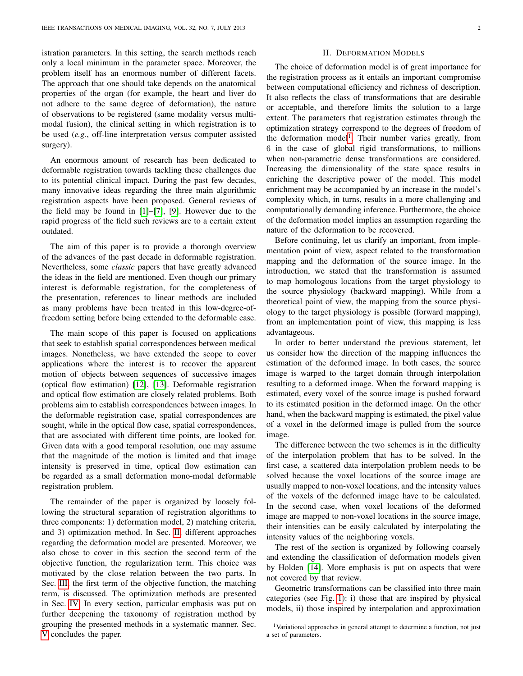istration parameters. In this setting, the search methods reach only a local minimum in the parameter space. Moreover, the problem itself has an enormous number of different facets. The approach that one should take depends on the anatomical properties of the organ (for example, the heart and liver do not adhere to the same degree of deformation), the nature of observations to be registered (same modality versus multimodal fusion), the clinical setting in which registration is to be used (*e.g.*, off-line interpretation versus computer assisted surgery).

An enormous amount of research has been dedicated to deformable registration towards tackling these challenges due to its potential clinical impact. During the past few decades, many innovative ideas regarding the three main algorithmic registration aspects have been proposed. General reviews of the field may be found in [1]–[7], [9]. However due to the rapid progress of the field such reviews are to a certain extent outdated.

The aim of this paper is to provide a thorough overview of the advances of the past decade in deformable registration. Nevertheless, some *classic* papers that have greatly advanced the ideas in the field are mentioned. Even though our primary interest is deformable registration, for the completeness of the presentation, references to linear methods are included as many problems have been treated in this low-degree-offreedom setting before being extended to the deformable case.

The main scope of this paper is focused on applications that seek to establish spatial correspondences between medical images. Nonetheless, we have extended the scope to cover applications where the interest is to recover the apparent motion of objects between sequences of successive images (optical flow estimation) [12], [13]. Deformable registration and optical flow estimation are closely related problems. Both problems aim to establish correspondences between images. In the deformable registration case, spatial correspondences are sought, while in the optical flow case, spatial correspondences, that are associated with different time points, are looked for. Given data with a good temporal resolution, one may assume that the magnitude of the motion is limited and that image intensity is preserved in time, optical flow estimation can be regarded as a small deformation mono-modal deformable registration problem.

The remainder of the paper is organized by loosely following the structural separation of registration algorithms to three components: 1) deformation model, 2) matching criteria, and 3) optimization method. In Sec. II, different approaches regarding the deformation model are presented. Moreover, we also chose to cover in this section the second term of the objective function, the regularization term. This choice was motivated by the close relation between the two parts. In Sec. III, the first term of the objective function, the matching term, is discussed. The optimization methods are presented in Sec. IV. In every section, particular emphasis was put on further deepening the taxonomy of registration method by grouping the presented methods in a systematic manner. Sec. V concludes the paper.

#### II. DEFORMATION MODELS

The choice of deformation model is of great importance for the registration process as it entails an important compromise between computational efficiency and richness of description. It also reflects the class of transformations that are desirable or acceptable, and therefore limits the solution to a large extent. The parameters that registration estimates through the optimization strategy correspond to the degrees of freedom of the deformation model<sup>1</sup>. Their number varies greatly, from 6 in the case of global rigid transformations, to millions when non-parametric dense transformations are considered. Increasing the dimensionality of the state space results in enriching the descriptive power of the model. This model enrichment may be accompanied by an increase in the model's complexity which, in turns, results in a more challenging and computationally demanding inference. Furthermore, the choice of the deformation model implies an assumption regarding the nature of the deformation to be recovered.

Before continuing, let us clarify an important, from implementation point of view, aspect related to the transformation mapping and the deformation of the source image. In the introduction, we stated that the transformation is assumed to map homologous locations from the target physiology to the source physiology (backward mapping). While from a theoretical point of view, the mapping from the source physiology to the target physiology is possible (forward mapping), from an implementation point of view, this mapping is less advantageous.

In order to better understand the previous statement, let us consider how the direction of the mapping influences the estimation of the deformed image. In both cases, the source image is warped to the target domain through interpolation resulting to a deformed image. When the forward mapping is estimated, every voxel of the source image is pushed forward to its estimated position in the deformed image. On the other hand, when the backward mapping is estimated, the pixel value of a voxel in the deformed image is pulled from the source image.

The difference between the two schemes is in the difficulty of the interpolation problem that has to be solved. In the first case, a scattered data interpolation problem needs to be solved because the voxel locations of the source image are usually mapped to non-voxel locations, and the intensity values of the voxels of the deformed image have to be calculated. In the second case, when voxel locations of the deformed image are mapped to non-voxel locations in the source image, their intensities can be easily calculated by interpolating the intensity values of the neighboring voxels.

The rest of the section is organized by following coarsely and extending the classification of deformation models given by Holden [14]. More emphasis is put on aspects that were not covered by that review.

Geometric transformations can be classified into three main categories (see Fig. 1): i) those that are inspired by physical models, ii) those inspired by interpolation and approximation

<sup>&</sup>lt;sup>1</sup>Variational approaches in general attempt to determine a function, not just a set of parameters.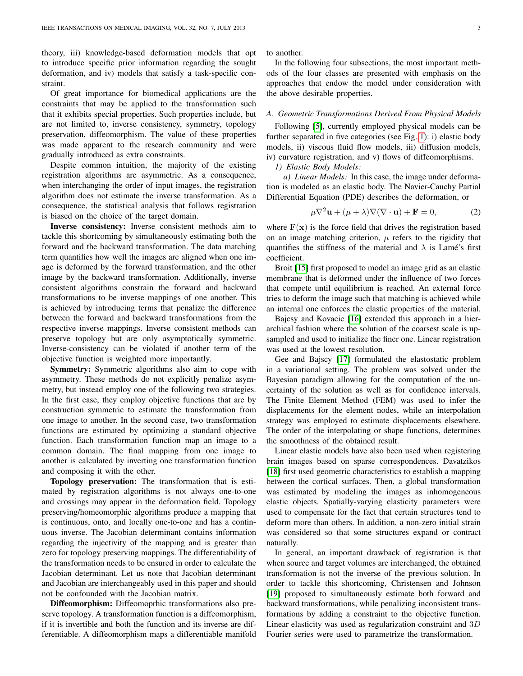theory, iii) knowledge-based deformation models that opt to introduce specific prior information regarding the sought deformation, and iv) models that satisfy a task-specific constraint.

Of great importance for biomedical applications are the constraints that may be applied to the transformation such that it exhibits special properties. Such properties include, but are not limited to, inverse consistency, symmetry, topology preservation, diffeomorphism. The value of these properties was made apparent to the research community and were gradually introduced as extra constraints.

Despite common intuition, the majority of the existing registration algorithms are asymmetric. As a consequence, when interchanging the order of input images, the registration algorithm does not estimate the inverse transformation. As a consequence, the statistical analysis that follows registration is biased on the choice of the target domain.

Inverse consistency: Inverse consistent methods aim to tackle this shortcoming by simultaneously estimating both the forward and the backward transformation. The data matching term quantifies how well the images are aligned when one image is deformed by the forward transformation, and the other image by the backward transformation. Additionally, inverse consistent algorithms constrain the forward and backward transformations to be inverse mappings of one another. This is achieved by introducing terms that penalize the difference between the forward and backward transformations from the respective inverse mappings. Inverse consistent methods can preserve topology but are only asymptotically symmetric. Inverse-consistency can be violated if another term of the objective function is weighted more importantly.

Symmetry: Symmetric algorithms also aim to cope with asymmetry. These methods do not explicitly penalize asymmetry, but instead employ one of the following two strategies. In the first case, they employ objective functions that are by construction symmetric to estimate the transformation from one image to another. In the second case, two transformation functions are estimated by optimizing a standard objective function. Each transformation function map an image to a common domain. The final mapping from one image to another is calculated by inverting one transformation function and composing it with the other.

Topology preservation: The transformation that is estimated by registration algorithms is not always one-to-one and crossings may appear in the deformation field. Topology preserving/homeomorphic algorithms produce a mapping that is continuous, onto, and locally one-to-one and has a continuous inverse. The Jacobian determinant contains information regarding the injectivity of the mapping and is greater than zero for topology preserving mappings. The differentiability of the transformation needs to be ensured in order to calculate the Jacobian determinant. Let us note that Jacobian determinant and Jacobian are interchangeably used in this paper and should not be confounded with the Jacobian matrix.

Diffeomorphism: Diffeomoprhic transformations also preserve topology. A transformation function is a diffeomorphism, if it is invertible and both the function and its inverse are differentiable. A diffeomorphism maps a differentiable manifold to another.

In the following four subsections, the most important methods of the four classes are presented with emphasis on the approaches that endow the model under consideration with the above desirable properties.

#### *A. Geometric Transformations Derived From Physical Models*

Following [5], currently employed physical models can be further separated in five categories (see Fig. 1): i) elastic body models, ii) viscous fluid flow models, iii) diffusion models, iv) curvature registration, and v) flows of diffeomorphisms.

*1) Elastic Body Models:*

*a) Linear Models:* In this case, the image under deformation is modeled as an elastic body. The Navier-Cauchy Partial Differential Equation (PDE) describes the deformation, or

$$
\mu \nabla^2 \mathbf{u} + (\mu + \lambda) \nabla (\nabla \cdot \mathbf{u}) + \mathbf{F} = 0,
$$
 (2)

where  $F(x)$  is the force field that drives the registration based on an image matching criterion,  $\mu$  refers to the rigidity that quantifies the stiffness of the material and  $\lambda$  is Lame's first coefficient.

Broit [15] first proposed to model an image grid as an elastic membrane that is deformed under the influence of two forces that compete until equilibrium is reached. An external force tries to deform the image such that matching is achieved while an internal one enforces the elastic properties of the material.

Bajcsy and Kovacic [16] extended this approach in a hierarchical fashion where the solution of the coarsest scale is upsampled and used to initialize the finer one. Linear registration was used at the lowest resolution.

Gee and Bajscy [17] formulated the elastostatic problem in a variational setting. The problem was solved under the Bayesian paradigm allowing for the computation of the uncertainty of the solution as well as for confidence intervals. The Finite Element Method (FEM) was used to infer the displacements for the element nodes, while an interpolation strategy was employed to estimate displacements elsewhere. The order of the interpolating or shape functions, determines the smoothness of the obtained result.

Linear elastic models have also been used when registering brain images based on sparse correspondences. Davatzikos [18] first used geometric characteristics to establish a mapping between the cortical surfaces. Then, a global transformation was estimated by modeling the images as inhomogeneous elastic objects. Spatially-varying elasticity parameters were used to compensate for the fact that certain structures tend to deform more than others. In addition, a non-zero initial strain was considered so that some structures expand or contract naturally.

In general, an important drawback of registration is that when source and target volumes are interchanged, the obtained transformation is not the inverse of the previous solution. In order to tackle this shortcoming, Christensen and Johnson [19] proposed to simultaneously estimate both forward and backward transformations, while penalizing inconsistent transformations by adding a constraint to the objective function. Linear elasticity was used as regularization constraint and 3D Fourier series were used to parametrize the transformation.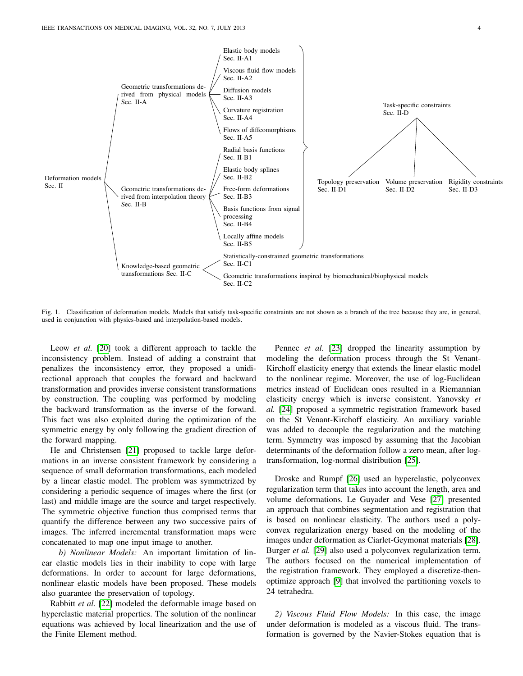

Fig. 1. Classification of deformation models. Models that satisfy task-specific constraints are not shown as a branch of the tree because they are, in general, used in conjunction with physics-based and interpolation-based models.

Leow *et al.* [20] took a different approach to tackle the inconsistency problem. Instead of adding a constraint that penalizes the inconsistency error, they proposed a unidirectional approach that couples the forward and backward transformation and provides inverse consistent transformations by construction. The coupling was performed by modeling the backward transformation as the inverse of the forward. This fact was also exploited during the optimization of the symmetric energy by only following the gradient direction of the forward mapping.

He and Christensen [21] proposed to tackle large deformations in an inverse consistent framework by considering a sequence of small deformation transformations, each modeled by a linear elastic model. The problem was symmetrized by considering a periodic sequence of images where the first (or last) and middle image are the source and target respectively. The symmetric objective function thus comprised terms that quantify the difference between any two successive pairs of images. The inferred incremental transformation maps were concatenated to map one input image to another.

*b) Nonlinear Models:* An important limitation of linear elastic models lies in their inability to cope with large deformations. In order to account for large deformations, nonlinear elastic models have been proposed. These models also guarantee the preservation of topology.

Rabbitt *et al.* [22] modeled the deformable image based on hyperelastic material properties. The solution of the nonlinear equations was achieved by local linearization and the use of the Finite Element method.

Pennec *et al.* [23] dropped the linearity assumption by modeling the deformation process through the St Venant-Kirchoff elasticity energy that extends the linear elastic model to the nonlinear regime. Moreover, the use of log-Euclidean metrics instead of Euclidean ones resulted in a Riemannian elasticity energy which is inverse consistent. Yanovsky *et al.* [24] proposed a symmetric registration framework based on the St Venant-Kirchoff elasticity. An auxiliary variable was added to decouple the regularization and the matching term. Symmetry was imposed by assuming that the Jacobian determinants of the deformation follow a zero mean, after logtransformation, log-normal distribution [25].

Droske and Rumpf [26] used an hyperelastic, polyconvex regularization term that takes into account the length, area and volume deformations. Le Guyader and Vese [27] presented an approach that combines segmentation and registration that is based on nonlinear elasticity. The authors used a polyconvex regularization energy based on the modeling of the images under deformation as Ciarlet-Geymonat materials [28]. Burger *et al.* [29] also used a polyconvex regularization term. The authors focused on the numerical implementation of the registration framework. They employed a discretize-thenoptimize approach [9] that involved the partitioning voxels to 24 tetrahedra.

*2) Viscous Fluid Flow Models:* In this case, the image under deformation is modeled as a viscous fluid. The transformation is governed by the Navier-Stokes equation that is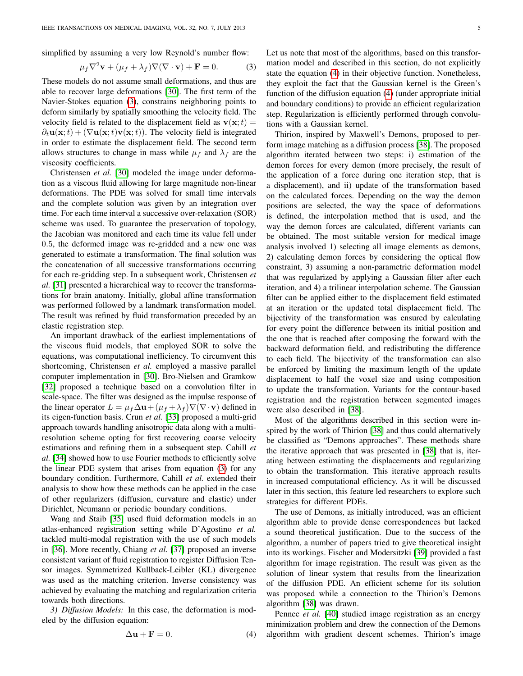simplified by assuming a very low Reynold's number flow:

$$
\mu_f \nabla^2 \mathbf{v} + (\mu_f + \lambda_f) \nabla (\nabla \cdot \mathbf{v}) + \mathbf{F} = 0.
$$
 (3)

These models do not assume small deformations, and thus are able to recover large deformations [30]. The first term of the Navier-Stokes equation (3), constrains neighboring points to deform similarly by spatially smoothing the velocity field. The velocity field is related to the displacement field as  $\mathbf{v}(\mathbf{x};t) =$  $\partial_t$ **u**(**x**; t) + ( $\nabla$ **u**(**x**; t)**v**(**x**; t)). The velocity field is integrated in order to estimate the displacement field. The second term allows structures to change in mass while  $\mu_f$  and  $\lambda_f$  are the viscosity coefficients.

Christensen *et al.* [30] modeled the image under deformation as a viscous fluid allowing for large magnitude non-linear deformations. The PDE was solved for small time intervals and the complete solution was given by an integration over time. For each time interval a successive over-relaxation (SOR) scheme was used. To guarantee the preservation of topology, the Jacobian was monitored and each time its value fell under 0.5, the deformed image was re-gridded and a new one was generated to estimate a transformation. The final solution was the concatenation of all successive transformations occurring for each re-gridding step. In a subsequent work, Christensen *et al.* [31] presented a hierarchical way to recover the transformations for brain anatomy. Initially, global affine transformation was performed followed by a landmark transformation model. The result was refined by fluid transformation preceded by an elastic registration step.

An important drawback of the earliest implementations of the viscous fluid models, that employed SOR to solve the equations, was computational inefficiency. To circumvent this shortcoming, Christensen *et al.* employed a massive parallel computer implementation in [30]. Bro-Nielsen and Gramkow [32] proposed a technique based on a convolution filter in scale-space. The filter was designed as the impulse response of the linear operator  $L = \mu_f \Delta \mathbf{u} + (\mu_f + \lambda_f) \nabla (\nabla \cdot \mathbf{v})$  defined in its eigen-function basis. Crun *et al.* [33] proposed a multi-grid approach towards handling anisotropic data along with a multiresolution scheme opting for first recovering coarse velocity estimations and refining them in a subsequent step. Cahill *et al.* [34] showed how to use Fourier methods to efficiently solve the linear PDE system that arises from equation (3) for any boundary condition. Furthermore, Cahill *et al.* extended their analysis to show how these methods can be applied in the case of other regularizers (diffusion, curvature and elastic) under Dirichlet, Neumann or periodic boundary conditions.

Wang and Staib [35] used fluid deformation models in an atlas-enhanced registration setting while D'Agostino *et al.* tackled multi-modal registration with the use of such models in [36]. More recently, Chiang *et al.* [37] proposed an inverse consistent variant of fluid registration to register Diffusion Tensor images. Symmetrized Kullback-Leibler (KL) divergence was used as the matching criterion. Inverse consistency was achieved by evaluating the matching and regularization criteria towards both directions.

*3) Diffusion Models:* In this case, the deformation is modeled by the diffusion equation:

$$
\Delta \mathbf{u} + \mathbf{F} = 0. \tag{4}
$$

Let us note that most of the algorithms, based on this transformation model and described in this section, do not explicitly state the equation (4) in their objective function. Nonetheless, they exploit the fact that the Gaussian kernel is the Green's function of the diffusion equation (4) (under appropriate initial and boundary conditions) to provide an efficient regularization step. Regularization is efficiently performed through convolutions with a Gaussian kernel.

Thirion, inspired by Maxwell's Demons, proposed to perform image matching as a diffusion process [38]. The proposed algorithm iterated between two steps: i) estimation of the demon forces for every demon (more precisely, the result of the application of a force during one iteration step, that is a displacement), and ii) update of the transformation based on the calculated forces. Depending on the way the demon positions are selected, the way the space of deformations is defined, the interpolation method that is used, and the way the demon forces are calculated, different variants can be obtained. The most suitable version for medical image analysis involved 1) selecting all image elements as demons, 2) calculating demon forces by considering the optical flow constraint, 3) assuming a non-parametric deformation model that was regularized by applying a Gaussian filter after each iteration, and 4) a trilinear interpolation scheme. The Gaussian filter can be applied either to the displacement field estimated at an iteration or the updated total displacement field. The bijectivity of the transformation was ensured by calculating for every point the difference between its initial position and the one that is reached after composing the forward with the backward deformation field, and redistributing the difference to each field. The bijectivity of the transformation can also be enforced by limiting the maximum length of the update displacement to half the voxel size and using composition to update the transformation. Variants for the contour-based registration and the registration between segmented images were also described in [38].

Most of the algorithms described in this section were inspired by the work of Thirion [38] and thus could alternatively be classified as "Demons approaches". These methods share the iterative approach that was presented in [38] that is, iterating between estimating the displacements and regularizing to obtain the transformation. This iterative approach results in increased computational efficiency. As it will be discussed later in this section, this feature led researchers to explore such strategies for different PDEs.

The use of Demons, as initially introduced, was an efficient algorithm able to provide dense correspondences but lacked a sound theoretical justification. Due to the success of the algorithm, a number of papers tried to give theoretical insight into its workings. Fischer and Modersitzki [39] provided a fast algorithm for image registration. The result was given as the solution of linear system that results from the linearization of the diffusion PDE. An efficient scheme for its solution was proposed while a connection to the Thirion's Demons algorithm [38] was drawn.

Pennec *et al.* [40] studied image registration as an energy minimization problem and drew the connection of the Demons algorithm with gradient descent schemes. Thirion's image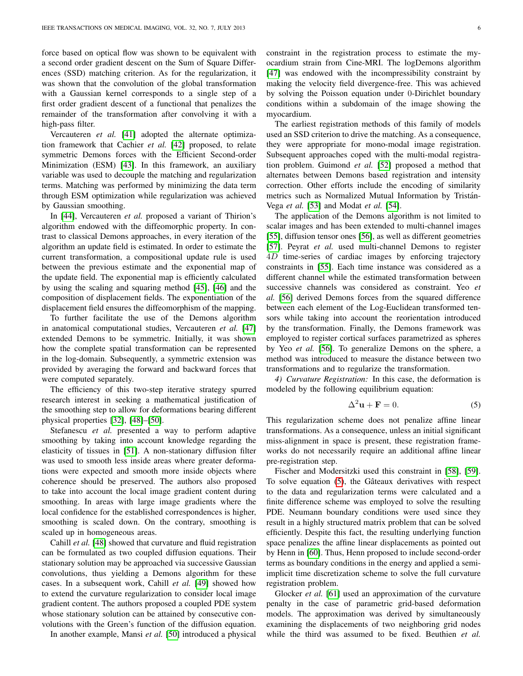force based on optical flow was shown to be equivalent with a second order gradient descent on the Sum of Square Differences (SSD) matching criterion. As for the regularization, it was shown that the convolution of the global transformation with a Gaussian kernel corresponds to a single step of a first order gradient descent of a functional that penalizes the remainder of the transformation after convolving it with a high-pass filter.

Vercauteren *et al.* [41] adopted the alternate optimization framework that Cachier *et al.* [42] proposed, to relate symmetric Demons forces with the Efficient Second-order Minimization (ESM) [43]. In this framework, an auxiliary variable was used to decouple the matching and regularization terms. Matching was performed by minimizing the data term through ESM optimization while regularization was achieved by Gaussian smoothing.

In [44], Vercauteren *et al.* proposed a variant of Thirion's algorithm endowed with the diffeomorphic property. In contrast to classical Demons approaches, in every iteration of the algorithm an update field is estimated. In order to estimate the current transformation, a compositional update rule is used between the previous estimate and the exponential map of the update field. The exponential map is efficiently calculated by using the scaling and squaring method [45], [46] and the composition of displacement fields. The exponentiation of the displacement field ensures the diffeomorphism of the mapping.

To further facilitate the use of the Demons algorithm in anatomical computational studies, Vercauteren *et al.* [47] extended Demons to be symmetric. Initially, it was shown how the complete spatial transformation can be represented in the log-domain. Subsequently, a symmetric extension was provided by averaging the forward and backward forces that were computed separately.

The efficiency of this two-step iterative strategy spurred research interest in seeking a mathematical justification of the smoothing step to allow for deformations bearing different physical properties [32], [48]–[50].

Stefanescu *et al.* presented a way to perform adaptive smoothing by taking into account knowledge regarding the elasticity of tissues in [51]. A non-stationary diffusion filter was used to smooth less inside areas where greater deformations were expected and smooth more inside objects where coherence should be preserved. The authors also proposed to take into account the local image gradient content during smoothing. In areas with large image gradients where the local confidence for the established correspondences is higher, smoothing is scaled down. On the contrary, smoothing is scaled up in homogeneous areas.

Cahill *et al.* [48] showed that curvature and fluid registration can be formulated as two coupled diffusion equations. Their stationary solution may be approached via successive Gaussian convolutions, thus yielding a Demons algorithm for these cases. In a subsequent work, Cahill *et al.* [49] showed how to extend the curvature regularization to consider local image gradient content. The authors proposed a coupled PDE system whose stationary solution can be attained by consecutive convolutions with the Green's function of the diffusion equation.

In another example, Mansi *et al.* [50] introduced a physical

constraint in the registration process to estimate the myocardium strain from Cine-MRI. The logDemons algorithm [47] was endowed with the incompressibility constraint by making the velocity field divergence-free. This was achieved by solving the Poisson equation under 0-Dirichlet boundary conditions within a subdomain of the image showing the myocardium.

The earliest registration methods of this family of models used an SSD criterion to drive the matching. As a consequence, they were appropriate for mono-modal image registration. Subsequent approaches coped with the multi-modal registration problem. Guimond *et al.* [52] proposed a method that alternates between Demons based registration and intensity correction. Other efforts include the encoding of similarity metrics such as Normalized Mutual Information by Tristán-Vega *et al.* [53] and Modat *et al.* [54].

The application of the Demons algorithm is not limited to scalar images and has been extended to multi-channel images [55], diffusion tensor ones [56], as well as different geometries [57]. Peyrat *et al.* used multi-channel Demons to register 4D time-series of cardiac images by enforcing trajectory constraints in [55]. Each time instance was considered as a different channel while the estimated transformation between successive channels was considered as constraint. Yeo *et al.* [56] derived Demons forces from the squared difference between each element of the Log-Euclidean transformed tensors while taking into account the reorientation introduced by the transformation. Finally, the Demons framework was employed to register cortical surfaces parametrized as spheres by Yeo *et al.* [56]. To generalize Demons on the sphere, a method was introduced to measure the distance between two transformations and to regularize the transformation.

*4) Curvature Registration:* In this case, the deformation is modeled by the following equilibrium equation:

$$
\Delta^2 \mathbf{u} + \mathbf{F} = 0. \tag{5}
$$

This regularization scheme does not penalize affine linear transformations. As a consequence, unless an initial significant miss-alignment in space is present, these registration frameworks do not necessarily require an additional affine linear pre-registration step.

Fischer and Modersitzki used this constraint in [58], [59]. To solve equation  $(5)$ , the Gâteaux derivatives with respect to the data and regularization terms were calculated and a finite difference scheme was employed to solve the resulting PDE. Neumann boundary conditions were used since they result in a highly structured matrix problem that can be solved efficiently. Despite this fact, the resulting underlying function space penalizes the affine linear displacements as pointed out by Henn in [60]. Thus, Henn proposed to include second-order terms as boundary conditions in the energy and applied a semiimplicit time discretization scheme to solve the full curvature registration problem.

Glocker *et al.* [61] used an approximation of the curvature penalty in the case of parametric grid-based deformation models. The approximation was derived by simultaneously examining the displacements of two neighboring grid nodes while the third was assumed to be fixed. Beuthien *et al.*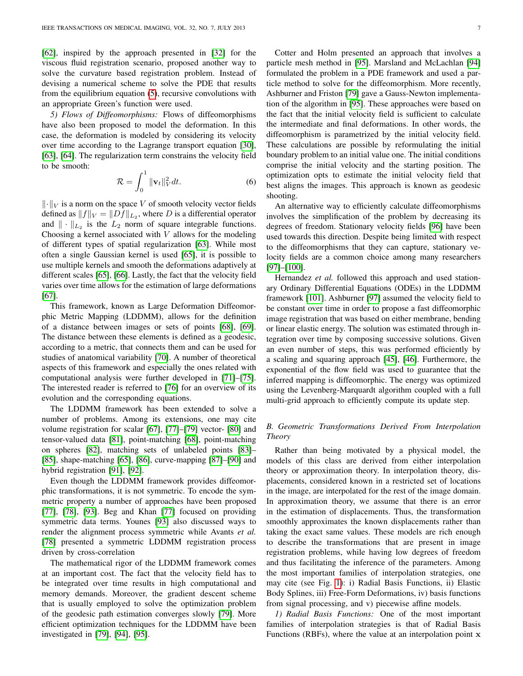[62], inspired by the approach presented in [32] for the viscous fluid registration scenario, proposed another way to solve the curvature based registration problem. Instead of devising a numerical scheme to solve the PDE that results from the equilibrium equation (5), recursive convolutions with an appropriate Green's function were used.

*5) Flows of Diffeomorphisms:* Flows of diffeomorphisms have also been proposed to model the deformation. In this case, the deformation is modeled by considering its velocity over time according to the Lagrange transport equation [30], [63], [64]. The regularization term constrains the velocity field to be smooth:

$$
\mathcal{R} = \int_0^1 \|\mathbf{v}_t\|_V^2 dt.
$$
 (6)

 $\Vert \cdot \Vert_V$  is a norm on the space V of smooth velocity vector fields defined as  $||f||_V = ||Df||_{L_2}$ , where D is a differential operator and  $\|\cdot\|_{L_2}$  is the  $L_2$  norm of square integrable functions. Choosing a kernel associated with  $V$  allows for the modeling of different types of spatial regularization [63]. While most often a single Gaussian kernel is used [65], it is possible to use multiple kernels and smooth the deformations adaptively at different scales [65], [66]. Lastly, the fact that the velocity field varies over time allows for the estimation of large deformations [67].

This framework, known as Large Deformation Diffeomorphic Metric Mapping (LDDMM), allows for the definition of a distance between images or sets of points [68], [69]. The distance between these elements is defined as a geodesic, according to a metric, that connects them and can be used for studies of anatomical variability [70]. A number of theoretical aspects of this framework and especially the ones related with computational analysis were further developed in [71]–[75]. The interested reader is referred to [76] for an overview of its evolution and the corresponding equations.

The LDDMM framework has been extended to solve a number of problems. Among its extensions, one may cite volume registration for scalar [67], [77]–[79] vector- [80] and tensor-valued data [81], point-matching [68], point-matching on spheres [82], matching sets of unlabeled points [83]– [85], shape-matching [65], [86], curve-mapping [87]–[90] and hybrid registration [91], [92].

Even though the LDDMM framework provides diffeomorphic transformations, it is not symmetric. To encode the symmetric property a number of approaches have been proposed [77], [78], [93]. Beg and Khan [77] focused on providing symmetric data terms. Younes [93] also discussed ways to render the alignment process symmetric while Avants *et al.* [78] presented a symmetric LDDMM registration process driven by cross-correlation

The mathematical rigor of the LDDMM framework comes at an important cost. The fact that the velocity field has to be integrated over time results in high computational and memory demands. Moreover, the gradient descent scheme that is usually employed to solve the optimization problem of the geodesic path estimation converges slowly [79]. More efficient optimization techniques for the LDDMM have been investigated in [79], [94], [95].

Cotter and Holm presented an approach that involves a particle mesh method in [95]. Marsland and McLachlan [94] formulated the problem in a PDE framework and used a particle method to solve for the diffeomorphism. More recently, Ashburner and Friston [79] gave a Gauss-Newton implementation of the algorithm in [95]. These approaches were based on the fact that the initial velocity field is sufficient to calculate the intermediate and final deformations. In other words, the diffeomorphism is parametrized by the initial velocity field. These calculations are possible by reformulating the initial boundary problem to an initial value one. The initial conditions comprise the initial velocity and the starting position. The optimization opts to estimate the initial velocity field that best aligns the images. This approach is known as geodesic shooting.

An alternative way to efficiently calculate diffeomorphisms involves the simplification of the problem by decreasing its degrees of freedom. Stationary velocity fields [96] have been used towards this direction. Despite being limited with respect to the diffeomorphisms that they can capture, stationary velocity fields are a common choice among many researchers [97]–[100].

Hernandez *et al.* followed this approach and used stationary Ordinary Differential Equations (ODEs) in the LDDMM framework [101]. Ashburner [97] assumed the velocity field to be constant over time in order to propose a fast diffeomorphic image registration that was based on either membrane, bending or linear elastic energy. The solution was estimated through integration over time by composing successive solutions. Given an even number of steps, this was performed efficiently by a scaling and squaring approach [45], [46]. Furthermore, the exponential of the flow field was used to guarantee that the inferred mapping is diffeomorphic. The energy was optimized using the Levenberg-Marquardt algorithm coupled with a full multi-grid approach to efficiently compute its update step.

#### *B. Geometric Transformations Derived From Interpolation Theory*

Rather than being motivated by a physical model, the models of this class are derived from either interpolation theory or approximation theory. In interpolation theory, displacements, considered known in a restricted set of locations in the image, are interpolated for the rest of the image domain. In approximation theory, we assume that there is an error in the estimation of displacements. Thus, the transformation smoothly approximates the known displacements rather than taking the exact same values. These models are rich enough to describe the transformations that are present in image registration problems, while having low degrees of freedom and thus facilitating the inference of the parameters. Among the most important families of interpolation strategies, one may cite (see Fig. 1): i) Radial Basis Functions, ii) Elastic Body Splines, iii) Free-Form Deformations, iv) basis functions from signal processing, and v) piecewise affine models.

*1) Radial Basis Functions:* One of the most important families of interpolation strategies is that of Radial Basis Functions (RBFs), where the value at an interpolation point x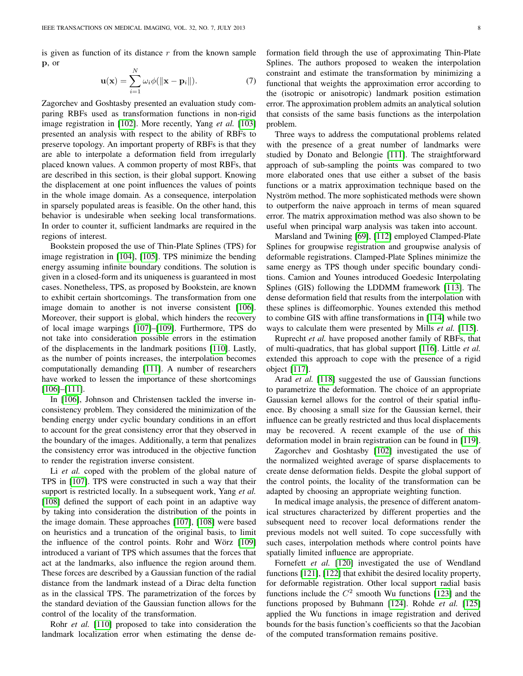is given as function of its distance  $r$  from the known sample p, or  $\mathbf{v}$ 

$$
\mathbf{u}(\mathbf{x}) = \sum_{i=1}^{N} \omega_i \phi(||\mathbf{x} - \mathbf{p}_i||). \tag{7}
$$

Zagorchev and Goshtasby presented an evaluation study comparing RBFs used as transformation functions in non-rigid image registration in [102]. More recently, Yang *et al.* [103] presented an analysis with respect to the ability of RBFs to preserve topology. An important property of RBFs is that they are able to interpolate a deformation field from irregularly placed known values. A common property of most RBFs, that are described in this section, is their global support. Knowing the displacement at one point influences the values of points in the whole image domain. As a consequence, interpolation in sparsely populated areas is feasible. On the other hand, this behavior is undesirable when seeking local transformations. In order to counter it, sufficient landmarks are required in the regions of interest.

Bookstein proposed the use of Thin-Plate Splines (TPS) for image registration in [104], [105]. TPS minimize the bending energy assuming infinite boundary conditions. The solution is given in a closed-form and its uniqueness is guaranteed in most cases. Nonetheless, TPS, as proposed by Bookstein, are known to exhibit certain shortcomings. The transformation from one image domain to another is not inverse consistent [106]. Moreover, their support is global, which hinders the recovery of local image warpings [107]–[109]. Furthermore, TPS do not take into consideration possible errors in the estimation of the displacements in the landmark positions [110]. Lastly, as the number of points increases, the interpolation becomes computationally demanding [111]. A number of researchers have worked to lessen the importance of these shortcomings [106]–[111].

In [106], Johnson and Christensen tackled the inverse inconsistency problem. They considered the minimization of the bending energy under cyclic boundary conditions in an effort to account for the great consistency error that they observed in the boundary of the images. Additionally, a term that penalizes the consistency error was introduced in the objective function to render the registration inverse consistent.

Li *et al.* coped with the problem of the global nature of TPS in [107]. TPS were constructed in such a way that their support is restricted locally. In a subsequent work, Yang *et al.* [108] defined the support of each point in an adaptive way by taking into consideration the distribution of the points in the image domain. These approaches [107], [108] were based on heuristics and a truncation of the original basis, to limit the influence of the control points. Rohr and Wörz [109] introduced a variant of TPS which assumes that the forces that act at the landmarks, also influence the region around them. These forces are described by a Gaussian function of the radial distance from the landmark instead of a Dirac delta function as in the classical TPS. The parametrization of the forces by the standard deviation of the Gaussian function allows for the control of the locality of the transformation.

Rohr *et al.* [110] proposed to take into consideration the landmark localization error when estimating the dense deformation field through the use of approximating Thin-Plate Splines. The authors proposed to weaken the interpolation constraint and estimate the transformation by minimizing a functional that weights the approximation error according to the (isotropic or anisotropic) landmark position estimation error. The approximation problem admits an analytical solution that consists of the same basis functions as the interpolation problem.

Three ways to address the computational problems related with the presence of a great number of landmarks were studied by Donato and Belongie [111]. The straightforward approach of sub-sampling the points was compared to two more elaborated ones that use either a subset of the basis functions or a matrix approximation technique based on the Nyström method. The more sophisticated methods were shown to outperform the naive approach in terms of mean squared error. The matrix approximation method was also shown to be useful when principal warp analysis was taken into account.

Marsland and Twining [69], [112] employed Clamped-Plate Splines for groupwise registration and groupwise analysis of deformable registrations. Clamped-Plate Splines minimize the same energy as TPS though under specific boundary conditions. Camion and Younes introduced Goedesic Interpolating Splines (GIS) following the LDDMM framework [113]. The dense deformation field that results from the interpolation with these splines is diffeomorphic. Younes extended this method to combine GIS with affine transformations in [114] while two ways to calculate them were presented by Mills *et al.* [115].

Ruprecht *et al.* have proposed another family of RBFs, that of multi-quadratics, that has global support [116]. Little *et al.* extended this approach to cope with the presence of a rigid object [117].

Arad *et al.* [118] suggested the use of Gaussian functions to parametrize the deformation. The choice of an appropriate Gaussian kernel allows for the control of their spatial influence. By choosing a small size for the Gaussian kernel, their influence can be greatly restricted and thus local displacements may be recovered. A recent example of the use of this deformation model in brain registration can be found in [119].

Zagorchev and Goshtasby [102] investigated the use of the normalized weighted average of sparse displacements to create dense deformation fields. Despite the global support of the control points, the locality of the transformation can be adapted by choosing an appropriate weighting function.

In medical image analysis, the presence of different anatomical structures characterized by different properties and the subsequent need to recover local deformations render the previous models not well suited. To cope successfully with such cases, interpolation methods where control points have spatially limited influence are appropriate.

Fornefett *et al.* [120] investigated the use of Wendland functions [121], [122] that exhibit the desired locality property, for deformable registration. Other local support radial basis functions include the  $C^2$  smooth Wu functions [123] and the functions proposed by Buhmann [124]. Rohde *et al.* [125] applied the Wu functions in image registration and derived bounds for the basis function's coefficients so that the Jacobian of the computed transformation remains positive.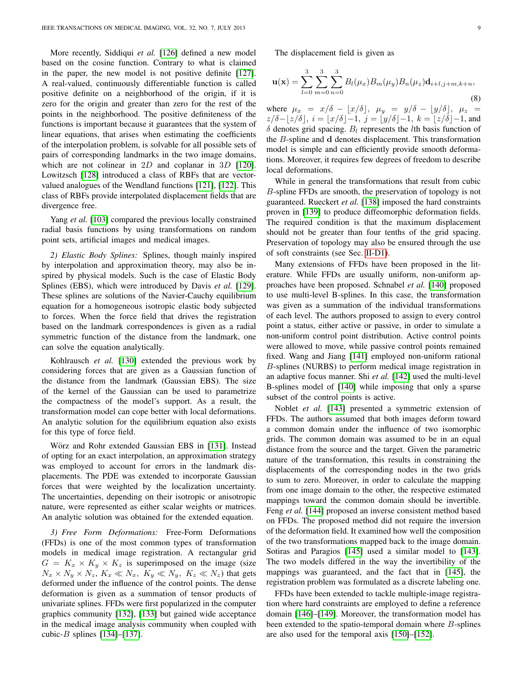More recently, Siddiqui *et al.* [126] defined a new model based on the cosine function. Contrary to what is claimed in the paper, the new model is not positive definite [127]. A real-valued, continuously differentiable function is called positive definite on a neighborhood of the origin, if it is zero for the origin and greater than zero for the rest of the points in the neighborhood. The positive definiteness of the functions is important because it guarantees that the system of linear equations, that arises when estimating the coefficients of the interpolation problem, is solvable for all possible sets of pairs of corresponding landmarks in the two image domains, which are not colinear in  $2D$  and coplanar in  $3D$  [120]. Lowitzsch [128] introduced a class of RBFs that are vectorvalued analogues of the Wendland functions [121], [122]. This class of RBFs provide interpolated displacement fields that are divergence free.

Yang *et al.* [103] compared the previous locally constrained radial basis functions by using transformations on random point sets, artificial images and medical images.

*2) Elastic Body Splines:* Splines, though mainly inspired by interpolation and approximation theory, may also be inspired by physical models. Such is the case of Elastic Body Splines (EBS), which were introduced by Davis *et al.* [129]. These splines are solutions of the Navier-Cauchy equilibrium equation for a homogeneous isotropic elastic body subjected to forces. When the force field that drives the registration based on the landmark correspondences is given as a radial symmetric function of the distance from the landmark, one can solve the equation analytically.

Kohlrausch *et al.* [130] extended the previous work by considering forces that are given as a Gaussian function of the distance from the landmark (Gaussian EBS). The size of the kernel of the Gaussian can be used to parametrize the compactness of the model's support. As a result, the transformation model can cope better with local deformations. An analytic solution for the equilibrium equation also exists for this type of force field.

Wörz and Rohr extended Gaussian EBS in [131]. Instead of opting for an exact interpolation, an approximation strategy was employed to account for errors in the landmark displacements. The PDE was extended to incorporate Gaussian forces that were weighted by the localization uncertainty. The uncertainties, depending on their isotropic or anisotropic nature, were represented as either scalar weights or matrices. An analytic solution was obtained for the extended equation.

*3) Free Form Deformations:* Free-Form Deformations (FFDs) is one of the most common types of transformation models in medical image registration. A rectangular grid  $G = K_x \times K_y \times K_z$  is superimposed on the image (size  $N_x \times N_y \times N_z$ ,  $K_x \ll N_x$ ,  $K_y \ll N_y$ ,  $K_z \ll N_z$ ) that gets deformed under the influence of the control points. The dense deformation is given as a summation of tensor products of univariate splines. FFDs were first popularized in the computer graphics community [132], [133] but gained wide acceptance in the medical image analysis community when coupled with cubic- $B$  splines [134]–[137].

The displacement field is given as

$$
\mathbf{u}(\mathbf{x}) = \sum_{l=0}^{3} \sum_{m=0}^{3} \sum_{n=0}^{3} B_l(\mu_x) B_m(\mu_y) B_n(\mu_z) \mathbf{d}_{i+l,j+m,k+n},
$$
\n(8)

where  $\mu_x = x/\delta - \lfloor x/\delta \rfloor$ ,  $\mu_y = y/\delta - \lfloor y/\delta \rfloor$ ,  $\mu_z =$  $z/\delta - |z/\delta|$ ,  $i = |x/\delta|-1$ ,  $j = |y/\delta|-1$ ,  $k = |z/\delta|-1$ , and  $\delta$  denotes grid spacing.  $B_l$  represents the *l*th basis function of the B-spline and d denotes displacement. This transformation model is simple and can efficiently provide smooth deformations. Moreover, it requires few degrees of freedom to describe local deformations.

While in general the transformations that result from cubic B-spline FFDs are smooth, the preservation of topology is not guaranteed. Rueckert *et al.* [138] imposed the hard constraints proven in [139] to produce diffeomorphic deformation fields. The required condition is that the maximum displacement should not be greater than four tenths of the grid spacing. Preservation of topology may also be ensured through the use of soft constraints (see Sec. II-D1).

Many extensions of FFDs have been proposed in the literature. While FFDs are usually uniform, non-uniform approaches have been proposed. Schnabel *et al.* [140] proposed to use multi-level B-splines. In this case, the transformation was given as a summation of the individual transformations of each level. The authors proposed to assign to every control point a status, either active or passive, in order to simulate a non-uniform control point distribution. Active control points were allowed to move, while passive control points remained fixed. Wang and Jiang [141] employed non-uniform rational B-splines (NURBS) to perform medical image registration in an adaptive focus manner. Shi *et al.* [142] used the multi-level B-splines model of [140] while imposing that only a sparse subset of the control points is active.

Noblet *et al.* [143] presented a symmetric extension of FFDs. The authors assumed that both images deform toward a common domain under the influence of two isomorphic grids. The common domain was assumed to be in an equal distance from the source and the target. Given the parametric nature of the transformation, this results in constraining the displacements of the corresponding nodes in the two grids to sum to zero. Moreover, in order to calculate the mapping from one image domain to the other, the respective estimated mappings toward the common domain should be invertible. Feng *et al.* [144] proposed an inverse consistent method based on FFDs. The proposed method did not require the inversion of the deformation field. It examined how well the composition of the two transformations mapped back to the image domain. Sotiras and Paragios [145] used a similar model to [143]. The two models differed in the way the invertibility of the mappings was guaranteed, and the fact that in [145], the registration problem was formulated as a discrete labeling one.

FFDs have been extended to tackle multiple-image registration where hard constraints are employed to define a reference domain [146]–[149]. Moreover, the transformation model has been extended to the spatio-temporal domain where B-splines are also used for the temporal axis [150]–[152].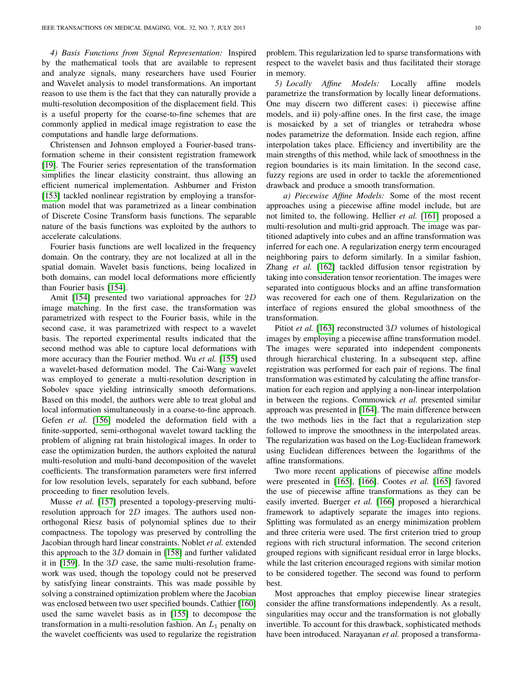*4) Basis Functions from Signal Representation:* Inspired by the mathematical tools that are available to represent and analyze signals, many researchers have used Fourier and Wavelet analysis to model transformations. An important reason to use them is the fact that they can naturally provide a multi-resolution decomposition of the displacement field. This is a useful property for the coarse-to-fine schemes that are commonly applied in medical image registration to ease the computations and handle large deformations.

Christensen and Johnson employed a Fourier-based transformation scheme in their consistent registration framework [19]. The Fourier series representation of the transformation simplifies the linear elasticity constraint, thus allowing an efficient numerical implementation. Ashburner and Friston [153] tackled nonlinear registration by employing a transformation model that was parametrized as a linear combination of Discrete Cosine Transform basis functions. The separable nature of the basis functions was exploited by the authors to accelerate calculations.

Fourier basis functions are well localized in the frequency domain. On the contrary, they are not localized at all in the spatial domain. Wavelet basis functions, being localized in both domains, can model local deformations more efficiently than Fourier basis [154].

Amit [154] presented two variational approaches for 2D image matching. In the first case, the transformation was parametrized with respect to the Fourier basis, while in the second case, it was parametrized with respect to a wavelet basis. The reported experimental results indicated that the second method was able to capture local deformations with more accuracy than the Fourier method. Wu *et al.* [155] used a wavelet-based deformation model. The Cai-Wang wavelet was employed to generate a multi-resolution description in Sobolev space yielding intrinsically smooth deformations. Based on this model, the authors were able to treat global and local information simultaneously in a coarse-to-fine approach. Gefen *et al.* [156] modeled the deformation field with a finite-supported, semi-orthogonal wavelet toward tackling the problem of aligning rat brain histological images. In order to ease the optimization burden, the authors exploited the natural multi-resolution and multi-band decomposition of the wavelet coefficients. The transformation parameters were first inferred for low resolution levels, separately for each subband, before proceeding to finer resolution levels.

Musse *et al.* [157] presented a topology-preserving multiresolution approach for  $2D$  images. The authors used nonorthogonal Riesz basis of polynomial splines due to their compactness. The topology was preserved by controlling the Jacobian through hard linear constraints. Noblet *et al.* extended this approach to the  $3D$  domain in [158] and further validated it in  $[159]$ . In the  $3D$  case, the same multi-resolution framework was used, though the topology could not be preserved by satisfying linear constraints. This was made possible by solving a constrained optimization problem where the Jacobian was enclosed between two user specified bounds. Cathier [160] used the same wavelet basis as in [155] to decompose the transformation in a multi-resolution fashion. An  $L_1$  penalty on the wavelet coefficients was used to regularize the registration problem. This regularization led to sparse transformations with respect to the wavelet basis and thus facilitated their storage in memory.

*5) Locally Affine Models:* Locally affine models parametrize the transformation by locally linear deformations. One may discern two different cases: i) piecewise affine models, and ii) poly-affine ones. In the first case, the image is mosaicked by a set of triangles or tetrahedra whose nodes parametrize the deformation. Inside each region, affine interpolation takes place. Efficiency and invertibility are the main strengths of this method, while lack of smoothness in the region boundaries is its main limitation. In the second case, fuzzy regions are used in order to tackle the aforementioned drawback and produce a smooth transformation.

*a) Piecewise Affine Models:* Some of the most recent approaches using a piecewise affine model include, but are not limited to, the following. Hellier *et al.* [161] proposed a multi-resolution and multi-grid approach. The image was partitioned adaptively into cubes and an affine transformation was inferred for each one. A regularization energy term encouraged neighboring pairs to deform similarly. In a similar fashion, Zhang *et al.* [162] tackled diffusion tensor registration by taking into consideration tensor reorientation. The images were separated into contiguous blocks and an affine transformation was recovered for each one of them. Regularization on the interface of regions ensured the global smoothness of the transformation.

Pitiot *et al.* [163] reconstructed 3D volumes of histological images by employing a piecewise affine transformation model. The images were separated into independent components through hierarchical clustering. In a subsequent step, affine registration was performed for each pair of regions. The final transformation was estimated by calculating the affine transformation for each region and applying a non-linear interpolation in between the regions. Commowick *et al.* presented similar approach was presented in [164]. The main difference between the two methods lies in the fact that a regularization step followed to improve the smoothness in the interpolated areas. The regularization was based on the Log-Euclidean framework using Euclidean differences between the logarithms of the affine transformations.

Two more recent applications of piecewise affine models were presented in [165], [166]. Cootes *et al.* [165] favored the use of piecewise affine transformations as they can be easily inverted. Buerger *et al.* [166] proposed a hierarchical framework to adaptively separate the images into regions. Splitting was formulated as an energy minimization problem and three criteria were used. The first criterion tried to group regions with rich structural information. The second criterion grouped regions with significant residual error in large blocks, while the last criterion encouraged regions with similar motion to be considered together. The second was found to perform best.

Most approaches that employ piecewise linear strategies consider the affine transformations independently. As a result, singularities may occur and the transformation is not globally invertible. To account for this drawback, sophisticated methods have been introduced. Narayanan *et al.* proposed a transforma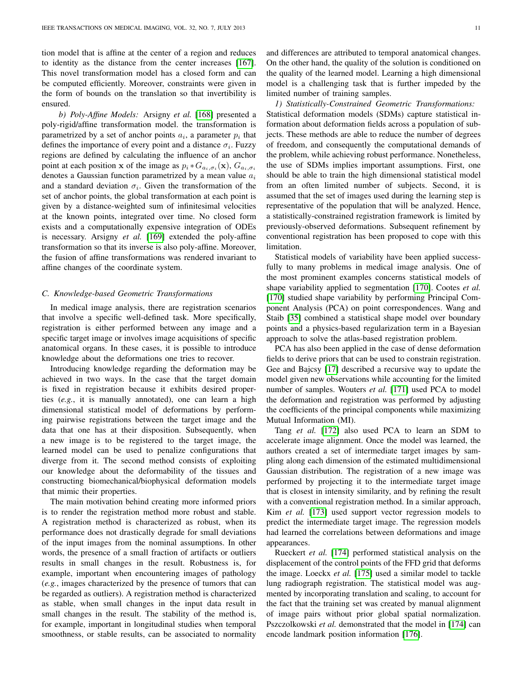tion model that is affine at the center of a region and reduces to identity as the distance from the center increases [167]. This novel transformation model has a closed form and can be computed efficiently. Moreover, constraints were given in the form of bounds on the translation so that invertibility is ensured.

*b) Poly-Affine Models:* Arsigny *et al.* [168] presented a poly-rigid/affine transformation model. the transformation is parametrized by a set of anchor points  $a_i$ , a parameter  $p_i$  that defines the importance of every point and a distance  $\sigma_i$ . Fuzzy regions are defined by calculating the influence of an anchor point at each position x of the image as  $p_i * G_{a_i, \sigma_i}(\mathbf{x})$ ,  $G_{a_i, \sigma_i}$ denotes a Gaussian function parametrized by a mean value  $a_i$ and a standard deviation  $\sigma_i$ . Given the transformation of the set of anchor points, the global transformation at each point is given by a distance-weighted sum of infinitesimal velocities at the known points, integrated over time. No closed form exists and a computationally expensive integration of ODEs is necessary. Arsigny *et al.* [169] extended the poly-affine transformation so that its inverse is also poly-affine. Moreover, the fusion of affine transformations was rendered invariant to affine changes of the coordinate system.

#### *C. Knowledge-based Geometric Transformations*

In medical image analysis, there are registration scenarios that involve a specific well-defined task. More specifically, registration is either performed between any image and a specific target image or involves image acquisitions of specific anatomical organs. In these cases, it is possible to introduce knowledge about the deformations one tries to recover.

Introducing knowledge regarding the deformation may be achieved in two ways. In the case that the target domain is fixed in registration because it exhibits desired properties (*e.g.*, it is manually annotated), one can learn a high dimensional statistical model of deformations by performing pairwise registrations between the target image and the data that one has at their disposition. Subsequently, when a new image is to be registered to the target image, the learned model can be used to penalize configurations that diverge from it. The second method consists of exploiting our knowledge about the deformability of the tissues and constructing biomechanical/biophysical deformation models that mimic their properties.

The main motivation behind creating more informed priors is to render the registration method more robust and stable. A registration method is characterized as robust, when its performance does not drastically degrade for small deviations of the input images from the nominal assumptions. In other words, the presence of a small fraction of artifacts or outliers results in small changes in the result. Robustness is, for example, important when encountering images of pathology (*e.g.*, images characterized by the presence of tumors that can be regarded as outliers). A registration method is characterized as stable, when small changes in the input data result in small changes in the result. The stability of the method is, for example, important in longitudinal studies when temporal smoothness, or stable results, can be associated to normality

and differences are attributed to temporal anatomical changes. On the other hand, the quality of the solution is conditioned on the quality of the learned model. Learning a high dimensional model is a challenging task that is further impeded by the limited number of training samples.

*1) Statistically-Constrained Geometric Transformations:* Statistical deformation models (SDMs) capture statistical information about deformation fields across a population of subjects. These methods are able to reduce the number of degrees of freedom, and consequently the computational demands of the problem, while achieving robust performance. Nonetheless, the use of SDMs implies important assumptions. First, one should be able to train the high dimensional statistical model from an often limited number of subjects. Second, it is assumed that the set of images used during the learning step is representative of the population that will be analyzed. Hence, a statistically-constrained registration framework is limited by previously-observed deformations. Subsequent refinement by conventional registration has been proposed to cope with this limitation.

Statistical models of variability have been applied successfully to many problems in medical image analysis. One of the most prominent examples concerns statistical models of shape variability applied to segmentation [170]. Cootes *et al.* [170] studied shape variability by performing Principal Component Analysis (PCA) on point correspondences. Wang and Staib [35] combined a statistical shape model over boundary points and a physics-based regularization term in a Bayesian approach to solve the atlas-based registration problem.

PCA has also been applied in the case of dense deformation fields to derive priors that can be used to constrain registration. Gee and Bajcsy [17] described a recursive way to update the model given new observations while accounting for the limited number of samples. Wouters *et al.* [171] used PCA to model the deformation and registration was performed by adjusting the coefficients of the principal components while maximizing Mutual Information (MI).

Tang *et al.* [172] also used PCA to learn an SDM to accelerate image alignment. Once the model was learned, the authors created a set of intermediate target images by sampling along each dimension of the estimated multidimensional Gaussian distribution. The registration of a new image was performed by projecting it to the intermediate target image that is closest in intensity similarity, and by refining the result with a conventional registration method. In a similar approach, Kim *et al.* [173] used support vector regression models to predict the intermediate target image. The regression models had learned the correlations between deformations and image appearances.

Rueckert *et al.* [174] performed statistical analysis on the displacement of the control points of the FFD grid that deforms the image. Loeckx *et al.* [175] used a similar model to tackle lung radiograph registration. The statistical model was augmented by incorporating translation and scaling, to account for the fact that the training set was created by manual alignment of image pairs without prior global spatial normalization. Pszczolkowski *et al.* demonstrated that the model in [174] can encode landmark position information [176].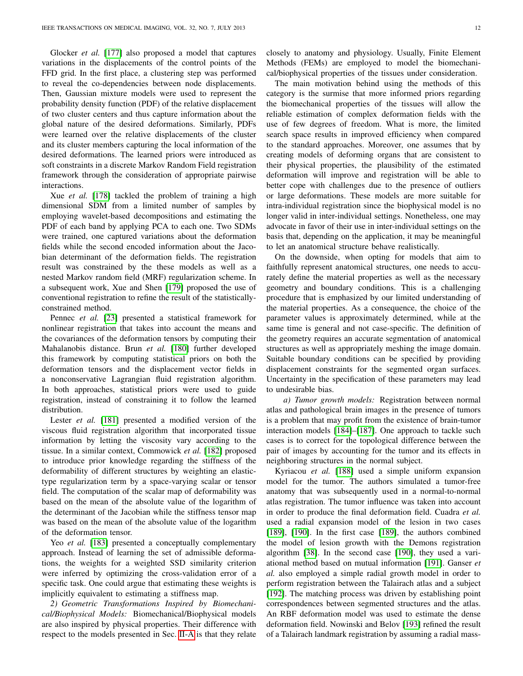Glocker *et al.* [177] also proposed a model that captures variations in the displacements of the control points of the FFD grid. In the first place, a clustering step was performed to reveal the co-dependencies between node displacements. Then, Gaussian mixture models were used to represent the probability density function (PDF) of the relative displacement of two cluster centers and thus capture information about the global nature of the desired deformations. Similarly, PDFs were learned over the relative displacements of the cluster and its cluster members capturing the local information of the desired deformations. The learned priors were introduced as soft constraints in a discrete Markov Random Field registration framework through the consideration of appropriate pairwise interactions.

Xue *et al.* [178] tackled the problem of training a high dimensional SDM from a limited number of samples by employing wavelet-based decompositions and estimating the PDF of each band by applying PCA to each one. Two SDMs were trained, one captured variations about the deformation fields while the second encoded information about the Jacobian determinant of the deformation fields. The registration result was constrained by the these models as well as a nested Markov random field (MRF) regularization scheme. In a subsequent work, Xue and Shen [179] proposed the use of conventional registration to refine the result of the statisticallyconstrained method.

Pennec *et al.* [23] presented a statistical framework for nonlinear registration that takes into account the means and the covariances of the deformation tensors by computing their Mahalanobis distance. Brun *et al.* [180] further developed this framework by computing statistical priors on both the deformation tensors and the displacement vector fields in a nonconservative Lagrangian fluid registration algorithm. In both approaches, statistical priors were used to guide registration, instead of constraining it to follow the learned distribution.

Lester *et al.* [181] presented a modified version of the viscous fluid registration algorithm that incorporated tissue information by letting the viscosity vary according to the tissue. In a similar context, Commowick *et al.* [182] proposed to introduce prior knowledge regarding the stiffness of the deformability of different structures by weighting an elastictype regularization term by a space-varying scalar or tensor field. The computation of the scalar map of deformability was based on the mean of the absolute value of the logarithm of the determinant of the Jacobian while the stiffness tensor map was based on the mean of the absolute value of the logarithm of the deformation tensor.

Yeo *et al.* [183] presented a conceptually complementary approach. Instead of learning the set of admissible deformations, the weights for a weighted SSD similarity criterion were inferred by optimizing the cross-validation error of a specific task. One could argue that estimating these weights is implicitly equivalent to estimating a stiffness map.

*2) Geometric Transformations Inspired by Biomechanical/Biophysical Models:* Biomechanical/Biophysical models are also inspired by physical properties. Their difference with respect to the models presented in Sec. II-A is that they relate closely to anatomy and physiology. Usually, Finite Element Methods (FEMs) are employed to model the biomechanical/biophysical properties of the tissues under consideration.

The main motivation behind using the methods of this category is the surmise that more informed priors regarding the biomechanical properties of the tissues will allow the reliable estimation of complex deformation fields with the use of few degrees of freedom. What is more, the limited search space results in improved efficiency when compared to the standard approaches. Moreover, one assumes that by creating models of deforming organs that are consistent to their physical properties, the plausibility of the estimated deformation will improve and registration will be able to better cope with challenges due to the presence of outliers or large deformations. These models are more suitable for intra-individual registration since the biophysical model is no longer valid in inter-individual settings. Nonetheless, one may advocate in favor of their use in inter-individual settings on the basis that, depending on the application, it may be meaningful to let an anatomical structure behave realistically.

On the downside, when opting for models that aim to faithfully represent anatomical structures, one needs to accurately define the material properties as well as the necessary geometry and boundary conditions. This is a challenging procedure that is emphasized by our limited understanding of the material properties. As a consequence, the choice of the parameter values is approximately determined, while at the same time is general and not case-specific. The definition of the geometry requires an accurate segmentation of anatomical structures as well as appropriately meshing the image domain. Suitable boundary conditions can be specified by providing displacement constraints for the segmented organ surfaces. Uncertainty in the specification of these parameters may lead to undesirable bias.

*a) Tumor growth models:* Registration between normal atlas and pathological brain images in the presence of tumors is a problem that may profit from the existence of brain-tumor interaction models [184]–[187]. One approach to tackle such cases is to correct for the topological difference between the pair of images by accounting for the tumor and its effects in neighboring structures in the normal subject.

Kyriacou *et al.* [188] used a simple uniform expansion model for the tumor. The authors simulated a tumor-free anatomy that was subsequently used in a normal-to-normal atlas registration. The tumor influence was taken into account in order to produce the final deformation field. Cuadra *et al.* used a radial expansion model of the lesion in two cases [189], [190]. In the first case [189], the authors combined the model of lesion growth with the Demons registration algorithm [38]. In the second case [190], they used a variational method based on mutual information [191]. Ganser *et al.* also employed a simple radial growth model in order to perform registration between the Talairach atlas and a subject [192]. The matching process was driven by establishing point correspondences between segmented structures and the atlas. An RBF deformation model was used to estimate the dense deformation field. Nowinski and Belov [193] refined the result of a Talairach landmark registration by assuming a radial mass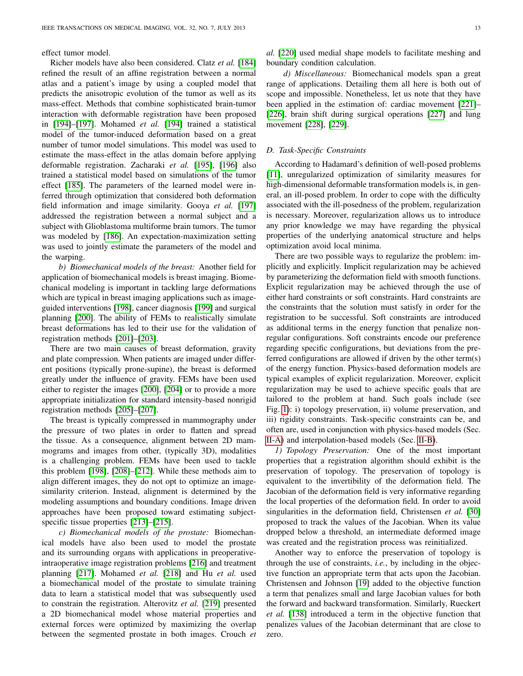effect tumor model.

Richer models have also been considered. Clatz *et al.* [184] refined the result of an affine registration between a normal atlas and a patient's image by using a coupled model that predicts the anisotropic evolution of the tumor as well as its mass-effect. Methods that combine sophisticated brain-tumor interaction with deformable registration have been proposed in [194]–[197]. Mohamed *et al.* [194] trained a statistical model of the tumor-induced deformation based on a great number of tumor model simulations. This model was used to estimate the mass-effect in the atlas domain before applying deformable registration. Zacharaki *et al.* [195], [196] also trained a statistical model based on simulations of the tumor effect [185]. The parameters of the learned model were inferred through optimization that considered both deformation field information and image similarity. Gooya *et al.* [197] addressed the registration between a normal subject and a subject with Glioblastoma multiforme brain tumors. The tumor was modeled by [186]. An expectation-maximization setting was used to jointly estimate the parameters of the model and the warping.

*b) Biomechanical models of the breast:* Another field for application of biomechanical models is breast imaging. Biomechanical modeling is important in tackling large deformations which are typical in breast imaging applications such as imageguided interventions [198], cancer diagnosis [199] and surgical planning [200]. The ability of FEMs to realistically simulate breast deformations has led to their use for the validation of registration methods [201]–[203].

There are two main causes of breast deformation, gravity and plate compression. When patients are imaged under different positions (typically prone-supine), the breast is deformed greatly under the influence of gravity. FEMs have been used either to register the images [200], [204] or to provide a more appropriate initialization for standard intensity-based nonrigid registration methods [205]–[207].

The breast is typically compressed in mammography under the pressure of two plates in order to flatten and spread the tissue. As a consequence, alignment between 2D mammograms and images from other, (typically 3D), modalities is a challenging problem. FEMs have been used to tackle this problem [198], [208]–[212]. While these methods aim to align different images, they do not opt to optimize an imagesimilarity criterion. Instead, alignment is determined by the modeling assumptions and boundary conditions. Image driven approaches have been proposed toward estimating subjectspecific tissue properties [213]–[215].

*c) Biomechanical models of the prostate:* Biomechanical models have also been used to model the prostate and its surrounding organs with applications in preoperativeintraoperative image registration problems [216] and treatment planning [217]. Mohamed *et al.* [218] and Hu *et al.* used a biomechanical model of the prostate to simulate training data to learn a statistical model that was subsequently used to constrain the registration. Alterovitz *et al.* [219] presented a 2D biomechanical model whose material properties and external forces were optimized by maximizing the overlap between the segmented prostate in both images. Crouch *et* *al.* [220] used medial shape models to facilitate meshing and boundary condition calculation.

*d) Miscellaneous:* Biomechanical models span a great range of applications. Detailing them all here is both out of scope and impossible. Nonetheless, let us note that they have been applied in the estimation of: cardiac movement [221]– [226], brain shift during surgical operations [227] and lung movement [228], [229].

#### *D. Task-Specific Constraints*

According to Hadamard's definition of well-posed problems [11], unregularized optimization of similarity measures for high-dimensional deformable transformation models is, in general, an ill-posed problem. In order to cope with the difficulty associated with the ill-posedness of the problem, regularization is necessary. Moreover, regularization allows us to introduce any prior knowledge we may have regarding the physical properties of the underlying anatomical structure and helps optimization avoid local minima.

There are two possible ways to regularize the problem: implicitly and explicitly. Implicit regularization may be achieved by parameterizing the deformation field with smooth functions. Explicit regularization may be achieved through the use of either hard constraints or soft constraints. Hard constraints are the constraints that the solution must satisfy in order for the registration to be successful. Soft constraints are introduced as additional terms in the energy function that penalize nonregular configurations. Soft constraints encode our preference regarding specific configurations, but deviations from the preferred configurations are allowed if driven by the other term(s) of the energy function. Physics-based deformation models are typical examples of explicit regularization. Moreover, explicit regularization may be used to achieve specific goals that are tailored to the problem at hand. Such goals include (see Fig. 1): i) topology preservation, ii) volume preservation, and iii) rigidity constraints. Task-specific constraints can be, and often are, used in conjunction with physics-based models (Sec. II-A) and interpolation-based models (Sec. II-B).

*1) Topology Preservation:* One of the most important properties that a registration algorithm should exhibit is the preservation of topology. The preservation of topology is equivalent to the invertibility of the deformation field. The Jacobian of the deformation field is very informative regarding the local properties of the deformation field. In order to avoid singularities in the deformation field, Christensen *et al.* [30] proposed to track the values of the Jacobian. When its value dropped below a threshold, an intermediate deformed image was created and the registration process was reinitialized.

Another way to enforce the preservation of topology is through the use of constraints, *i.e.*, by including in the objective function an appropriate term that acts upon the Jacobian. Christensen and Johnson [19] added to the objective function a term that penalizes small and large Jacobian values for both the forward and backward transformation. Similarly, Rueckert *et al.* [138] introduced a term in the objective function that penalizes values of the Jacobian determinant that are close to zero.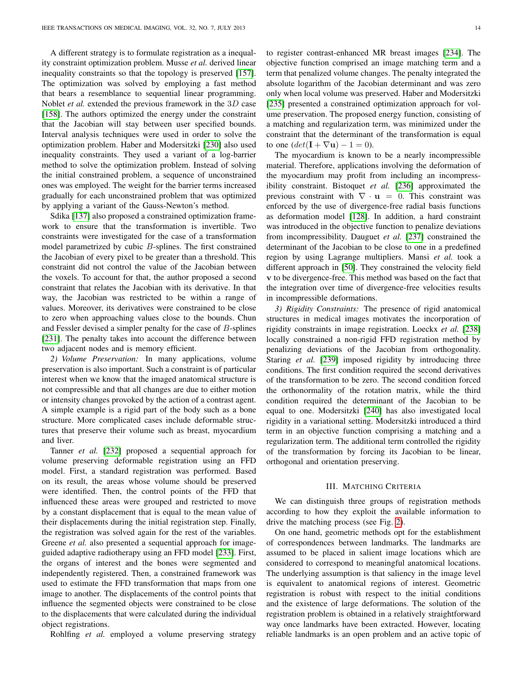A different strategy is to formulate registration as a inequality constraint optimization problem. Musse *et al.* derived linear inequality constraints so that the topology is preserved [157]. The optimization was solved by employing a fast method that bears a resemblance to sequential linear programming. Noblet *et al.* extended the previous framework in the 3D case [158]. The authors optimized the energy under the constraint that the Jacobian will stay between user specified bounds. Interval analysis techniques were used in order to solve the optimization problem. Haber and Modersitzki [230] also used inequality constraints. They used a variant of a log-barrier method to solve the optimization problem. Instead of solving the initial constrained problem, a sequence of unconstrained ones was employed. The weight for the barrier terms increased gradually for each unconstrained problem that was optimized by applying a variant of the Gauss-Newton's method.

Sdika [137] also proposed a constrained optimization framework to ensure that the transformation is invertible. Two constraints were investigated for the case of a transformation model parametrized by cubic B-splines. The first constrained the Jacobian of every pixel to be greater than a threshold. This constraint did not control the value of the Jacobian between the voxels. To account for that, the author proposed a second constraint that relates the Jacobian with its derivative. In that way, the Jacobian was restricted to be within a range of values. Moreover, its derivatives were constrained to be close to zero when approaching values close to the bounds. Chun and Fessler devised a simpler penalty for the case of B-splines [231]. The penalty takes into account the difference between two adjacent nodes and is memory efficient.

*2) Volume Preservation:* In many applications, volume preservation is also important. Such a constraint is of particular interest when we know that the imaged anatomical structure is not compressible and that all changes are due to either motion or intensity changes provoked by the action of a contrast agent. A simple example is a rigid part of the body such as a bone structure. More complicated cases include deformable structures that preserve their volume such as breast, myocardium and liver.

Tanner *et al.* [232] proposed a sequential approach for volume preserving deformable registration using an FFD model. First, a standard registration was performed. Based on its result, the areas whose volume should be preserved were identified. Then, the control points of the FFD that influenced these areas were grouped and restricted to move by a constant displacement that is equal to the mean value of their displacements during the initial registration step. Finally, the registration was solved again for the rest of the variables. Greene *et al.* also presented a sequential approach for imageguided adaptive radiotherapy using an FFD model [233]. First, the organs of interest and the bones were segmented and independently registered. Then, a constrained framework was used to estimate the FFD transformation that maps from one image to another. The displacements of the control points that influence the segmented objects were constrained to be close to the displacements that were calculated during the individual object registrations.

Rohlfing *et al.* employed a volume preserving strategy

to register contrast-enhanced MR breast images [234]. The objective function comprised an image matching term and a term that penalized volume changes. The penalty integrated the absolute logarithm of the Jacobian determinant and was zero only when local volume was preserved. Haber and Modersitzki [235] presented a constrained optimization approach for volume preservation. The proposed energy function, consisting of a matching and regularization term, was minimized under the constraint that the determinant of the transformation is equal to one  $(det(\mathbf{I} + \nabla \mathbf{u}) - 1 = 0).$ 

The myocardium is known to be a nearly incompressible material. Therefore, applications involving the deformation of the myocardium may profit from including an incompressibility constraint. Bistoquet *et al.* [236] approximated the previous constraint with  $\nabla \cdot \mathbf{u} = 0$ . This constraint was enforced by the use of divergence-free radial basis functions as deformation model [128]. In addition, a hard constraint was introduced in the objective function to penalize deviations from incompressibility. Dauguet *et al.* [237] constrained the determinant of the Jacobian to be close to one in a predefined region by using Lagrange multipliers. Mansi *et al.* took a different approach in [50]. They constrained the velocity field v to be divergence-free. This method was based on the fact that the integration over time of divergence-free velocities results in incompressible deformations.

*3) Rigidity Constraints:* The presence of rigid anatomical structures in medical images motivates the incorporation of rigidity constraints in image registration. Loeckx *et al.* [238] locally constrained a non-rigid FFD registration method by penalizing deviations of the Jacobian from orthogonality. Staring *et al.* [239] imposed rigidity by introducing three conditions. The first condition required the second derivatives of the transformation to be zero. The second condition forced the orthonormality of the rotation matrix, while the third condition required the determinant of the Jacobian to be equal to one. Modersitzki [240] has also investigated local rigidity in a variational setting. Modersitzki introduced a third term in an objective function comprising a matching and a regularization term. The additional term controlled the rigidity of the transformation by forcing its Jacobian to be linear, orthogonal and orientation preserving.

#### III. MATCHING CRITERIA

We can distinguish three groups of registration methods according to how they exploit the available information to drive the matching process (see Fig. 2).

On one hand, geometric methods opt for the establishment of correspondences between landmarks. The landmarks are assumed to be placed in salient image locations which are considered to correspond to meaningful anatomical locations. The underlying assumption is that saliency in the image level is equivalent to anatomical regions of interest. Geometric registration is robust with respect to the initial conditions and the existence of large deformations. The solution of the registration problem is obtained in a relatively straightforward way once landmarks have been extracted. However, locating reliable landmarks is an open problem and an active topic of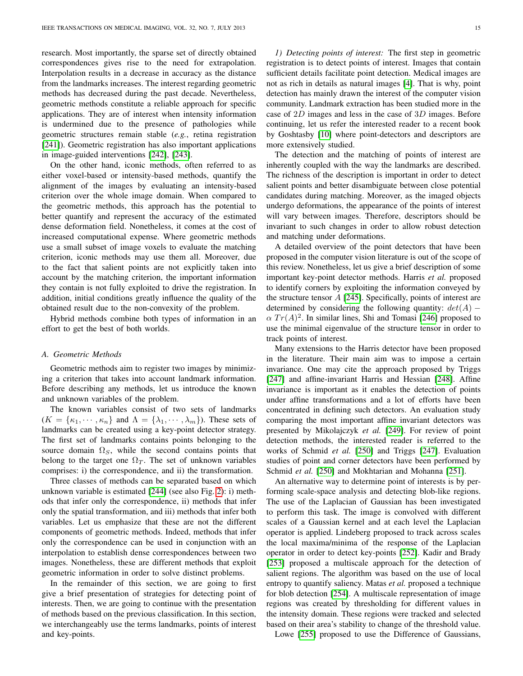research. Most importantly, the sparse set of directly obtained correspondences gives rise to the need for extrapolation. Interpolation results in a decrease in accuracy as the distance from the landmarks increases. The interest regarding geometric methods has decreased during the past decade. Nevertheless, geometric methods constitute a reliable approach for specific applications. They are of interest when intensity information is undermined due to the presence of pathologies while geometric structures remain stable (*e.g.*, retina registration [241]). Geometric registration has also important applications in image-guided interventions [242], [243].

On the other hand, iconic methods, often referred to as either voxel-based or intensity-based methods, quantify the alignment of the images by evaluating an intensity-based criterion over the whole image domain. When compared to the geometric methods, this approach has the potential to better quantify and represent the accuracy of the estimated dense deformation field. Nonetheless, it comes at the cost of increased computational expense. Where geometric methods use a small subset of image voxels to evaluate the matching criterion, iconic methods may use them all. Moreover, due to the fact that salient points are not explicitly taken into account by the matching criterion, the important information they contain is not fully exploited to drive the registration. In addition, initial conditions greatly influence the quality of the obtained result due to the non-convexity of the problem.

Hybrid methods combine both types of information in an effort to get the best of both worlds.

#### *A. Geometric Methods*

Geometric methods aim to register two images by minimizing a criterion that takes into account landmark information. Before describing any methods, let us introduce the known and unknown variables of the problem.

The known variables consist of two sets of landmarks  $(K = {\kappa_1, \cdots, \kappa_n} \text{ and } \Lambda = {\lambda_1, \cdots, \lambda_m}.$  These sets of landmarks can be created using a key-point detector strategy. The first set of landmarks contains points belonging to the source domain  $\Omega$ <sub>S</sub>, while the second contains points that belong to the target one  $\Omega_T$ . The set of unknown variables comprises: i) the correspondence, and ii) the transformation.

Three classes of methods can be separated based on which unknown variable is estimated [244] (see also Fig. 2): i) methods that infer only the correspondence, ii) methods that infer only the spatial transformation, and iii) methods that infer both variables. Let us emphasize that these are not the different components of geometric methods. Indeed, methods that infer only the correspondence can be used in conjunction with an interpolation to establish dense correspondences between two images. Nonetheless, these are different methods that exploit geometric information in order to solve distinct problems.

In the remainder of this section, we are going to first give a brief presentation of strategies for detecting point of interests. Then, we are going to continue with the presentation of methods based on the previous classification. In this section, we interchangeably use the terms landmarks, points of interest and key-points.

*1) Detecting points of interest:* The first step in geometric registration is to detect points of interest. Images that contain sufficient details facilitate point detection. Medical images are not as rich in details as natural images [4]. That is why, point detection has mainly drawn the interest of the computer vision community. Landmark extraction has been studied more in the case of 2D images and less in the case of 3D images. Before continuing, let us refer the interested reader to a recent book by Goshtasby [10] where point-detectors and descriptors are more extensively studied.

The detection and the matching of points of interest are inherently coupled with the way the landmarks are described. The richness of the description is important in order to detect salient points and better disambiguate between close potential candidates during matching. Moreover, as the imaged objects undergo deformations, the appearance of the points of interest will vary between images. Therefore, descriptors should be invariant to such changes in order to allow robust detection and matching under deformations.

A detailed overview of the point detectors that have been proposed in the computer vision literature is out of the scope of this review. Nonetheless, let us give a brief description of some important key-point detector methods. Harris *et al.* proposed to identify corners by exploiting the information conveyed by the structure tensor A [245]. Specifically, points of interest are determined by considering the following quantity:  $det(A)$  –  $\alpha$   $Tr(A)^2$ . In similar lines, Shi and Tomasi [246] proposed to use the minimal eigenvalue of the structure tensor in order to track points of interest.

Many extensions to the Harris detector have been proposed in the literature. Their main aim was to impose a certain invariance. One may cite the approach proposed by Triggs [247] and affine-invariant Harris and Hessian [248]. Affine invariance is important as it enables the detection of points under affine transformations and a lot of efforts have been concentrated in defining such detectors. An evaluation study comparing the most important affine invariant detectors was presented by Mikolajczyk *et al.* [249]. For review of point detection methods, the interested reader is referred to the works of Schmid *et al.* [250] and Triggs [247]. Evaluation studies of point and corner detectors have been performed by Schmid *et al.* [250] and Mokhtarian and Mohanna [251].

An alternative way to determine point of interests is by performing scale-space analysis and detecting blob-like regions. The use of the Laplacian of Gaussian has been investigated to perform this task. The image is convolved with different scales of a Gaussian kernel and at each level the Laplacian operator is applied. Lindeberg proposed to track across scales the local maxima/minima of the response of the Laplacian operator in order to detect key-points [252]. Kadir and Brady [253] proposed a multiscale approach for the detection of salient regions. The algorithm was based on the use of local entropy to quantify saliency. Matas *et al.* proposed a technique for blob detection [254]. A multiscale representation of image regions was created by thresholding for different values in the intensity domain. These regions were tracked and selected based on their area's stability to change of the threshold value.

Lowe [255] proposed to use the Difference of Gaussians,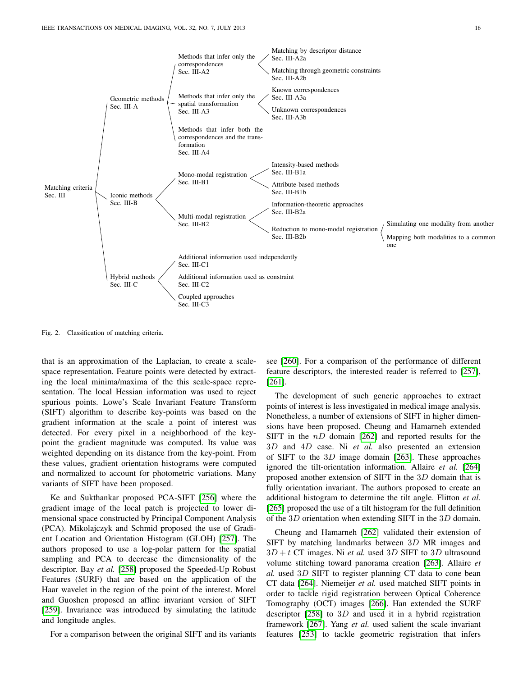

Fig. 2. Classification of matching criteria.

that is an approximation of the Laplacian, to create a scalespace representation. Feature points were detected by extracting the local minima/maxima of the this scale-space representation. The local Hessian information was used to reject spurious points. Lowe's Scale Invariant Feature Transform (SIFT) algorithm to describe key-points was based on the gradient information at the scale a point of interest was detected. For every pixel in a neighborhood of the keypoint the gradient magnitude was computed. Its value was weighted depending on its distance from the key-point. From these values, gradient orientation histograms were computed and normalized to account for photometric variations. Many variants of SIFT have been proposed.

Ke and Sukthankar proposed PCA-SIFT [256] where the gradient image of the local patch is projected to lower dimensional space constructed by Principal Component Analysis (PCA). Mikolajczyk and Schmid proposed the use of Gradient Location and Orientation Histogram (GLOH) [257]. The authors proposed to use a log-polar pattern for the spatial sampling and PCA to decrease the dimensionality of the descriptor. Bay *et al.* [258] proposed the Speeded-Up Robust Features (SURF) that are based on the application of the Haar wavelet in the region of the point of the interest. Morel and Guoshen proposed an affine invariant version of SIFT [259]. Invariance was introduced by simulating the latitude and longitude angles.

For a comparison between the original SIFT and its variants

see [260]. For a comparison of the performance of different feature descriptors, the interested reader is referred to [257], [261].

The development of such generic approaches to extract points of interest is less investigated in medical image analysis. Nonetheless, a number of extensions of SIFT in higher dimensions have been proposed. Cheung and Hamarneh extended SIFT in the  $nD$  domain [262] and reported results for the 3D and 4D case. Ni *et al.* also presented an extension of SIFT to the 3D image domain [263]. These approaches ignored the tilt-orientation information. Allaire *et al.* [264] proposed another extension of SIFT in the 3D domain that is fully orientation invariant. The authors proposed to create an additional histogram to determine the tilt angle. Flitton *et al.* [265] proposed the use of a tilt histogram for the full definition of the 3D orientation when extending SIFT in the 3D domain.

Cheung and Hamarneh [262] validated their extension of SIFT by matching landmarks between 3D MR images and  $3D + t$  CT images. Ni *et al.* used  $3D$  SIFT to  $3D$  ultrasound volume stitching toward panorama creation [263]. Allaire *et al.* used 3D SIFT to register planning CT data to cone bean CT data [264]. Niemeijer *et al.* used matched SIFT points in order to tackle rigid registration between Optical Coherence Tomography (OCT) images [266]. Han extended the SURF descriptor [258] to 3D and used it in a hybrid registration framework [267]. Yang *et al.* used salient the scale invariant features [253] to tackle geometric registration that infers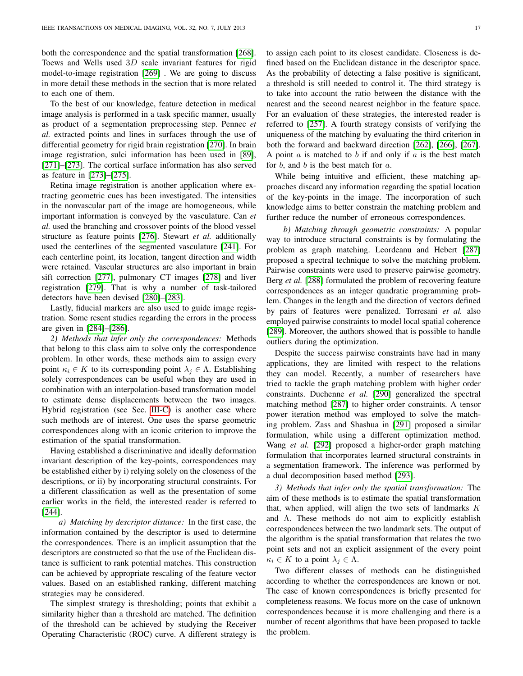both the correspondence and the spatial transformation [268]. Toews and Wells used 3D scale invariant features for rigid model-to-image registration [269] . We are going to discuss in more detail these methods in the section that is more related to each one of them.

To the best of our knowledge, feature detection in medical image analysis is performed in a task specific manner, usually as product of a segmentation preprocessing step. Pennec *et al.* extracted points and lines in surfaces through the use of differential geometry for rigid brain registration [270]. In brain image registration, sulci information has been used in [89], [271]–[273]. The cortical surface information has also served as feature in [273]–[275].

Retina image registration is another application where extracting geometric cues has been investigated. The intensities in the nonvascular part of the image are homogeneous, while important information is conveyed by the vasculature. Can *et al.* used the branching and crossover points of the blood vessel structure as feature points [276]. Stewart *et al.* additionally used the centerlines of the segmented vasculature [241]. For each centerline point, its location, tangent direction and width were retained. Vascular structures are also important in brain sift correction [277], pulmonary CT images [278] and liver registration [279]. That is why a number of task-tailored detectors have been devised [280]–[283].

Lastly, fiducial markers are also used to guide image registration. Some resent studies regarding the errors in the process are given in [284]–[286].

*2) Methods that infer only the correspondences:* Methods that belong to this class aim to solve only the correspondence problem. In other words, these methods aim to assign every point  $\kappa_i \in K$  to its corresponding point  $\lambda_i \in \Lambda$ . Establishing solely correspondences can be useful when they are used in combination with an interpolation-based transformation model to estimate dense displacements between the two images. Hybrid registration (see Sec. III-C) is another case where such methods are of interest. One uses the sparse geometric correspondences along with an iconic criterion to improve the estimation of the spatial transformation.

Having established a discriminative and ideally deformation invariant description of the key-points, correspondences may be established either by i) relying solely on the closeness of the descriptions, or ii) by incorporating structural constraints. For a different classification as well as the presentation of some earlier works in the field, the interested reader is referred to [244].

*a) Matching by descriptor distance:* In the first case, the information contained by the descriptor is used to determine the correspondences. There is an implicit assumption that the descriptors are constructed so that the use of the Euclidean distance is sufficient to rank potential matches. This construction can be achieved by appropriate rescaling of the feature vector values. Based on an established ranking, different matching strategies may be considered.

The simplest strategy is thresholding; points that exhibit a similarity higher than a threshold are matched. The definition of the threshold can be achieved by studying the Receiver Operating Characteristic (ROC) curve. A different strategy is to assign each point to its closest candidate. Closeness is defined based on the Euclidean distance in the descriptor space. As the probability of detecting a false positive is significant, a threshold is still needed to control it. The third strategy is to take into account the ratio between the distance with the nearest and the second nearest neighbor in the feature space. For an evaluation of these strategies, the interested reader is referred to [257]. A fourth strategy consists of verifying the uniqueness of the matching by evaluating the third criterion in both the forward and backward direction [262], [266], [267]. A point  $a$  is matched to  $b$  if and only if  $a$  is the best match for  $b$ , and  $b$  is the best match for  $a$ .

While being intuitive and efficient, these matching approaches discard any information regarding the spatial location of the key-points in the image. The incorporation of such knowledge aims to better constrain the matching problem and further reduce the number of erroneous correspondences.

*b) Matching through geometric constraints:* A popular way to introduce structural constraints is by formulating the problem as graph matching. Leordeanu and Hebert [287] proposed a spectral technique to solve the matching problem. Pairwise constraints were used to preserve pairwise geometry. Berg *et al.* [288] formulated the problem of recovering feature correspondences as an integer quadratic programming problem. Changes in the length and the direction of vectors defined by pairs of features were penalized. Torresani *et al.* also employed pairwise constraints to model local spatial coherence [289]. Moreover, the authors showed that is possible to handle outliers during the optimization.

Despite the success pairwise constraints have had in many applications, they are limited with respect to the relations they can model. Recently, a number of researchers have tried to tackle the graph matching problem with higher order constraints. Duchenne *et al.* [290] generalized the spectral matching method [287] to higher order constraints. A tensor power iteration method was employed to solve the matching problem. Zass and Shashua in [291] proposed a similar formulation, while using a different optimization method. Wang *et al.* [292] proposed a higher-order graph matching formulation that incorporates learned structural constraints in a segmentation framework. The inference was performed by a dual decomposition based method [293].

*3) Methods that infer only the spatial transformation:* The aim of these methods is to estimate the spatial transformation that, when applied, will align the two sets of landmarks  $K$ and Λ. These methods do not aim to explicitly establish correspondences between the two landmark sets. The output of the algorithm is the spatial transformation that relates the two point sets and not an explicit assignment of the every point  $\kappa_i \in K$  to a point  $\lambda_i \in \Lambda$ .

Two different classes of methods can be distinguished according to whether the correspondences are known or not. The case of known correspondences is briefly presented for completeness reasons. We focus more on the case of unknown correspondences because it is more challenging and there is a number of recent algorithms that have been proposed to tackle the problem.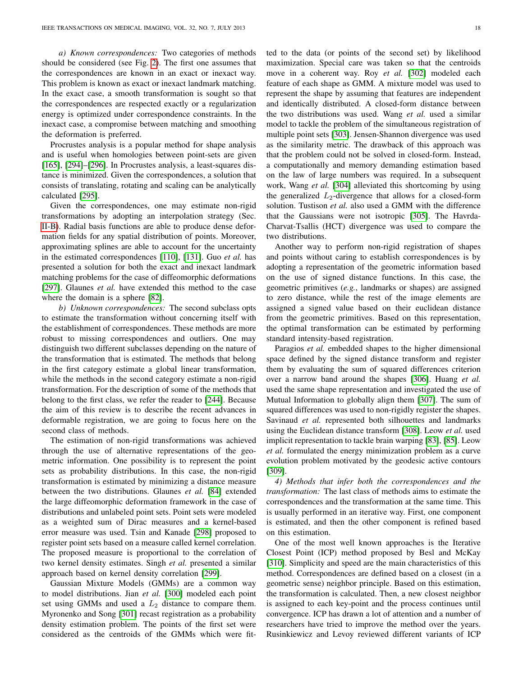*a) Known correspondences:* Two categories of methods should be considered (see Fig. 2). The first one assumes that the correspondences are known in an exact or inexact way. This problem is known as exact or inexact landmark matching. In the exact case, a smooth transformation is sought so that the correspondences are respected exactly or a regularization energy is optimized under correspondence constraints. In the inexact case, a compromise between matching and smoothing the deformation is preferred.

Procrustes analysis is a popular method for shape analysis and is useful when homologies between point-sets are given [165], [294]–[296]. In Procrustes analysis, a least-squares distance is minimized. Given the correspondences, a solution that consists of translating, rotating and scaling can be analytically calculated [295].

Given the correspondences, one may estimate non-rigid transformations by adopting an interpolation strategy (Sec. II-B). Radial basis functions are able to produce dense deformation fields for any spatial distribution of points. Moreover, approximating splines are able to account for the uncertainty in the estimated correspondences [110], [131]. Guo *et al.* has presented a solution for both the exact and inexact landmark matching problems for the case of diffeomorphic deformations [297]. Glaunes *et al.* have extended this method to the case where the domain is a sphere [82].

*b) Unknown correspondences:* The second subclass opts to estimate the transformation without concerning itself with the establishment of correspondences. These methods are more robust to missing correspondences and outliers. One may distinguish two different subclasses depending on the nature of the transformation that is estimated. The methods that belong in the first category estimate a global linear transformation, while the methods in the second category estimate a non-rigid transformation. For the description of some of the methods that belong to the first class, we refer the reader to [244]. Because the aim of this review is to describe the recent advances in deformable registration, we are going to focus here on the second class of methods.

The estimation of non-rigid transformations was achieved through the use of alternative representations of the geometric information. One possibility is to represent the point sets as probability distributions. In this case, the non-rigid transformation is estimated by minimizing a distance measure between the two distributions. Glaunes *et al.* [84] extended the large diffeomorphic deformation framework in the case of distributions and unlabeled point sets. Point sets were modeled as a weighted sum of Dirac measures and a kernel-based error measure was used. Tsin and Kanade [298] proposed to register point sets based on a measure called kernel correlation. The proposed measure is proportional to the correlation of two kernel density estimates. Singh *et al.* presented a similar approach based on kernel density correlation [299].

Gaussian Mixture Models (GMMs) are a common way to model distributions. Jian *et al.* [300] modeled each point set using GMMs and used a  $L_2$  distance to compare them. Myronenko and Song [301] recast registration as a probability density estimation problem. The points of the first set were considered as the centroids of the GMMs which were fitted to the data (or points of the second set) by likelihood maximization. Special care was taken so that the centroids move in a coherent way. Roy *et al.* [302] modeled each feature of each shape as GMM. A mixture model was used to represent the shape by assuming that features are independent and identically distributed. A closed-form distance between the two distributions was used. Wang *et al.* used a similar model to tackle the problem of the simultaneous registration of multiple point sets [303]. Jensen-Shannon divergence was used as the similarity metric. The drawback of this approach was that the problem could not be solved in closed-form. Instead, a computationally and memory demanding estimation based on the law of large numbers was required. In a subsequent work, Wang *et al.* [304] alleviated this shortcoming by using the generalized  $L_2$ -divergence that allows for a closed-form solution. Tustison *et al.* also used a GMM with the difference that the Gaussians were not isotropic [305]. The Havrda-Charvat-Tsallis (HCT) divergence was used to compare the two distributions.

Another way to perform non-rigid registration of shapes and points without caring to establish correspondences is by adopting a representation of the geometric information based on the use of signed distance functions. In this case, the geometric primitives (*e.g.*, landmarks or shapes) are assigned to zero distance, while the rest of the image elements are assigned a signed value based on their euclidean distance from the geometric primitives. Based on this representation, the optimal transformation can be estimated by performing standard intensity-based registration.

Paragios *et al.* embedded shapes to the higher dimensional space defined by the signed distance transform and register them by evaluating the sum of squared differences criterion over a narrow band around the shapes [306]. Huang *et al.* used the same shape representation and investigated the use of Mutual Information to globally align them [307]. The sum of squared differences was used to non-rigidly register the shapes. Savinaud *et al.* represented both silhouettes and landmarks using the Euclidean distance transform [308]. Leow *et al.* used implicit representation to tackle brain warping [83], [85]. Leow *et al.* formulated the energy minimization problem as a curve evolution problem motivated by the geodesic active contours [309].

*4) Methods that infer both the correspondences and the transformation:* The last class of methods aims to estimate the correspondences and the transformation at the same time. This is usually performed in an iterative way. First, one component is estimated, and then the other component is refined based on this estimation.

One of the most well known approaches is the Iterative Closest Point (ICP) method proposed by Besl and McKay [310]. Simplicity and speed are the main characteristics of this method. Correspondences are defined based on a closest (in a geometric sense) neighbor principle. Based on this estimation, the transformation is calculated. Then, a new closest neighbor is assigned to each key-point and the process continues until convergence. ICP has drawn a lot of attention and a number of researchers have tried to improve the method over the years. Rusinkiewicz and Levoy reviewed different variants of ICP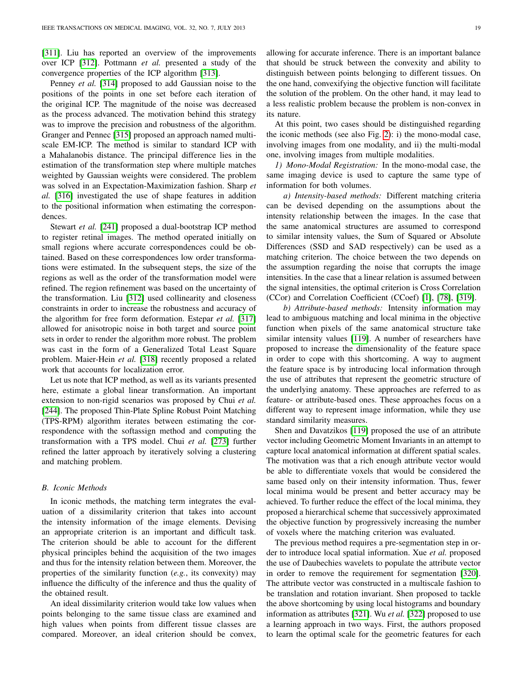[311]. Liu has reported an overview of the improvements over ICP [312]. Pottmann *et al.* presented a study of the convergence properties of the ICP algorithm [313].

Penney *et al.* [314] proposed to add Gaussian noise to the positions of the points in one set before each iteration of the original ICP. The magnitude of the noise was decreased as the process advanced. The motivation behind this strategy was to improve the precision and robustness of the algorithm. Granger and Pennec [315] proposed an approach named multiscale EM-ICP. The method is similar to standard ICP with a Mahalanobis distance. The principal difference lies in the estimation of the transformation step where multiple matches weighted by Gaussian weights were considered. The problem was solved in an Expectation-Maximization fashion. Sharp *et al.* [316] investigated the use of shape features in addition to the positional information when estimating the correspondences.

Stewart *et al.* [241] proposed a dual-bootstrap ICP method to register retinal images. The method operated initially on small regions where accurate correspondences could be obtained. Based on these correspondences low order transformations were estimated. In the subsequent steps, the size of the regions as well as the order of the transformation model were refined. The region refinement was based on the uncertainty of the transformation. Liu [312] used collinearity and closeness constraints in order to increase the robustness and accuracy of the algorithm for free form deformation. Estepar *et al.* [317] allowed for anisotropic noise in both target and source point sets in order to render the algorithm more robust. The problem was cast in the form of a Generalized Total Least Square problem. Maier-Hein *et al.* [318] recently proposed a related work that accounts for localization error.

Let us note that ICP method, as well as its variants presented here, estimate a global linear transformation. An important extension to non-rigid scenarios was proposed by Chui *et al.* [244]. The proposed Thin-Plate Spline Robust Point Matching (TPS-RPM) algorithm iterates between estimating the correspondence with the softassign method and computing the transformation with a TPS model. Chui *et al.* [273] further refined the latter approach by iteratively solving a clustering and matching problem.

#### *B. Iconic Methods*

In iconic methods, the matching term integrates the evaluation of a dissimilarity criterion that takes into account the intensity information of the image elements. Devising an appropriate criterion is an important and difficult task. The criterion should be able to account for the different physical principles behind the acquisition of the two images and thus for the intensity relation between them. Moreover, the properties of the similarity function (*e.g.*, its convexity) may influence the difficulty of the inference and thus the quality of the obtained result.

An ideal dissimilarity criterion would take low values when points belonging to the same tissue class are examined and high values when points from different tissue classes are compared. Moreover, an ideal criterion should be convex, allowing for accurate inference. There is an important balance that should be struck between the convexity and ability to distinguish between points belonging to different tissues. On the one hand, convexifying the objective function will facilitate the solution of the problem. On the other hand, it may lead to a less realistic problem because the problem is non-convex in its nature.

At this point, two cases should be distinguished regarding the iconic methods (see also Fig. 2): i) the mono-modal case, involving images from one modality, and ii) the multi-modal one, involving images from multiple modalities.

*1) Mono-Modal Registration:* In the mono-modal case, the same imaging device is used to capture the same type of information for both volumes.

*a) Intensity-based methods:* Different matching criteria can be devised depending on the assumptions about the intensity relationship between the images. In the case that the same anatomical structures are assumed to correspond to similar intensity values, the Sum of Squared or Absolute Differences (SSD and SAD respectively) can be used as a matching criterion. The choice between the two depends on the assumption regarding the noise that corrupts the image intensities. In the case that a linear relation is assumed between the signal intensities, the optimal criterion is Cross Correlation (CCor) and Correlation Coefficient (CCoef) [1], [78], [319].

*b) Attribute-based methods:* Intensity information may lead to ambiguous matching and local minima in the objective function when pixels of the same anatomical structure take similar intensity values [119]. A number of researchers have proposed to increase the dimensionality of the feature space in order to cope with this shortcoming. A way to augment the feature space is by introducing local information through the use of attributes that represent the geometric structure of the underlying anatomy. These approaches are referred to as feature- or attribute-based ones. These approaches focus on a different way to represent image information, while they use standard similarity measures.

Shen and Davatzikos [119] proposed the use of an attribute vector including Geometric Moment Invariants in an attempt to capture local anatomical information at different spatial scales. The motivation was that a rich enough attribute vector would be able to differentiate voxels that would be considered the same based only on their intensity information. Thus, fewer local minima would be present and better accuracy may be achieved. To further reduce the effect of the local minima, they proposed a hierarchical scheme that successively approximated the objective function by progressively increasing the number of voxels where the matching criterion was evaluated.

The previous method requires a pre-segmentation step in order to introduce local spatial information. Xue *et al.* proposed the use of Daubechies wavelets to populate the attribute vector in order to remove the requirement for segmentation [320]. The attribute vector was constructed in a multiscale fashion to be translation and rotation invariant. Shen proposed to tackle the above shortcoming by using local histograms and boundary information as attributes [321]. Wu *et al.* [322] proposed to use a learning approach in two ways. First, the authors proposed to learn the optimal scale for the geometric features for each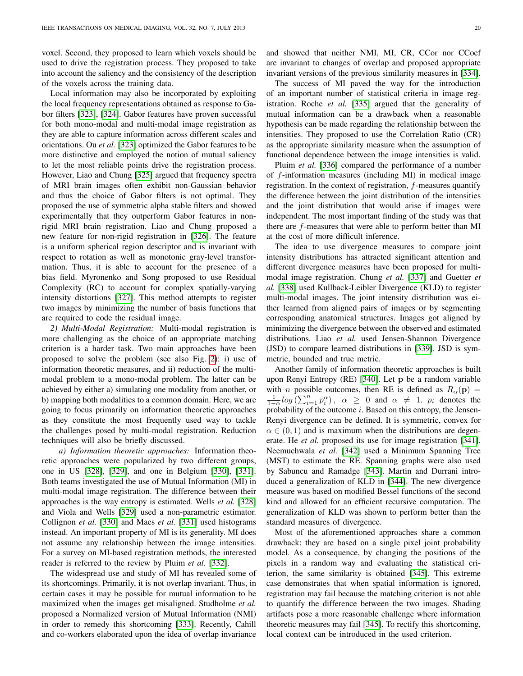voxel. Second, they proposed to learn which voxels should be used to drive the registration process. They proposed to take into account the saliency and the consistency of the description of the voxels across the training data.

Local information may also be incorporated by exploiting the local frequency representations obtained as response to Gabor filters [323], [324]. Gabor features have proven successful for both mono-modal and multi-modal image registration as they are able to capture information across different scales and orientations. Ou *et al.* [323] optimized the Gabor features to be more distinctive and employed the notion of mutual saliency to let the most reliable points drive the registration process. However, Liao and Chung [325] argued that frequency spectra of MRI brain images often exhibit non-Gaussian behavior and thus the choice of Gabor filters is not optimal. They proposed the use of symmetric alpha stable filters and showed experimentally that they outperform Gabor features in nonrigid MRI brain registration. Liao and Chung proposed a new feature for non-rigid registration in [326]. The feature is a uniform spherical region descriptor and is invariant with respect to rotation as well as monotonic gray-level transformation. Thus, it is able to account for the presence of a bias field. Myronenko and Song proposed to use Residual Complexity (RC) to account for complex spatially-varying intensity distortions [327]. This method attempts to register two images by minimizing the number of basis functions that are required to code the residual image.

*2) Multi-Modal Registration:* Multi-modal registration is more challenging as the choice of an appropriate matching criterion is a harder task. Two main approaches have been proposed to solve the problem (see also Fig. 2): i) use of information theoretic measures, and ii) reduction of the multimodal problem to a mono-modal problem. The latter can be achieved by either a) simulating one modality from another, or b) mapping both modalities to a common domain. Here, we are going to focus primarily on information theoretic approaches as they constitute the most frequently used way to tackle the challenges posed by multi-modal registration. Reduction techniques will also be briefly discussed.

*a) Information theoretic approaches:* Information theoretic approaches were popularized by two different groups, one in US [328], [329], and one in Belgium [330], [331]. Both teams investigated the use of Mutual Information (MI) in multi-modal image registration. The difference between their approaches is the way entropy is estimated. Wells *et al.* [328] and Viola and Wells [329] used a non-parametric estimator. Collignon *et al.* [330] and Maes *et al.* [331] used histograms instead. An important property of MI is its generality. MI does not assume any relationship between the image intensities. For a survey on MI-based registration methods, the interested reader is referred to the review by Pluim *et al.* [332].

The widespread use and study of MI has revealed some of its shortcomings. Primarily, it is not overlap invariant. Thus, in certain cases it may be possible for mutual information to be maximized when the images get misaligned. Studholme *et al.* proposed a Normalized version of Mutual Information (NMI) in order to remedy this shortcoming [333]. Recently, Cahill and co-workers elaborated upon the idea of overlap invariance and showed that neither NMI, MI, CR, CCor nor CCoef are invariant to changes of overlap and proposed appropriate invariant versions of the previous similarity measures in [334].

The success of MI paved the way for the introduction of an important number of statistical criteria in image registration. Roche *et al.* [335] argued that the generality of mutual information can be a drawback when a reasonable hypothesis can be made regarding the relationship between the intensities. They proposed to use the Correlation Ratio (CR) as the appropriate similarity measure when the assumption of functional dependence between the image intensities is valid.

Pluim *et al.* [336] compared the performance of a number of f-information measures (including MI) in medical image registration. In the context of registration, f-measures quantify the difference between the joint distribution of the intensities and the joint distribution that would arise if images were independent. The most important finding of the study was that there are f-measures that were able to perform better than MI at the cost of more difficult inference.

The idea to use divergence measures to compare joint intensity distributions has attracted significant attention and different divergence measures have been proposed for multimodal image registration. Chung *et al.* [337] and Guetter *et al.* [338] used Kullback-Leibler Divergence (KLD) to register multi-modal images. The joint intensity distribution was either learned from aligned pairs of images or by segmenting corresponding anatomical structures. Images got aligned by minimizing the divergence between the observed and estimated distributions. Liao *et al.* used Jensen-Shannon Divergence (JSD) to compare learned distributions in [339]. JSD is symmetric, bounded and true metric.

Another family of information theoretic approaches is built upon Renyi Entropy (RE) [340]. Let p be a random variable with *n* possible outcomes, then RE is defined as  $R_{\alpha}(\mathbf{p}) =$  $\frac{1}{1-\alpha}log(\sum_{i=1}^n p_i^{\alpha}), \alpha \geq 0$  and  $\alpha \neq 1$ .  $p_i$  denotes the probability of the outcome  $i$ . Based on this entropy, the Jensen-Renyi divergence can be defined. It is symmetric, convex for  $\alpha \in (0,1)$  and is maximum when the distributions are degenerate. He *et al.* proposed its use for image registration [341]. Neemuchwala *et al.* [342] used a Minimum Spanning Tree (MST) to estimate the RE. Spanning graphs were also used by Sabuncu and Ramadge [343]. Martin and Durrani introduced a generalization of KLD in [344]. The new divergence measure was based on modified Bessel functions of the second kind and allowed for an efficient recursive computation. The generalization of KLD was shown to perform better than the standard measures of divergence.

Most of the aforementioned approaches share a common drawback; they are based on a single pixel joint probability model. As a consequence, by changing the positions of the pixels in a random way and evaluating the statistical criterion, the same similarity is obtained [345]. This extreme case demonstrates that when spatial information is ignored, registration may fail because the matching criterion is not able to quantify the difference between the two images. Shading artifacts pose a more reasonable challenge where information theoretic measures may fail [345]. To rectify this shortcoming, local context can be introduced in the used criterion.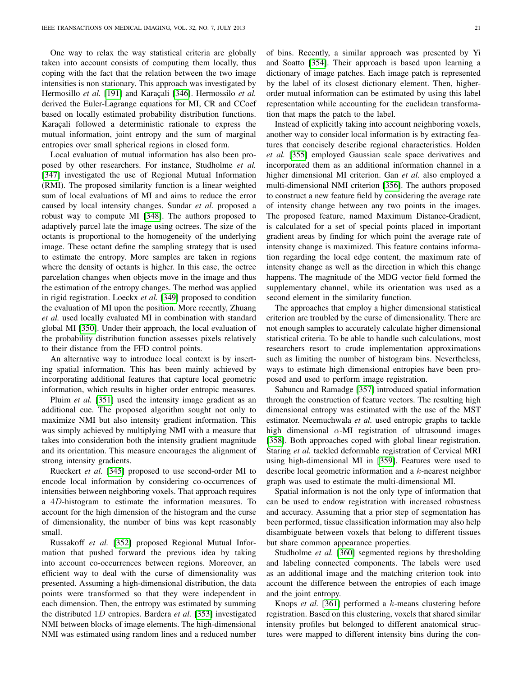One way to relax the way statistical criteria are globally taken into account consists of computing them locally, thus coping with the fact that the relation between the two image intensities is non stationary. This approach was investigated by Hermosillo *et al.* [191] and Karaçali [346]. Hermossilo *et al.* derived the Euler-Lagrange equations for MI, CR and CCoef based on locally estimated probability distribution functions. Karacali followed a deterministic rationale to express the mutual information, joint entropy and the sum of marginal entropies over small spherical regions in closed form.

Local evaluation of mutual information has also been proposed by other researchers. For instance, Studholme *et al.* [347] investigated the use of Regional Mutual Information (RMI). The proposed similarity function is a linear weighted sum of local evaluations of MI and aims to reduce the error caused by local intensity changes. Sundar *et al.* proposed a robust way to compute MI [348]. The authors proposed to adaptively parcel late the image using octrees. The size of the octants is proportional to the homogeneity of the underlying image. These octant define the sampling strategy that is used to estimate the entropy. More samples are taken in regions where the density of octants is higher. In this case, the octree parcelation changes when objects move in the image and thus the estimation of the entropy changes. The method was applied in rigid registration. Loeckx *et al.* [349] proposed to condition the evaluation of MI upon the position. More recently, Zhuang *et al.* used locally evaluated MI in combination with standard global MI [350]. Under their approach, the local evaluation of the probability distribution function assesses pixels relatively to their distance from the FFD control points.

An alternative way to introduce local context is by inserting spatial information. This has been mainly achieved by incorporating additional features that capture local geometric information, which results in higher order entropic measures.

Pluim *et al.* [351] used the intensity image gradient as an additional cue. The proposed algorithm sought not only to maximize NMI but also intensity gradient information. This was simply achieved by multiplying NMI with a measure that takes into consideration both the intensity gradient magnitude and its orientation. This measure encourages the alignment of strong intensity gradients.

Rueckert *et al.* [345] proposed to use second-order MI to encode local information by considering co-occurrences of intensities between neighboring voxels. That approach requires a 4D-histogram to estimate the information measures. To account for the high dimension of the histogram and the curse of dimensionality, the number of bins was kept reasonably small.

Russakoff *et al.* [352] proposed Regional Mutual Information that pushed forward the previous idea by taking into account co-occurrences between regions. Moreover, an efficient way to deal with the curse of dimensionality was presented. Assuming a high-dimensional distribution, the data points were transformed so that they were independent in each dimension. Then, the entropy was estimated by summing the distributed 1D entropies. Bardera *et al.* [353] investigated NMI between blocks of image elements. The high-dimensional NMI was estimated using random lines and a reduced number of bins. Recently, a similar approach was presented by Yi and Soatto [354]. Their approach is based upon learning a dictionary of image patches. Each image patch is represented by the label of its closest dictionary element. Then, higherorder mutual information can be estimated by using this label representation while accounting for the euclidean transformation that maps the patch to the label.

Instead of explicitly taking into account neighboring voxels, another way to consider local information is by extracting features that concisely describe regional characteristics. Holden *et al.* [355] employed Gaussian scale space derivatives and incorporated them as an additional information channel in a higher dimensional MI criterion. Gan *et al.* also employed a multi-dimensional NMI criterion [356]. The authors proposed to construct a new feature field by considering the average rate of intensity change between any two points in the images. The proposed feature, named Maximum Distance-Gradient, is calculated for a set of special points placed in important gradient areas by finding for which point the average rate of intensity change is maximized. This feature contains information regarding the local edge content, the maximum rate of intensity change as well as the direction in which this change happens. The magnitude of the MDG vector field formed the supplementary channel, while its orientation was used as a second element in the similarity function.

The approaches that employ a higher dimensional statistical criterion are troubled by the curse of dimensionality. There are not enough samples to accurately calculate higher dimensional statistical criteria. To be able to handle such calculations, most researchers resort to crude implementation approximations such as limiting the number of histogram bins. Nevertheless, ways to estimate high dimensional entropies have been proposed and used to perform image registration.

Sabuncu and Ramadge [357] introduced spatial information through the construction of feature vectors. The resulting high dimensional entropy was estimated with the use of the MST estimator. Neemuchwala *et al.* used entropic graphs to tackle high dimensional  $\alpha$ -MI registration of ultrasound images [358]. Both approaches coped with global linear registration. Staring *et al.* tackled deformable registration of Cervical MRI using high-dimensional MI in [359]. Features were used to describe local geometric information and a k-nearest neighbor graph was used to estimate the multi-dimensional MI.

Spatial information is not the only type of information that can be used to endow registration with increased robustness and accuracy. Assuming that a prior step of segmentation has been performed, tissue classification information may also help disambiguate between voxels that belong to different tissues but share common appearance properties.

Studholme *et al.* [360] segmented regions by thresholding and labeling connected components. The labels were used as an additional image and the matching criterion took into account the difference between the entropies of each image and the joint entropy.

Knops *et al.* [361] performed a k-means clustering before registration. Based on this clustering, voxels that shared similar intensity profiles but belonged to different anatomical structures were mapped to different intensity bins during the con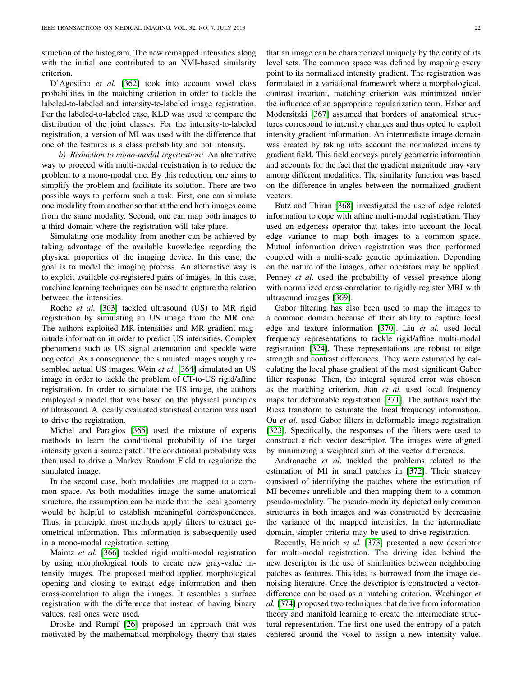struction of the histogram. The new remapped intensities along with the initial one contributed to an NMI-based similarity criterion.

D'Agostino *et al.* [362] took into account voxel class probabilities in the matching criterion in order to tackle the labeled-to-labeled and intensity-to-labeled image registration. For the labeled-to-labeled case, KLD was used to compare the distribution of the joint classes. For the intensity-to-labeled registration, a version of MI was used with the difference that one of the features is a class probability and not intensity.

*b) Reduction to mono-modal registration:* An alternative way to proceed with multi-modal registration is to reduce the problem to a mono-modal one. By this reduction, one aims to simplify the problem and facilitate its solution. There are two possible ways to perform such a task. First, one can simulate one modality from another so that at the end both images come from the same modality. Second, one can map both images to a third domain where the registration will take place.

Simulating one modality from another can be achieved by taking advantage of the available knowledge regarding the physical properties of the imaging device. In this case, the goal is to model the imaging process. An alternative way is to exploit available co-registered pairs of images. In this case, machine learning techniques can be used to capture the relation between the intensities.

Roche *et al.* [363] tackled ultrasound (US) to MR rigid registration by simulating an US image from the MR one. The authors exploited MR intensities and MR gradient magnitude information in order to predict US intensities. Complex phenomena such as US signal attenuation and speckle were neglected. As a consequence, the simulated images roughly resembled actual US images. Wein *et al.* [364] simulated an US image in order to tackle the problem of CT-to-US rigid/affine registration. In order to simulate the US image, the authors employed a model that was based on the physical principles of ultrasound. A locally evaluated statistical criterion was used to drive the registration.

Michel and Paragios [365] used the mixture of experts methods to learn the conditional probability of the target intensity given a source patch. The conditional probability was then used to drive a Markov Random Field to regularize the simulated image.

In the second case, both modalities are mapped to a common space. As both modalities image the same anatomical structure, the assumption can be made that the local geometry would be helpful to establish meaningful correspondences. Thus, in principle, most methods apply filters to extract geometrical information. This information is subsequently used in a mono-modal registration setting.

Maintz *et al.* [366] tackled rigid multi-modal registration by using morphological tools to create new gray-value intensity images. The proposed method applied morphological opening and closing to extract edge information and then cross-correlation to align the images. It resembles a surface registration with the difference that instead of having binary values, real ones were used.

Droske and Rumpf [26] proposed an approach that was motivated by the mathematical morphology theory that states that an image can be characterized uniquely by the entity of its level sets. The common space was defined by mapping every point to its normalized intensity gradient. The registration was formulated in a variational framework where a morphological, contrast invariant, matching criterion was minimized under the influence of an appropriate regularization term. Haber and Modersitzki [367] assumed that borders of anatomical structures correspond to intensity changes and thus opted to exploit intensity gradient information. An intermediate image domain was created by taking into account the normalized intensity gradient field. This field conveys purely geometric information and accounts for the fact that the gradient magnitude may vary among different modalities. The similarity function was based on the difference in angles between the normalized gradient vectors.

Butz and Thiran [368] investigated the use of edge related information to cope with affine multi-modal registration. They used an edgeness operator that takes into account the local edge variance to map both images to a common space. Mutual information driven registration was then performed coupled with a multi-scale genetic optimization. Depending on the nature of the images, other operators may be applied. Penney *et al.* used the probability of vessel presence along with normalized cross-correlation to rigidly register MRI with ultrasound images [369].

Gabor filtering has also been used to map the images to a common domain because of their ability to capture local edge and texture information [370]. Liu *et al.* used local frequency representations to tackle rigid/affine multi-modal registration [324]. These representations are robust to edge strength and contrast differences. They were estimated by calculating the local phase gradient of the most significant Gabor filter response. Then, the integral squared error was chosen as the matching criterion. Jian *et al.* used local frequency maps for deformable registration [371]. The authors used the Riesz transform to estimate the local frequency information. Ou *et al.* used Gabor filters in deformable image registration [323]. Specifically, the responses of the filters were used to construct a rich vector descriptor. The images were aligned by minimizing a weighted sum of the vector differences.

Andronache *et al.* tackled the problems related to the estimation of MI in small patches in [372]. Their strategy consisted of identifying the patches where the estimation of MI becomes unreliable and then mapping them to a common pseudo-modality. The pseudo-modality depicted only common structures in both images and was constructed by decreasing the variance of the mapped intensities. In the intermediate domain, simpler criteria may be used to drive registration.

Recently, Heinrich *et al.* [373] presented a new descriptor for multi-modal registration. The driving idea behind the new descriptor is the use of similarities between neighboring patches as features. This idea is borrowed from the image denoising literature. Once the descriptor is constructed a vectordifference can be used as a matching criterion. Wachinger *et al.* [374] proposed two techniques that derive from information theory and manifold learning to create the intermediate structural representation. The first one used the entropy of a patch centered around the voxel to assign a new intensity value.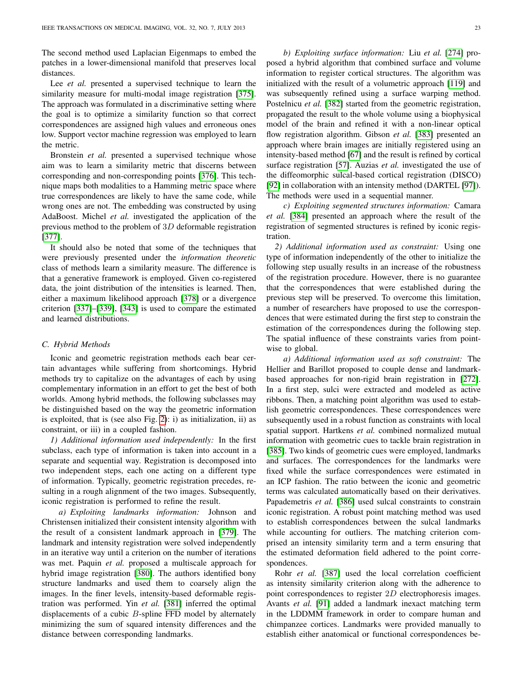The second method used Laplacian Eigenmaps to embed the patches in a lower-dimensional manifold that preserves local distances.

Lee *et al.* presented a supervised technique to learn the similarity measure for multi-modal image registration [375]. The approach was formulated in a discriminative setting where the goal is to optimize a similarity function so that correct correspondences are assigned high values and erroneous ones low. Support vector machine regression was employed to learn the metric.

Bronstein *et al.* presented a supervised technique whose aim was to learn a similarity metric that discerns between corresponding and non-corresponding points [376]. This technique maps both modalities to a Hamming metric space where true correspondences are likely to have the same code, while wrong ones are not. The embedding was constructed by using AdaBoost. Michel *et al.* investigated the application of the previous method to the problem of  $3D$  deformable registration [377].

It should also be noted that some of the techniques that were previously presented under the *information theoretic* class of methods learn a similarity measure. The difference is that a generative framework is employed. Given co-registered data, the joint distribution of the intensities is learned. Then, either a maximum likelihood approach [378] or a divergence criterion [337]–[339], [343] is used to compare the estimated and learned distributions.

#### *C. Hybrid Methods*

Iconic and geometric registration methods each bear certain advantages while suffering from shortcomings. Hybrid methods try to capitalize on the advantages of each by using complementary information in an effort to get the best of both worlds. Among hybrid methods, the following subclasses may be distinguished based on the way the geometric information is exploited, that is (see also Fig. 2): i) as initialization, ii) as constraint, or iii) in a coupled fashion.

*1) Additional information used independently:* In the first subclass, each type of information is taken into account in a separate and sequential way. Registration is decomposed into two independent steps, each one acting on a different type of information. Typically, geometric registration precedes, resulting in a rough alignment of the two images. Subsequently, iconic registration is performed to refine the result.

*a) Exploiting landmarks information:* Johnson and Christensen initialized their consistent intensity algorithm with the result of a consistent landmark approach in [379]. The landmark and intensity registration were solved independently in an iterative way until a criterion on the number of iterations was met. Paquin *et al.* proposed a multiscale approach for hybrid image registration [380]. The authors identified bony structure landmarks and used them to coarsely align the images. In the finer levels, intensity-based deformable registration was performed. Yin *et al.* [381] inferred the optimal displacements of a cubic B-spline FFD model by alternately minimizing the sum of squared intensity differences and the distance between corresponding landmarks.

*b) Exploiting surface information:* Liu *et al.* [274] proposed a hybrid algorithm that combined surface and volume information to register cortical structures. The algorithm was initialized with the result of a volumetric approach [119] and was subsequently refined using a surface warping method. Postelnicu *et al.* [382] started from the geometric registration, propagated the result to the whole volume using a biophysical model of the brain and refined it with a non-linear optical flow registration algorithm. Gibson *et al.* [383] presented an approach where brain images are initially registered using an intensity-based method [67] and the result is refined by cortical surface registration [57]. Auzias *et al.* investigated the use of the diffeomorphic sulcal-based cortical registration (DISCO) [92] in collaboration with an intensity method (DARTEL [97]). The methods were used in a sequential manner.

*c) Exploiting segmented structures information:* Camara *et al.* [384] presented an approach where the result of the registration of segmented structures is refined by iconic registration.

*2) Additional information used as constraint:* Using one type of information independently of the other to initialize the following step usually results in an increase of the robustness of the registration procedure. However, there is no guarantee that the correspondences that were established during the previous step will be preserved. To overcome this limitation, a number of researchers have proposed to use the correspondences that were estimated during the first step to constrain the estimation of the correspondences during the following step. The spatial influence of these constraints varies from pointwise to global.

*a) Additional information used as soft constraint:* The Hellier and Barillot proposed to couple dense and landmarkbased approaches for non-rigid brain registration in [272]. In a first step, sulci were extracted and modeled as active ribbons. Then, a matching point algorithm was used to establish geometric correspondences. These correspondences were subsequently used in a robust function as constraints with local spatial support. Hartkens *et al.* combined normalized mutual information with geometric cues to tackle brain registration in [385]. Two kinds of geometric cues were employed, landmarks and surfaces. The correspondences for the landmarks were fixed while the surface correspondences were estimated in an ICP fashion. The ratio between the iconic and geometric terms was calculated automatically based on their derivatives. Papademetris *et al.* [386] used sulcal constraints to constrain iconic registration. A robust point matching method was used to establish correspondences between the sulcal landmarks while accounting for outliers. The matching criterion comprised an intensity similarity term and a term ensuring that the estimated deformation field adhered to the point correspondences.

Rohr *et al.* [387] used the local correlation coefficient as intensity similarity criterion along with the adherence to point correspondences to register 2D electrophoresis images. Avants *et al.* [91] added a landmark inexact matching term in the LDDMM framework in order to compare human and chimpanzee cortices. Landmarks were provided manually to establish either anatomical or functional correspondences be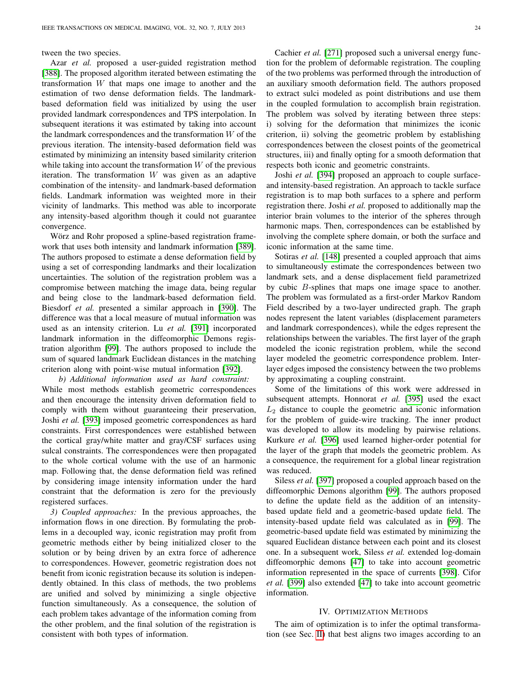tween the two species.

Azar *et al.* proposed a user-guided registration method [388]. The proposed algorithm iterated between estimating the transformation W that maps one image to another and the estimation of two dense deformation fields. The landmarkbased deformation field was initialized by using the user provided landmark correspondences and TPS interpolation. In subsequent iterations it was estimated by taking into account the landmark correspondences and the transformation  $W$  of the previous iteration. The intensity-based deformation field was estimated by minimizing an intensity based similarity criterion while taking into account the transformation  $W$  of the previous iteration. The transformation  $W$  was given as an adaptive combination of the intensity- and landmark-based deformation fields. Landmark information was weighted more in their vicinity of landmarks. This method was able to incorporate any intensity-based algorithm though it could not guarantee convergence.

Wörz and Rohr proposed a spline-based registration framework that uses both intensity and landmark information [389]. The authors proposed to estimate a dense deformation field by using a set of corresponding landmarks and their localization uncertainties. The solution of the registration problem was a compromise between matching the image data, being regular and being close to the landmark-based deformation field. Biesdorf *et al.* presented a similar approach in [390]. The difference was that a local measure of mutual information was used as an intensity criterion. Lu *et al.* [391] incorporated landmark information in the diffeomorphic Demons registration algorithm [99]. The authors proposed to include the sum of squared landmark Euclidean distances in the matching criterion along with point-wise mutual information [392].

*b) Additional information used as hard constraint:* While most methods establish geometric correspondences and then encourage the intensity driven deformation field to comply with them without guaranteeing their preservation, Joshi *et al.* [393] imposed geometric correspondences as hard constraints. First correspondences were established between the cortical gray/white matter and gray/CSF surfaces using sulcal constraints. The correspondences were then propagated to the whole cortical volume with the use of an harmonic map. Following that, the dense deformation field was refined by considering image intensity information under the hard constraint that the deformation is zero for the previously registered surfaces.

*3) Coupled approaches:* In the previous approaches, the information flows in one direction. By formulating the problems in a decoupled way, iconic registration may profit from geometric methods either by being initialized closer to the solution or by being driven by an extra force of adherence to correspondences. However, geometric registration does not benefit from iconic registration because its solution is independently obtained. In this class of methods, the two problems are unified and solved by minimizing a single objective function simultaneously. As a consequence, the solution of each problem takes advantage of the information coming from the other problem, and the final solution of the registration is consistent with both types of information.

Cachier *et al.* [271] proposed such a universal energy function for the problem of deformable registration. The coupling of the two problems was performed through the introduction of an auxiliary smooth deformation field. The authors proposed to extract sulci modeled as point distributions and use them in the coupled formulation to accomplish brain registration. The problem was solved by iterating between three steps: i) solving for the deformation that minimizes the iconic criterion, ii) solving the geometric problem by establishing correspondences between the closest points of the geometrical structures, iii) and finally opting for a smooth deformation that respects both iconic and geometric constraints.

Joshi *et al.* [394] proposed an approach to couple surfaceand intensity-based registration. An approach to tackle surface registration is to map both surfaces to a sphere and perform registration there. Joshi *et al.* proposed to additionally map the interior brain volumes to the interior of the spheres through harmonic maps. Then, correspondences can be established by involving the complete sphere domain, or both the surface and iconic information at the same time.

Sotiras *et al.* [148] presented a coupled approach that aims to simultaneously estimate the correspondences between two landmark sets, and a dense displacement field parametrized by cubic B-splines that maps one image space to another. The problem was formulated as a first-order Markov Random Field described by a two-layer undirected graph. The graph nodes represent the latent variables (displacement parameters and landmark correspondences), while the edges represent the relationships between the variables. The first layer of the graph modeled the iconic registration problem, while the second layer modeled the geometric correspondence problem. Interlayer edges imposed the consistency between the two problems by approximating a coupling constraint.

Some of the limitations of this work were addressed in subsequent attempts. Honnorat *et al.* [395] used the exact  $L_2$  distance to couple the geometric and iconic information for the problem of guide-wire tracking. The inner product was developed to allow its modeling by pairwise relations. Kurkure *et al.* [396] used learned higher-order potential for the layer of the graph that models the geometric problem. As a consequence, the requirement for a global linear registration was reduced.

Siless *et al.* [397] proposed a coupled approach based on the diffeomorphic Demons algorithm [99]. The authors proposed to define the update field as the addition of an intensitybased update field and a geometric-based update field. The intensity-based update field was calculated as in [99]. The geometric-based update field was estimated by minimizing the squared Euclidean distance between each point and its closest one. In a subsequent work, Siless *et al.* extended log-domain diffeomorphic demons [47] to take into account geometric information represented in the space of currents [398]. Cifor *et al.* [399] also extended [47] to take into account geometric information.

#### IV. OPTIMIZATION METHODS

The aim of optimization is to infer the optimal transformation (see Sec. II) that best aligns two images according to an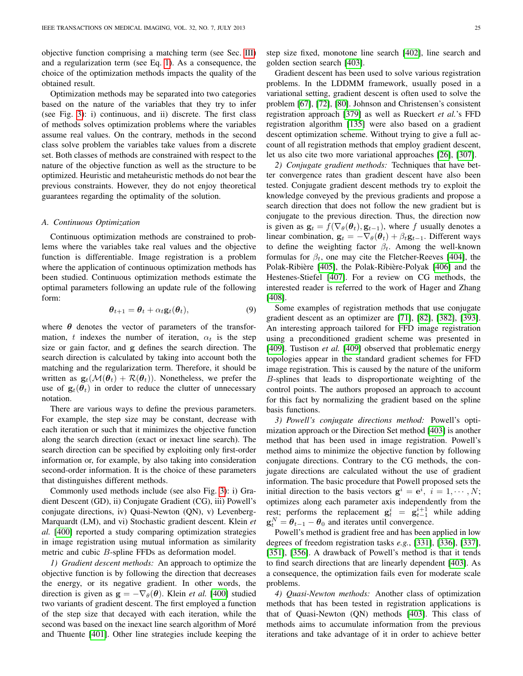objective function comprising a matching term (see Sec. III) and a regularization term (see Eq. 1). As a consequence, the choice of the optimization methods impacts the quality of the obtained result.

Optimization methods may be separated into two categories based on the nature of the variables that they try to infer (see Fig. 3): i) continuous, and ii) discrete. The first class of methods solves optimization problems where the variables assume real values. On the contrary, methods in the second class solve problem the variables take values from a discrete set. Both classes of methods are constrained with respect to the nature of the objective function as well as the structure to be optimized. Heuristic and metaheuristic methods do not bear the previous constraints. However, they do not enjoy theoretical guarantees regarding the optimality of the solution.

#### *A. Continuous Optimization*

Continuous optimization methods are constrained to problems where the variables take real values and the objective function is differentiable. Image registration is a problem where the application of continuous optimization methods has been studied. Continuous optimization methods estimate the optimal parameters following an update rule of the following form:

$$
\boldsymbol{\theta}_{t+1} = \boldsymbol{\theta}_t + \alpha_t \mathbf{g}_t(\boldsymbol{\theta}_t), \tag{9}
$$

where  $\theta$  denotes the vector of parameters of the transformation, t indexes the number of iteration,  $\alpha_t$  is the step size or gain factor, and g defines the search direction. The search direction is calculated by taking into account both the matching and the regularization term. Therefore, it should be written as  $\mathbf{g}_t(\mathcal{M}(\boldsymbol{\theta}_t) + \mathcal{R}(\boldsymbol{\theta}_t))$ . Nonetheless, we prefer the use of  $\mathbf{g}_t(\theta_t)$  in order to reduce the clutter of unnecessary notation.

There are various ways to define the previous parameters. For example, the step size may be constant, decrease with each iteration or such that it minimizes the objective function along the search direction (exact or inexact line search). The search direction can be specified by exploiting only first-order information or, for example, by also taking into consideration second-order information. It is the choice of these parameters that distinguishes different methods.

Commonly used methods include (see also Fig. 3): i) Gradient Descent (GD), ii) Conjugate Gradient (CG), iii) Powell's conjugate directions, iv) Quasi-Newton (QN), v) Levenberg-Marquardt (LM), and vi) Stochastic gradient descent. Klein *et al.* [400] reported a study comparing optimization strategies in image registration using mutual information as similarity metric and cubic B-spline FFDs as deformation model.

*1) Gradient descent methods:* An approach to optimize the objective function is by following the direction that decreases the energy, or its negative gradient. In other words, the direction is given as  $\mathbf{g} = -\nabla_{\theta}(\boldsymbol{\theta})$ . Klein *et al.* [400] studied two variants of gradient descent. The first employed a function of the step size that decayed with each iteration, while the second was based on the inexact line search algorithm of Moré and Thuente [401]. Other line strategies include keeping the step size fixed, monotone line search [402], line search and golden section search [403].

Gradient descent has been used to solve various registration problems. In the LDDMM framework, usually posed in a variational setting, gradient descent is often used to solve the problem [67], [72], [80]. Johnson and Christensen's consistent registration approach [379] as well as Rueckert *et al.*'s FFD registration algorithm [135] were also based on a gradient descent optimization scheme. Without trying to give a full account of all registration methods that employ gradient descent, let us also cite two more variational approaches [26], [307].

*2) Conjugate gradient methods:* Techniques that have better convergence rates than gradient descent have also been tested. Conjugate gradient descent methods try to exploit the knowledge conveyed by the previous gradients and propose a search direction that does not follow the new gradient but is conjugate to the previous direction. Thus, the direction now is given as  $\mathbf{g}_t = f(\nabla_{\theta}(\theta_t), \mathbf{g}_{t-1})$ , where f usually denotes a linear combination,  $\mathbf{g}_t = -\nabla_{\theta}(\theta_t) + \beta_t \mathbf{g}_{t-1}$ . Different ways to define the weighting factor  $\beta_t$ . Among the well-known formulas for  $\beta_t$ , one may cite the Fletcher-Reeves [404], the Polak-Ribière [405], the Polak-Ribière-Polyak [406] and the Hestenes-Stiefel [407]. For a review on CG methods, the interested reader is referred to the work of Hager and Zhang [408].

Some examples of registration methods that use conjugate gradient descent as an optimizer are [71], [82], [382], [393]. An interesting approach tailored for FFD image registration using a preconditioned gradient scheme was presented in [409]. Tustison *et al.* [409] observed that problematic energy topologies appear in the standard gradient schemes for FFD image registration. This is caused by the nature of the uniform B-splines that leads to disproportionate weighting of the control points. The authors proposed an approach to account for this fact by normalizing the gradient based on the spline basis functions.

*3) Powell's conjugate directions method:* Powell's optimization approach or the Direction Set method [403] is another method that has been used in image registration. Powell's method aims to minimize the objective function by following conjugate directions. Contrary to the CG methods, the conjugate directions are calculated without the use of gradient information. The basic procedure that Powell proposed sets the initial direction to the basis vectors  $g^i = e^i$ ,  $i = 1, \dots, N$ ; optimizes along each parameter axis independently from the rest; performs the replacement  $\mathbf{g}_t^i = \mathbf{g}_{t-1}^{i+1}$  while adding  $\mathbf{g}_t^N = \theta_{t-1} - \theta_0$  and iterates until convergence.

Powell's method is gradient free and has been applied in low degrees of freedom registration tasks *e.g.*, [331], [336], [337], [351], [356]. A drawback of Powell's method is that it tends to find search directions that are linearly dependent [403]. As a consequence, the optimization fails even for moderate scale problems.

*4) Quasi-Newton methods:* Another class of optimization methods that has been tested in registration applications is that of Quasi-Newton (QN) methods [403]. This class of methods aims to accumulate information from the previous iterations and take advantage of it in order to achieve better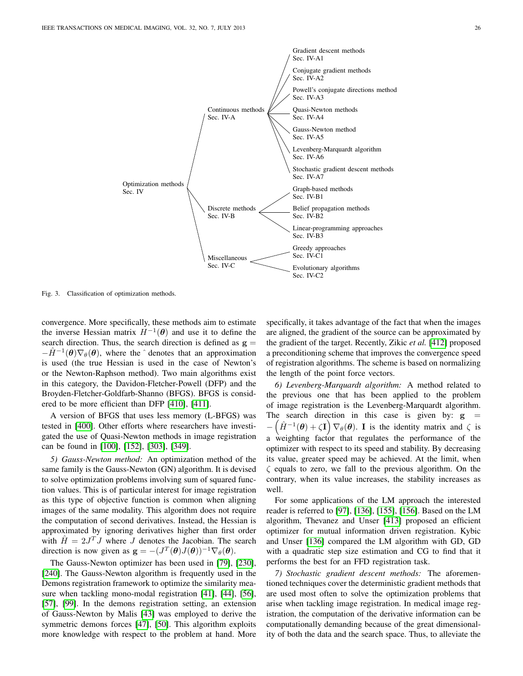

Fig. 3. Classification of optimization methods.

convergence. More specifically, these methods aim to estimate the inverse Hessian matrix  $H^{-1}(\theta)$  and use it to define the search direction. Thus, the search direction is defined as  $g =$  $-\hat{H}^{-1}(\theta)\nabla_{\theta}(\theta)$ , where the  $\hat{ }$  denotes that an approximation is used (the true Hessian is used in the case of Newton's or the Newton-Raphson method). Two main algorithms exist in this category, the Davidon-Fletcher-Powell (DFP) and the Broyden-Fletcher-Goldfarb-Shanno (BFGS). BFGS is considered to be more efficient than DFP [410], [411].

A version of BFGS that uses less memory (L-BFGS) was tested in [400]. Other efforts where researchers have investigated the use of Quasi-Newton methods in image registration can be found in [100], [152], [303], [349].

*5) Gauss-Newton method:* An optimization method of the same family is the Gauss-Newton (GN) algorithm. It is devised to solve optimization problems involving sum of squared function values. This is of particular interest for image registration as this type of objective function is common when aligning images of the same modality. This algorithm does not require the computation of second derivatives. Instead, the Hessian is approximated by ignoring derivatives higher than first order with  $\hat{H} = 2J^T J$  where J denotes the Jacobian. The search direction is now given as  $\mathbf{g} = -(J^T(\boldsymbol{\theta})J(\boldsymbol{\theta}))^{-1} \nabla_{\boldsymbol{\theta}}(\boldsymbol{\theta}).$ 

The Gauss-Newton optimizer has been used in [79], [230], [240]. The Gauss-Newton algorithm is frequently used in the Demons registration framework to optimize the similarity measure when tackling mono-modal registration [41], [44], [56], [57], [99]. In the demons registration setting, an extension of Gauss-Newton by Malis [43] was employed to derive the symmetric demons forces [47], [50]. This algorithm exploits more knowledge with respect to the problem at hand. More specifically, it takes advantage of the fact that when the images are aligned, the gradient of the source can be approximated by the gradient of the target. Recently, Zikic *et al.* [412] proposed a preconditioning scheme that improves the convergence speed of registration algorithms. The scheme is based on normalizing the length of the point force vectors.

*6) Levenberg-Marquardt algorithm:* A method related to the previous one that has been applied to the problem of image registration is the Levenberg-Marquardt algorithm. The search direction in this case is given by:  $g =$  $-\left(\hat{H}^{-1}(\theta)+\zeta I\right)\nabla_{\theta}(\theta)$ . I is the identity matrix and  $\zeta$  is a weighting factor that regulates the performance of the optimizer with respect to its speed and stability. By decreasing its value, greater speed may be achieved. At the limit, when  $\zeta$  equals to zero, we fall to the previous algorithm. On the contrary, when its value increases, the stability increases as well.

For some applications of the LM approach the interested reader is referred to [97], [136], [155], [156]. Based on the LM algorithm, Thevanez and Unser [413] proposed an efficient optimizer for mutual information driven registration. Kybic and Unser [136] compared the LM algorithm with GD, GD with a quadratic step size estimation and CG to find that it performs the best for an FFD registration task.

*7) Stochastic gradient descent methods:* The aforementioned techniques cover the deterministic gradient methods that are used most often to solve the optimization problems that arise when tackling image registration. In medical image registration, the computation of the derivative information can be computationally demanding because of the great dimensionality of both the data and the search space. Thus, to alleviate the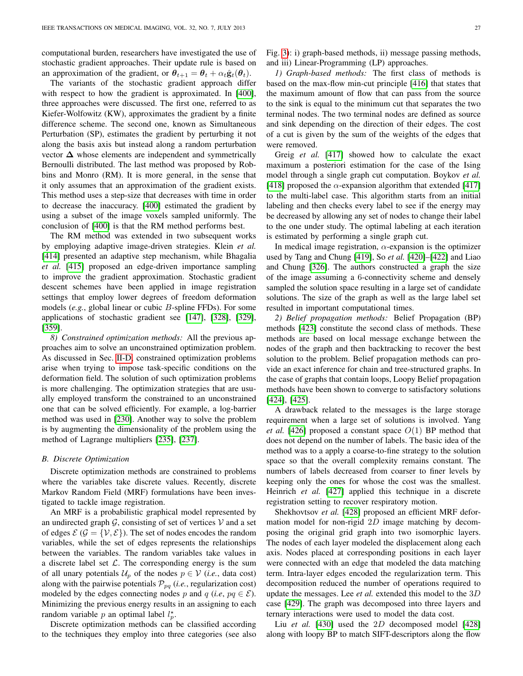computational burden, researchers have investigated the use of stochastic gradient approaches. Their update rule is based on an approximation of the gradient, or  $\theta_{t+1} = \theta_t + \alpha_t \hat{\mathbf{g}}_t(\theta_t)$ .

The variants of the stochastic gradient approach differ with respect to how the gradient is approximated. In [400], three approaches were discussed. The first one, referred to as Kiefer-Wolfowitz (KW), approximates the gradient by a finite difference scheme. The second one, known as Simultaneous Perturbation (SP), estimates the gradient by perturbing it not along the basis axis but instead along a random perturbation vector  $\Delta$  whose elements are independent and symmetrically Bernoulli distributed. The last method was proposed by Robbins and Monro (RM). It is more general, in the sense that it only assumes that an approximation of the gradient exists. This method uses a step-size that decreases with time in order to decrease the inaccuracy. [400] estimated the gradient by using a subset of the image voxels sampled uniformly. The conclusion of [400] is that the RM method performs best.

The RM method was extended in two subsequent works by employing adaptive image-driven strategies. Klein *et al.* [414] presented an adaptive step mechanism, while Bhagalia *et al.* [415] proposed an edge-driven importance sampling to improve the gradient approximation. Stochastic gradient descent schemes have been applied in image registration settings that employ lower degrees of freedom deformation models (*e.g.*, global linear or cubic B-spline FFDs). For some applications of stochastic gradient see [147], [328], [329], [359].

*8) Constrained optimization methods:* All the previous approaches aim to solve an unconstrained optimization problem. As discussed in Sec. II-D, constrained optimization problems arise when trying to impose task-specific conditions on the deformation field. The solution of such optimization problems is more challenging. The optimization strategies that are usually employed transform the constrained to an unconstrained one that can be solved efficiently. For example, a log-barrier method was used in [230]. Another way to solve the problem is by augmenting the dimensionality of the problem using the method of Lagrange multipliers [235], [237].

#### *B. Discrete Optimization*

Discrete optimization methods are constrained to problems where the variables take discrete values. Recently, discrete Markov Random Field (MRF) formulations have been investigated to tackle image registration.

An MRF is a probabilistic graphical model represented by an undirected graph  $G$ , consisting of set of vertices  $V$  and a set of edges  $\mathcal{E}$  ( $\mathcal{G} = \{V, \mathcal{E}\}\)$ ). The set of nodes encodes the random variables, while the set of edges represents the relationships between the variables. The random variables take values in a discrete label set  $\mathcal{L}$ . The corresponding energy is the sum of all unary potentials  $\mathcal{U}_p$  of the nodes  $p \in \mathcal{V}$  (*i.e.*, data cost) along with the pairwise potentials  $\mathcal{P}_{pq}$  (*i.e.*, regularization cost) modeled by the edges connecting nodes p and q (*i.e.*,  $pq \in \mathcal{E}$ ). Minimizing the previous energy results in an assigning to each random variable p an optimal label  $l_p^*$ .

Discrete optimization methods can be classified according to the techniques they employ into three categories (see also Fig. 3): i) graph-based methods, ii) message passing methods, and iii) Linear-Programming (LP) approaches.

*1) Graph-based methods:* The first class of methods is based on the max-flow min-cut principle [416] that states that the maximum amount of flow that can pass from the source to the sink is equal to the minimum cut that separates the two terminal nodes. The two terminal nodes are defined as source and sink depending on the direction of their edges. The cost of a cut is given by the sum of the weights of the edges that were removed.

Greig *et al.* [417] showed how to calculate the exact maximum a posteriori estimation for the case of the Ising model through a single graph cut computation. Boykov *et al.* [418] proposed the  $\alpha$ -expansion algorithm that extended [417] to the multi-label case. This algorithm starts from an initial labeling and then checks every label to see if the energy may be decreased by allowing any set of nodes to change their label to the one under study. The optimal labeling at each iteration is estimated by performing a single graph cut.

In medical image registration,  $\alpha$ -expansion is the optimizer used by Tang and Chung [419], So *et al.* [420]–[422] and Liao and Chung [326]. The authors constructed a graph the size of the image assuming a 6-connectivity scheme and densely sampled the solution space resulting in a large set of candidate solutions. The size of the graph as well as the large label set resulted in important computational times.

*2) Belief propagation methods:* Belief Propagation (BP) methods [423] constitute the second class of methods. These methods are based on local message exchange between the nodes of the graph and then backtracking to recover the best solution to the problem. Belief propagation methods can provide an exact inference for chain and tree-structured graphs. In the case of graphs that contain loops, Loopy Belief propagation methods have been shown to converge to satisfactory solutions [424], [425].

A drawback related to the messages is the large storage requirement when a large set of solutions is involved. Yang *et al.* [426] proposed a constant space  $O(1)$  BP method that does not depend on the number of labels. The basic idea of the method was to a apply a coarse-to-fine strategy to the solution space so that the overall complexity remains constant. The numbers of labels decreased from coarser to finer levels by keeping only the ones for whose the cost was the smallest. Heinrich *et al.* [427] applied this technique in a discrete registration setting to recover respiratory motion.

Shekhovtsov *et al.* [428] proposed an efficient MRF deformation model for non-rigid  $2D$  image matching by decomposing the original grid graph into two isomorphic layers. The nodes of each layer modeled the displacement along each axis. Nodes placed at corresponding positions in each layer were connected with an edge that modeled the data matching term. Intra-layer edges encoded the regularization term. This decomposition reduced the number of operations required to update the messages. Lee *et al.* extended this model to the 3D case [429]. The graph was decomposed into three layers and ternary interactions were used to model the data cost.

Liu *et al.* [430] used the 2D decomposed model [428] along with loopy BP to match SIFT-descriptors along the flow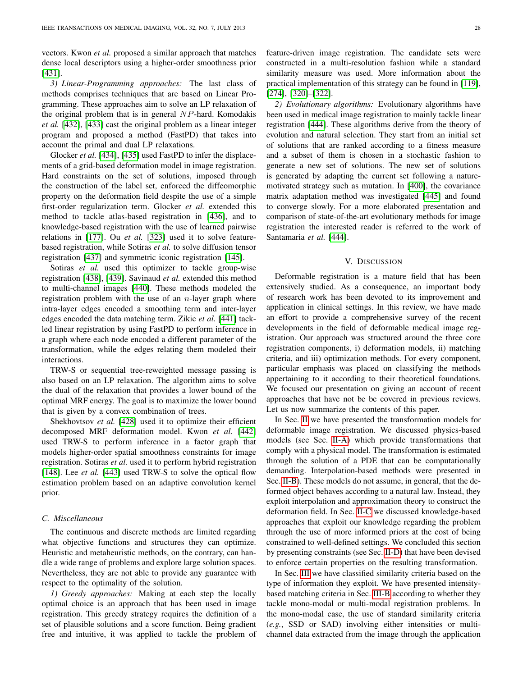vectors. Kwon *et al.* proposed a similar approach that matches dense local descriptors using a higher-order smoothness prior [431].

*3) Linear-Programming approaches:* The last class of methods comprises techniques that are based on Linear Programming. These approaches aim to solve an LP relaxation of the original problem that is in general  $NP$ -hard. Komodakis *et al.* [432], [433] cast the original problem as a linear integer program and proposed a method (FastPD) that takes into account the primal and dual LP relaxations.

Glocker *et al.* [434], [435] used FastPD to infer the displacements of a grid-based deformation model in image registration. Hard constraints on the set of solutions, imposed through the construction of the label set, enforced the diffeomorphic property on the deformation field despite the use of a simple first-order regularization term. Glocker *et al.* extended this method to tackle atlas-based registration in [436], and to knowledge-based registration with the use of learned pairwise relations in [177]. Ou *et al.* [323] used it to solve featurebased registration, while Sotiras *et al.* to solve diffusion tensor registration [437] and symmetric iconic registration [145].

Sotiras *et al.* used this optimizer to tackle group-wise registration [438], [439]. Savinaud *et al.* extended this method to multi-channel images [440]. These methods modeled the registration problem with the use of an  $n$ -layer graph where intra-layer edges encoded a smoothing term and inter-layer edges encoded the data matching term. Zikic *et al.* [441] tackled linear registration by using FastPD to perform inference in a graph where each node encoded a different parameter of the transformation, while the edges relating them modeled their interactions.

TRW-S or sequential tree-reweighted message passing is also based on an LP relaxation. The algorithm aims to solve the dual of the relaxation that provides a lower bound of the optimal MRF energy. The goal is to maximize the lower bound that is given by a convex combination of trees.

Shekhovtsov *et al.* [428] used it to optimize their efficient decomposed MRF deformation model. Kwon *et al.* [442] used TRW-S to perform inference in a factor graph that models higher-order spatial smoothness constraints for image registration. Sotiras *et al.* used it to perform hybrid registration [148]. Lee *et al.* [443] used TRW-S to solve the optical flow estimation problem based on an adaptive convolution kernel prior.

#### *C. Miscellaneous*

The continuous and discrete methods are limited regarding what objective functions and structures they can optimize. Heuristic and metaheuristic methods, on the contrary, can handle a wide range of problems and explore large solution spaces. Nevertheless, they are not able to provide any guarantee with respect to the optimality of the solution.

*1) Greedy approaches:* Making at each step the locally optimal choice is an approach that has been used in image registration. This greedy strategy requires the definition of a set of plausible solutions and a score function. Being gradient free and intuitive, it was applied to tackle the problem of feature-driven image registration. The candidate sets were constructed in a multi-resolution fashion while a standard similarity measure was used. More information about the practical implementation of this strategy can be found in [119], [274], [320]–[322].

*2) Evolutionary algorithms:* Evolutionary algorithms have been used in medical image registration to mainly tackle linear registration [444]. These algorithms derive from the theory of evolution and natural selection. They start from an initial set of solutions that are ranked according to a fitness measure and a subset of them is chosen in a stochastic fashion to generate a new set of solutions. The new set of solutions is generated by adapting the current set following a naturemotivated strategy such as mutation. In [400], the covariance matrix adaptation method was investigated [445] and found to converge slowly. For a more elaborated presentation and comparison of state-of-the-art evolutionary methods for image registration the interested reader is referred to the work of Santamaria *et al.* [444].

#### V. DISCUSSION

Deformable registration is a mature field that has been extensively studied. As a consequence, an important body of research work has been devoted to its improvement and application in clinical settings. In this review, we have made an effort to provide a comprehensive survey of the recent developments in the field of deformable medical image registration. Our approach was structured around the three core registration components, i) deformation models, ii) matching criteria, and iii) optimization methods. For every component, particular emphasis was placed on classifying the methods appertaining to it according to their theoretical foundations. We focused our presentation on giving an account of recent approaches that have not be be covered in previous reviews. Let us now summarize the contents of this paper.

In Sec. II we have presented the transformation models for deformable image registration. We discussed physics-based models (see Sec. II-A) which provide transformations that comply with a physical model. The transformation is estimated through the solution of a PDE that can be computationally demanding. Interpolation-based methods were presented in Sec. II-B). These models do not assume, in general, that the deformed object behaves according to a natural law. Instead, they exploit interpolation and approximation theory to construct the deformation field. In Sec. II-C we discussed knowledge-based approaches that exploit our knowledge regarding the problem through the use of more informed priors at the cost of being constrained to well-defined settings. We concluded this section by presenting constraints (see Sec. II-D) that have been devised to enforce certain properties on the resulting transformation.

In Sec. III we have classified similarity criteria based on the type of information they exploit. We have presented intensitybased matching criteria in Sec. III-B according to whether they tackle mono-modal or multi-modal registration problems. In the mono-modal case, the use of standard similarity criteria (*e.g.*, SSD or SAD) involving either intensities or multichannel data extracted from the image through the application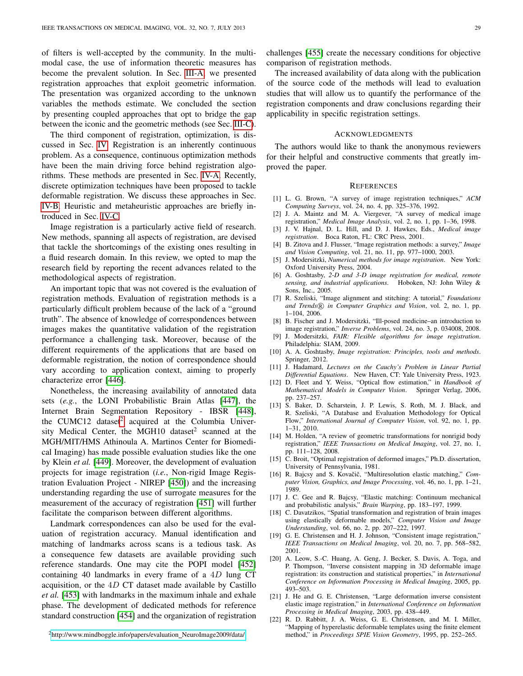of filters is well-accepted by the community. In the multimodal case, the use of information theoretic measures has become the prevalent solution. In Sec. III-A, we presented registration approaches that exploit geometric information. The presentation was organized according to the unknown variables the methods estimate. We concluded the section by presenting coupled approaches that opt to bridge the gap between the iconic and the geometric methods (see Sec. III-C).

The third component of registration, optimization, is discussed in Sec. IV. Registration is an inherently continuous problem. As a consequence, continuous optimization methods have been the main driving force behind registration algorithms. These methods are presented in Sec. IV-A. Recently, discrete optimization techniques have been proposed to tackle deformable registration. We discuss these approaches in Sec. IV-B. Heuristic and metaheuristic approaches are briefly introduced in Sec. IV-C.

Image registration is a particularly active field of research. New methods, spanning all aspects of registration, are devised that tackle the shortcomings of the existing ones resulting in a fluid research domain. In this review, we opted to map the research field by reporting the recent advances related to the methodological aspects of registration.

An important topic that was not covered is the evaluation of registration methods. Evaluation of registration methods is a particularly difficult problem because of the lack of a "ground truth". The absence of knowledge of correspondences between images makes the quantitative validation of the registration performance a challenging task. Moreover, because of the different requirements of the applications that are based on deformable registration, the notion of correspondence should vary according to application context, aiming to properly characterize error [446].

Nonetheless, the increasing availability of annotated data sets (*e.g.*, the LONI Probabilistic Brain Atlas [447], the Internet Brain Segmentation Repository - IBSR [448], the CUMC12 dataset<sup>2</sup> acquired at the Columbia University Medical Center, the MGH10 dataset<sup>2</sup> scanned at the MGH/MIT/HMS Athinoula A. Martinos Center for Biomedical Imaging) has made possible evaluation studies like the one by Klein *et al.* [449]. Moreover, the development of evaluation projects for image registration (*i.e.*, Non-rigid Image Registration Evaluation Project - NIREP [450]) and the increasing understanding regarding the use of surrogate measures for the measurement of the accuracy of registration [451] will further facilitate the comparison between different algorithms.

Landmark correspondences can also be used for the evaluation of registration accuracy. Manual identification and matching of landmarks across scans is a tedious task. As a consequence few datasets are available providing such reference standards. One may cite the POPI model [452] containing 40 landmarks in every frame of a 4D lung CT acquisition, or the 4D CT dataset made available by Castillo *et al.* [453] with landmarks in the maximum inhale and exhale phase. The development of dedicated methods for reference standard construction [454] and the organization of registration

<sup>2</sup>[http://www.mindboggle.info/papers/evaluation](http://www.mindboggle.info/papers/evaluation_NeuroImage2009/data/)\_NeuroImage2009/data/

challenges [455] create the necessary conditions for objective comparison of registration methods.

The increased availability of data along with the publication of the source code of the methods will lead to evaluation studies that will allow us to quantify the performance of the registration components and draw conclusions regarding their applicability in specific registration settings.

#### **ACKNOWLEDGMENTS**

The authors would like to thank the anonymous reviewers for their helpful and constructive comments that greatly improved the paper.

#### **REFERENCES**

- [1] L. G. Brown, "A survey of image registration techniques," *ACM Computing Surveys*, vol. 24, no. 4, pp. 325–376, 1992.
- [2] J. A. Maintz and M. A. Viergever, "A survey of medical image registration," *Medical Image Analysis*, vol. 2, no. 1, pp. 1–36, 1998.
- [3] J. V. Hajnal, D. L. Hill, and D. J. Hawkes, Eds., *Medical image registration*. Boca Raton, FL: CRC Press, 2001.
- [4] B. Zitova and J. Flusser, "Image registration methods: a survey," *Image and Vision Computing*, vol. 21, no. 11, pp. 977–1000, 2003.
- [5] J. Modersitzki, *Numerical methods for image registration*. New York: Oxford University Press, 2004.
- [6] A. Goshtasby, *2-D and 3-D image registration for medical, remote sensing, and industrial applications*. Hoboken, NJ: John Wiley & Sons, Inc., 2005.
- [7] R. Szeliski, "Image alignment and stitching: A tutorial," *Foundations* and Trends<sup>(R)</sup> in Computer Graphics and Vision, vol. 2, no. 1, pp. 1–104, 2006.
- [8] B. Fischer and J. Modersitzki, "Ill-posed medicine–an introduction to image registration," *Inverse Problems*, vol. 24, no. 3, p. 034008, 2008.
- [9] J. Modersitzki, *FAIR: Flexible algorithms for image registration*. Philadelphia: SIAM, 2009.
- [10] A. A. Goshtasby, *Image registration: Principles, tools and methods*. Springer, 2012.
- [11] J. Hadamard, *Lectures on the Cauchy's Problem in Linear Partial Differential Equations*. New Haven, CT: Yale University Press, 1923.
- [12] D. Fleet and Y. Weiss, "Optical flow estimation," in *Handbook of Mathematical Models in Computer Vision*. Springer Verlag, 2006, pp. 237–257.
- [13] S. Baker, D. Scharstein, J. P. Lewis, S. Roth, M. J. Black, and R. Szeliski, "A Database and Evaluation Methodology for Optical Flow," *International Journal of Computer Vision*, vol. 92, no. 1, pp. 1–31, 2010.
- [14] M. Holden, "A review of geometric transformations for nonrigid body registration," *IEEE Transactions on Medical Imaging*, vol. 27, no. 1, pp. 111–128, 2008.
- [15] C. Broit, "Optimal registration of deformed images," Ph.D. dissertation, University of Pennsylvania, 1981.
- [16] R. Bajcsy and S. Kovačič, "Multiresolution elastic matching," Com*puter Vision, Graphics, and Image Processing*, vol. 46, no. 1, pp. 1–21, 1989.
- [17] J. C. Gee and R. Bajcsy, "Elastic matching: Continuum mechanical and probabilistic analysis," *Brain Warping*, pp. 183–197, 1999.
- [18] C. Davatzikos, "Spatial transformation and registration of brain images using elastically deformable models," *Computer Vision and Image Understanding*, vol. 66, no. 2, pp. 207–222, 1997.
- [19] G. E. Christensen and H. J. Johnson, "Consistent image registration," *IEEE Transactions on Medical Imaging*, vol. 20, no. 7, pp. 568–582, 2001.
- [20] A. Leow, S.-C. Huang, A. Geng, J. Becker, S. Davis, A. Toga, and P. Thompson, "Inverse consistent mapping in 3D deformable image registration: its construction and statistical properties," in *International Conference on Information Processing in Medical Imaging*, 2005, pp. 493–503.
- [21] J. He and G. E. Christensen, "Large deformation inverse consistent elastic image registration," in *International Conference on Information Processing in Medical Imaging*, 2003, pp. 438–449.
- [22] R. D. Rabbitt, J. A. Weiss, G. E. Christensen, and M. I. Miller, "Mapping of hyperelastic deformable templates using the finite element method," in *Proceedings SPIE Vision Geometry*, 1995, pp. 252–265.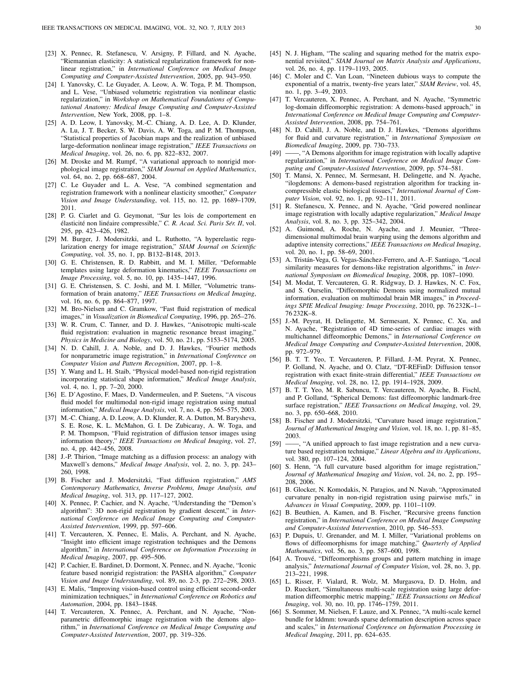- [23] X. Pennec, R. Stefanescu, V. Arsigny, P. Fillard, and N. Ayache, "Riemannian elasticity: A statistical regularization framework for nonlinear registration," in *International Conference on Medical Image Computing and Computer-Assisted Intervention*, 2005, pp. 943–950.
- [24] I. Yanovsky, C. Le Guyader, A. Leow, A. W. Toga, P. M. Thompson, and L. Vese, "Unbiased volumetric registration via nonlinear elastic regularization," in *Workshop on Mathematical Foundations of Computational Anatomy: Medical Image Computing and Computer-Assisted Intervention*, New York, 2008, pp. 1–8.
- [25] A. D. Leow, I. Yanovsky, M.-C. Chiang, A. D. Lee, A. D. Klunder, A. Lu, J. T. Becker, S. W. Davis, A. W. Toga, and P. M. Thompson, "Statistical properties of Jacobian maps and the realization of unbiased large-deformation nonlinear image registration," *IEEE Transactions on Medical Imaging*, vol. 26, no. 6, pp. 822–832, 2007.
- [26] M. Droske and M. Rumpf, "A variational approach to nonrigid morphological image registration," *SIAM Journal on Applied Mathematics*, vol. 64, no. 2, pp. 668–687, 2004.
- [27] C. Le Guyader and L. A. Vese, "A combined segmentation and registration framework with a nonlinear elasticity smoother," *Computer Vision and Image Understanding*, vol. 115, no. 12, pp. 1689–1709, 2011.
- [28] P. G. Ciarlet and G. Geymonat, "Sur les lois de comportement en élasticité non linéaire compressible," C. R. Acad. Sci. Paris Sér. II, vol. 295, pp. 423–426, 1982.
- [29] M. Burger, J. Modersitzki, and L. Ruthotto, "A hyperelastic regularization energy for image registration," *SIAM Journal on Scientific Computing*, vol. 35, no. 1, pp. B132–B148, 2013.
- [30] G. E. Christensen, R. D. Rabbitt, and M. I. Miller, "Deformable templates using large deformation kinematics," *IEEE Transactions on Image Processing*, vol. 5, no. 10, pp. 1435–1447, 1996.
- [31] G. E. Christensen, S. C. Joshi, and M. I. Miller, "Volumetric transformation of brain anatomy," *IEEE Transactions on Medical Imaging*, vol. 16, no. 6, pp. 864–877, 1997.
- [32] M. Bro-Nielsen and C. Gramkow, "Fast fluid registration of medical images," in *Visualization in Biomedical Computing*, 1996, pp. 265–276.
- [33] W. R. Crum, C. Tanner, and D. J. Hawkes, "Anisotropic multi-scale fluid registration: evaluation in magnetic resonance breast imaging," *Physics in Medicine and Biology*, vol. 50, no. 21, pp. 5153–5174, 2005.
- [34] N. D. Cahill, J. A. Noble, and D. J. Hawkes, "Fourier methods for nonparametric image registration," in *International Conference on Computer Vision and Pattern Recognition*, 2007, pp. 1–8.
- [35] Y. Wang and L. H. Staib, "Physical model-based non-rigid registration incorporating statistical shape information," *Medical Image Analysis*, vol. 4, no. 1, pp. 7–20, 2000.
- [36] E. D'Agostino, F. Maes, D. Vandermeulen, and P. Suetens, "A viscous fluid model for multimodal non-rigid image registration using mutual information," *Medical Image Analysis*, vol. 7, no. 4, pp. 565–575, 2003.
- [37] M.-C. Chiang, A. D. Leow, A. D. Klunder, R. A. Dutton, M. Barysheva, S. E. Rose, K. L. McMahon, G. I. De Zubicaray, A. W. Toga, and P. M. Thompson, "Fluid registration of diffusion tensor images using information theory," *IEEE Transactions on Medical Imaging*, vol. 27, no. 4, pp. 442–456, 2008.
- [38] J.-P. Thirion, "Image matching as a diffusion process: an analogy with Maxwell's demons," *Medical Image Analysis*, vol. 2, no. 3, pp. 243– 260, 1998.
- [39] B. Fischer and J. Modersitzki, "Fast diffusion registration," *AMS Contemporary Mathematics, Inverse Problems, Image Analysis, and Medical Imaging*, vol. 313, pp. 117–127, 2002.
- [40] X. Pennec, P. Cachier, and N. Ayache, "Understanding the "Demon's algorithm": 3D non-rigid registration by gradient descent," in *International Conference on Medical Image Computing and Computer-Assisted Intervention*, 1999, pp. 597–606.
- [41] T. Vercauteren, X. Pennec, E. Malis, A. Perchant, and N. Ayache, "Insight into efficient image registration techniques and the Demons algorithm," in *International Conference on Information Processing in Medical Imaging*, 2007, pp. 495–506.
- [42] P. Cachier, E. Bardinet, D. Dormont, X. Pennec, and N. Ayache, "Iconic feature based nonrigid registration: the PASHA algorithm," *Computer Vision and Image Understanding*, vol. 89, no. 2-3, pp. 272–298, 2003.
- [43] E. Malis, "Improving vision-based control using efficient second-order minimization techniques," in *International Conference on Robotics and Automation*, 2004, pp. 1843–1848.
- [44] T. Vercauteren, X. Pennec, A. Perchant, and N. Ayache, "Nonparametric diffeomorphic image registration with the demons algorithm," in *International Conference on Medical Image Computing and Computer-Assisted Intervention*, 2007, pp. 319–326.
- [45] N. J. Higham, "The scaling and squaring method for the matrix exponential revisited," *SIAM Journal on Matrix Analysis and Applications*, vol. 26, no. 4, pp. 1179–1193, 2005.
- [46] C. Moler and C. Van Loan, "Nineteen dubious ways to compute the exponential of a matrix, twenty-five years later," *SIAM Review*, vol. 45, no. 1, pp. 3–49, 2003.
- [47] T. Vercauteren, X. Pennec, A. Perchant, and N. Ayache, "Symmetric log-domain diffeomorphic registration: A demons-based approach," in *International Conference on Medical Image Computing and Computer-Assisted Intervention*, 2008, pp. 754–761.
- [48] N. D. Cahill, J. A. Noble, and D. J. Hawkes, "Demons algorithms for fluid and curvature registration," in *International Symposium on Biomedical Imaging*, 2009, pp. 730–733.
- [49] —, "A Demons algorithm for image registration with locally adaptive regularization," in *International Conference on Medical Image Computing and Computer-Assisted Intervention*, 2009, pp. 574–581.
- [50] T. Mansi, X. Pennec, M. Sermesant, H. Delingette, and N. Ayache, "ilogdemons: A demons-based registration algorithm for tracking incompressible elastic biological tissues," *International Journal of Computer Vision*, vol. 92, no. 1, pp. 92–111, 2011.
- [51] R. Stefanescu, X. Pennec, and N. Ayache, "Grid powered nonlinear image registration with locally adaptive regularization," *Medical Image Analysis*, vol. 8, no. 3, pp. 325–342, 2004.
- [52] A. Guimond, A. Roche, N. Ayache, and J. Meunier, "Threedimensional multimodal brain warping using the demons algorithm and adaptive intensity corrections," *IEEE Transactions on Medical Imaging*, vol. 20, no. 1, pp. 58–69, 2001.
- [53] A. Tristán-Vega, G. Vegas-Sánchez-Ferrero, and A.-F. Santiago, "Local similarity measures for demons-like registration algorithms," in *International Symposium on Biomedical Imaging*, 2008, pp. 1087–1090.
- [54] M. Modat, T. Vercauteren, G. R. Ridgway, D. J. Hawkes, N. C. Fox, and S. Ourselin, "Diffeomorphic Demons using normalized mutual information, evaluation on multimodal brain MR images," in *Proceedings SPIE Medical Imaging: Image Processing*, 2010, pp. 76 232K–1– 76 232K–8.
- [55] J.-M. Peyrat, H. Delingette, M. Sermesant, X. Pennec, C. Xu, and N. Ayache, "Registration of 4D time-series of cardiac images with multichannel diffeomorphic Demons," in *International Conference on Medical Image Computing and Computer-Assisted Intervention*, 2008, pp. 972–979.
- [56] B. T. T. Yeo, T. Vercauteren, P. Fillard, J.-M. Peyrat, X. Pennec, P. Golland, N. Ayache, and O. Clatz, "DT-REFinD: Diffusion tensor registration with exact finite-strain differential," *IEEE Transactions on Medical Imaging*, vol. 28, no. 12, pp. 1914–1928, 2009.
- [57] B. T. T. Yeo, M. R. Sabuncu, T. Vercauteren, N. Ayache, B. Fischl, and P. Golland, "Spherical Demons: fast diffeomorphic landmark-free surface registration," *IEEE Transactions on Medical Imaging*, vol. 29, no. 3, pp. 650–668, 2010.
- [58] B. Fischer and J. Modersitzki, "Curvature based image registration," *Journal of Mathematical Imaging and Vision*, vol. 18, no. 1, pp. 81–85, 2003.
- [59] -, "A unified approach to fast image registration and a new curvature based registration technique," *Linear Algebra and its Applications*, vol. 380, pp. 107–124, 2004.
- [60] S. Henn, "A full curvature based algorithm for image registration," *Journal of Mathematical Imaging and Vision*, vol. 24, no. 2, pp. 195– 208, 2006.
- [61] B. Glocker, N. Komodakis, N. Paragios, and N. Navab, "Approximated curvature penalty in non-rigid registration using pairwise mrfs," in *Advances in Visual Computing*, 2009, pp. 1101–1109.
- [62] B. Beuthien, A. Kamen, and B. Fischer, "Recursive greens function registration," in *International Conference on Medical Image Computing and Computer-Assisted Intervention*, 2010, pp. 546–553.
- [63] P. Dupuis, U. Grenander, and M. I. Miller, "Variational problems on flows of diffeomorphisms for image matching," *Quarterly of Applied Mathematics*, vol. 56, no. 3, pp. 587–600, 1998.
- [64] A. Trouvé, "Diffeomorphisms groups and pattern matching in image analysis," *International Journal of Computer Vision*, vol. 28, no. 3, pp. 213–221, 1998.
- [65] L. Risser, F. Vialard, R. Wolz, M. Murgasova, D. D. Holm, and D. Rueckert, "Simultaneous multi-scale registration using large deformation diffeomorphic metric mapping," *IEEE Transactions on Medical Imaging*, vol. 30, no. 10, pp. 1746–1759, 2011.
- [66] S. Sommer, M. Nielsen, F. Lauze, and X. Pennec, "A multi-scale kernel bundle for lddmm: towards sparse deformation description across space and scales," in *International Conference on Information Processing in Medical Imaging*, 2011, pp. 624–635.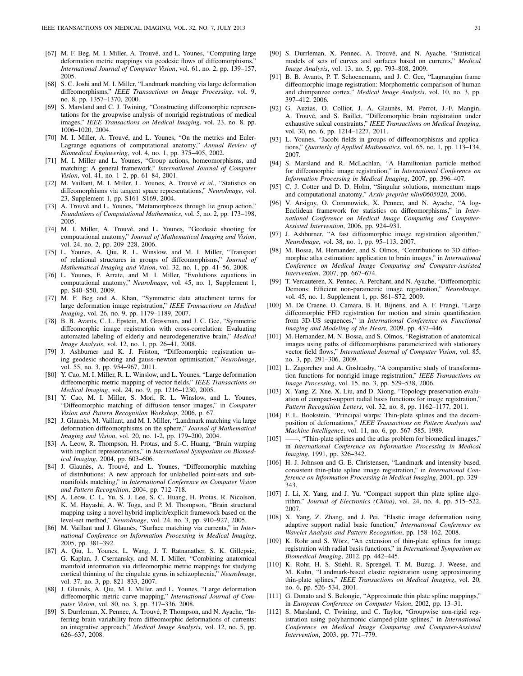- [67] M. F. Beg, M. I. Miller, A. Trouvé, and L. Younes, "Computing large deformation metric mappings via geodesic flows of diffeomorphisms," *International Journal of Computer Vision*, vol. 61, no. 2, pp. 139–157, 2005.
- [68] S. C. Joshi and M. I. Miller, "Landmark matching via large deformation diffeomorphisms," *IEEE Transactions on Image Processing*, vol. 9, no. 8, pp. 1357–1370, 2000.
- [69] S. Marsland and C. J. Twining, "Constructing diffeomorphic representations for the groupwise analysis of nonrigid registrations of medical images," *IEEE Transactions on Medical Imaging*, vol. 23, no. 8, pp. 1006–1020, 2004.
- [70] M. I. Miller, A. Trouvé, and L. Younes, "On the metrics and Euler-Lagrange equations of computational anatomy," *Annual Review of Biomedical Engineering*, vol. 4, no. 1, pp. 375–405, 2002.
- [71] M. I. Miller and L. Younes, "Group actions, homeomorphisms, and matching: A general framework," *International Journal of Computer Vision*, vol. 41, no. 1–2, pp. 61–84, 2001.
- [72] M. Vaillant, M. I. Miller, L. Younes, A. Trouvé et al., "Statistics on diffeomorphisms via tangent space representations," *NeuroImage*, vol. 23, Supplement 1, pp. S161–S169, 2004.
- [73] A. Trouvé and L. Younes, "Metamorphoses through lie group action," *Foundations of Computational Mathematics*, vol. 5, no. 2, pp. 173–198, 2005.
- [74] M. I. Miller, A. Trouvé, and L. Younes, "Geodesic shooting for computational anatomy," *Journal of Mathematical Imaging and Vision*, vol. 24, no. 2, pp. 209–228, 2006.
- [75] L. Younes, A. Qiu, R. L. Winslow, and M. I. Miller, "Transport of relational structures in groups of diffeomorphisms," *Journal of Mathematical Imaging and Vision*, vol. 32, no. 1, pp. 41–56, 2008.
- [76] L. Younes, F. Arrate, and M. I. Miller, "Evolutions equations in computational anatomy," *NeuroImage*, vol. 45, no. 1, Supplement 1, pp. S40–S50, 2009.
- [77] M. F. Beg and A. Khan, "Symmetric data attachment terms for large deformation image registration," *IEEE Transactions on Medical Imaging*, vol. 26, no. 9, pp. 1179–1189, 2007.
- [78] B. B. Avants, C. L. Epstein, M. Grossman, and J. C. Gee, "Symmetric diffeomorphic image registration with cross-correlation: Evaluating automated labeling of elderly and neurodegenerative brain," *Medical Image Analysis*, vol. 12, no. 1, pp. 26–41, 2008.
- [79] J. Ashburner and K. J. Friston, "Diffeomorphic registration using geodesic shooting and gauss–newton optimisation," *NeuroImage*, vol. 55, no. 3, pp. 954–967, 2011.
- [80] Y. Cao, M. I. Miller, R. L. Winslow, and L. Younes, "Large deformation diffeomorphic metric mapping of vector fields," *IEEE Transactions on Medical Imaging*, vol. 24, no. 9, pp. 1216–1230, 2005.
- [81] Y. Cao, M. I. Miller, S. Mori, R. L. Winslow, and L. Younes, "Diffeomorphic matching of diffusion tensor images," in *Computer Vision and Pattern Recognition Workshop*, 2006, p. 67.
- [82] J. Glaunès, M. Vaillant, and M. I. Miller, "Landmark matching via large deformation diffeomorphisms on the sphere," *Journal of Mathematical Imaging and Vision*, vol. 20, no. 1-2, pp. 179–200, 2004.
- [83] A. Leow, R. Thompson, H. Protas, and S.-C. Huang, "Brain warping with implicit representations," in *International Symposium on Biomedical Imaging*, 2004, pp. 603–606.
- [84] J. Glaunès, A. Trouvé, and L. Younes, "Diffeomorphic matching of distributions: A new approach for unlabelled point-sets and submanifolds matching," in *International Conference on Computer Vision and Pattern Recognition*, 2004, pp. 712–718.
- [85] A. Leow, C. L. Yu, S. J. Lee, S. C. Huang, H. Protas, R. Nicolson, K. M. Hayashi, A. W. Toga, and P. M. Thompson, "Brain structural mapping using a novel hybrid implicit/explicit framework based on the level-set method," *NeuroImage*, vol. 24, no. 3, pp. 910–927, 2005.
- [86] M. Vaillant and J. Glaunès, "Surface matching via currents," in Inter*national Conference on Information Processing in Medical Imaging*, 2005, pp. 381–392.
- [87] A. Qiu, L. Younes, L. Wang, J. T. Ratnanather, S. K. Gillepsie, G. Kaplan, J. Csernansky, and M. I. Miller, "Combining anatomical manifold information via diffeomorphic metric mappings for studying cortical thinning of the cingulate gyrus in schizophrenia," *NeuroImage*, vol. 37, no. 3, pp. 821–833, 2007.
- [88] J. Glaunès, A. Qiu, M. I. Miller, and L. Younes, "Large deformation diffeomorphic metric curve mapping," *International Journal of Computer Vision*, vol. 80, no. 3, pp. 317–336, 2008.
- [89] S. Durrleman, X. Pennec, A. Trouvé, P. Thompson, and N. Ayache, "Inferring brain variability from diffeomorphic deformations of currents: an integrative approach," *Medical Image Analysis*, vol. 12, no. 5, pp. 626–637, 2008.
- [90] S. Durrleman, X. Pennec, A. Trouvé, and N. Ayache, "Statistical models of sets of curves and surfaces based on currents," *Medical Image Analysis*, vol. 13, no. 5, pp. 793–808, 2009.
- [91] B. B. Avants, P. T. Schoenemann, and J. C. Gee, "Lagrangian frame diffeomorphic image registration: Morphometric comparison of human and chimpanzee cortex," *Medical Image Analysis*, vol. 10, no. 3, pp. 397–412, 2006.
- [92] G. Auzias, O. Colliot, J. A. Glaunès, M. Perrot, J.-F. Mangin, A. Trouvé, and S. Baillet, "Diffeomorphic brain registration under exhaustive sulcal constraints," *IEEE Transactions on Medical Imaging*, vol. 30, no. 6, pp. 1214–1227, 2011.
- [93] L. Younes, "Jacobi fields in groups of diffeomorphisms and applications," *Quarterly of Applied Mathematics*, vol. 65, no. 1, pp. 113–134, 2007.
- [94] S. Marsland and R. McLachlan, "A Hamiltonian particle method for diffeomorphic image registration," in *International Conference on Information Processing in Medical Imaging*, 2007, pp. 396–407.
- [95] C. J. Cotter and D. D. Holm, "Singular solutions, momentum maps and computational anatomy," *Arxiv preprint nlin/0605020*, 2006.
- [96] V. Arsigny, O. Commowick, X. Pennec, and N. Ayache, "A log-Euclidean framework for statistics on diffeomorphisms," in *International Conference on Medical Image Computing and Computer-Assisted Intervention*, 2006, pp. 924–931.
- [97] J. Ashburner, "A fast diffeomorphic image registration algorithm," *NeuroImage*, vol. 38, no. 1, pp. 95–113, 2007.
- [98] M. Bossa, M. Hernandez, and S. Olmos, "Contributions to 3D diffeomorphic atlas estimation: application to brain images," in *International Conference on Medical Image Computing and Computer-Assisted Intervention*, 2007, pp. 667–674.
- [99] T. Vercauteren, X. Pennec, A. Perchant, and N. Ayache, "Diffeomorphic Demons: Efficient non-parametric image registration," *NeuroImage*, vol. 45, no. 1, Supplement 1, pp. S61–S72, 2009.
- [100] M. De Craene, O. Camara, B. H. Bijnens, and A. F. Frangi, "Large diffeomorphic FFD registration for motion and strain quantification from 3D-US sequences," in *International Conference on Functional Imaging and Modeling of the Heart*, 2009, pp. 437–446.
- [101] M. Hernandez, M. N. Bossa, and S. Olmos, "Registration of anatomical images using paths of diffeomorphisms parameterized with stationary vector field flows," *International Journal of Computer Vision*, vol. 85, no. 3, pp. 291–306, 2009.
- [102] L. Zagorchev and A. Goshtasby, "A comparative study of transformation functions for nonrigid image registration," *IEEE Transactions on Image Processing*, vol. 15, no. 3, pp. 529–538, 2006.
- [103] X. Yang, Z. Xue, X. Liu, and D. Xiong, "Topology preservation evaluation of compact-support radial basis functions for image registration," *Pattern Recognition Letters*, vol. 32, no. 8, pp. 1162–1177, 2011.
- [104] F. L. Bookstein, "Principal warps: Thin-plate splines and the decomposition of deformations," *IEEE Transactions on Pattern Analysis and Machine Intelligence*, vol. 11, no. 6, pp. 567–585, 1989.
- [105] ——, "Thin-plate splines and the atlas problem for biomedical images," in *International Conference on Information Processing in Medical Imaging*, 1991, pp. 326–342.
- [106] H. J. Johnson and G. E. Christensen, "Landmark and intensity-based, consistent thin-plate spline image registration," in *International Conference on Information Processing in Medical Imaging*, 2001, pp. 329– 343.
- [107] J. Li, X. Yang, and J. Yu, "Compact support thin plate spline algorithm," *Journal of Electronics (China)*, vol. 24, no. 4, pp. 515–522, 2007.
- [108] X. Yang, Z. Zhang, and J. Pei, "Elastic image deformation using adaptive support radial basic function," *International Conference on Wavelet Analysis and Pattern Recognition*, pp. 158–162, 2008.
- [109] K. Rohr and S. Wörz, "An extension of thin-plate splines for image registration with radial basis functions," in *International Symposium on Biomedical Imaging*, 2012, pp. 442–445.
- [110] K. Rohr, H. S. Stiehl, R. Sprengel, T. M. Buzug, J. Weese, and M. Kuhn, "Landmark-based elastic registration using approximating thin-plate splines," *IEEE Transactions on Medical Imaging*, vol. 20, no. 6, pp. 526–534, 2001.
- [111] G. Donato and S. Belongie, "Approximate thin plate spline mappings," in *European Conference on Computer Vision*, 2002, pp. 13–31.
- [112] S. Marsland, C. Twining, and C. Taylor, "Groupwise non-rigid registration using polyharmonic clamped-plate splines," in *International Conference on Medical Image Computing and Computer-Assisted Intervention*, 2003, pp. 771–779.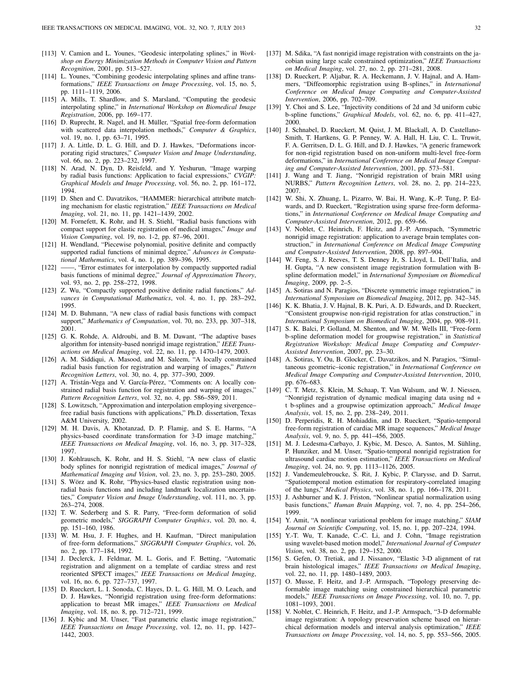- [113] V. Camion and L. Younes, "Geodesic interpolating splines," in *Workshop on Energy Minimization Methods in Computer Vision and Pattern Recognition*, 2001, pp. 513–527.
- [114] L. Younes, "Combining geodesic interpolating splines and affine transformations," *IEEE Transactions on Image Processing*, vol. 15, no. 5, pp. 1111–1119, 2006.
- [115] A. Mills, T. Shardlow, and S. Marsland, "Computing the geodesic interpolating spline," in *International Workshop on Biomedical Image Registration*, 2006, pp. 169–177.
- [116] D. Ruprecht, R. Nagel, and H. Müller, "Spatial free-form deformation with scattered data interpolation methods," *Computer & Graphics*, vol. 19, no. 1, pp. 63–71, 1995.
- [117] J. A. Little, D. L. G. Hill, and D. J. Hawkes, "Deformations incorporating rigid structures," *Computer Vision and Image Understanding*, vol. 66, no. 2, pp. 223-232, 1997.
- [118] N. Arad, N. Dyn, D. Reisfeld, and Y. Yeshurun, "Image warping by radial basis functions: Application to facial expressions," *CVGIP: Graphical Models and Image Processing*, vol. 56, no. 2, pp. 161–172, 1994.
- [119] D. Shen and C. Davatzikos, "HAMMER: hierarchical attribute matching mechanism for elastic registration," *IEEE Transactions on Medical Imaging*, vol. 21, no. 11, pp. 1421–1439, 2002.
- [120] M. Fornefett, K. Rohr, and H. S. Stiehl, "Radial basis functions with compact support for elastic registration of medical images," *Image and Vision Computing*, vol. 19, no. 1-2, pp. 87–96, 2001.
- [121] H. Wendland, "Piecewise polynomial, positive definite and compactly supported radial functions of minimal degree," *Advances in Computational Mathematics*, vol. 4, no. 1, pp. 389–396, 1995.
- [122] ——, "Error estimates for interpolation by compactly supported radial basis functions of minimal degree," *Journal of Approximation Theory*, vol. 93, no. 2, pp. 258–272, 1998.
- [123] Z. Wu, "Compactly supported positive definite radial functions," *Advances in Computational Mathematics*, vol. 4, no. 1, pp. 283–292, 1995.
- [124] M. D. Buhmann, "A new class of radial basis functions with compact support," *Mathematics of Computation*, vol. 70, no. 233, pp. 307–318, 2001.
- [125] G. K. Rohde, A. Aldroubi, and B. M. Dawant, "The adaptive bases algorithm for intensity-based nonrigid image registration," *IEEE Transactions on Medical Imaging*, vol. 22, no. 11, pp. 1470–1479, 2003.
- [126] A. M. Siddiqui, A. Masood, and M. Saleem, "A locally constrained radial basis function for registration and warping of images," *Pattern Recognition Letters*, vol. 30, no. 4, pp. 377–390, 2009.
- [127] A. Tristán-Vega and V. García-Pérez, "Comments on: A locally constrained radial basis function for registration and warping of images," *Pattern Recognition Letters*, vol. 32, no. 4, pp. 586–589, 2011.
- [128] S. Lowitzsch, "Approximation and interpolation employing sivergencefree radial basis functions with applications," Ph.D. dissertation, Texas A&M University, 2002.
- [129] M. H. Davis, A. Khotanzad, D. P. Flamig, and S. E. Harms, "A physics-based coordinate transformation for 3-D image matching," *IEEE Transactions on Medical Imaging*, vol. 16, no. 3, pp. 317–328, 1997.
- [130] J. Kohlrausch, K. Rohr, and H. S. Stiehl, "A new class of elastic body splines for nonrigid registration of medical images," *Journal of Mathematical Imaging and Vision*, vol. 23, no. 3, pp. 253–280, 2005.
- [131] S. Wörz and K. Rohr, "Physics-based elastic registration using nonradial basis functions and including landmark localization uncertainties," *Computer Vision and Image Understanding*, vol. 111, no. 3, pp. 263–274, 2008.
- [132] T. W. Sederberg and S. R. Parry, "Free-form deformation of solid geometric models," *SIGGRAPH Computer Graphics*, vol. 20, no. 4, pp. 151–160, 1986.
- [133] W. M. Hsu, J. F. Hughes, and H. Kaufman, "Direct manipulation of free-form deformations," *SIGGRAPH Computer Graphics*, vol. 26, no. 2, pp. 177–184, 1992.
- [134] J. Declerck, J. Feldmar, M. L. Goris, and F. Betting, "Automatic registration and alignment on a template of cardiac stress and rest reoriented SPECT images," *IEEE Transactions on Medical Imaging*, vol. 16, no. 6, pp. 727–737, 1997.
- [135] D. Rueckert, L. I. Sonoda, C. Hayes, D. L. G. Hill, M. O. Leach, and D. J. Hawkes, "Nonrigid registration using free-form deformations: application to breast MR images," *IEEE Transactions on Medical Imaging*, vol. 18, no. 8, pp. 712–721, 1999.
- [136] J. Kybic and M. Unser, "Fast parametric elastic image registration," *IEEE Transactions on Image Processing*, vol. 12, no. 11, pp. 1427– 1442, 2003.
- [137] M. Sdika, "A fast nonrigid image registration with constraints on the jacobian using large scale constrained optimization," *IEEE Transactions on Medical Imaging*, vol. 27, no. 2, pp. 271–281, 2008.
- [138] D. Rueckert, P. Aljabar, R. A. Heckemann, J. V. Hajnal, and A. Hammers, "Diffeomorphic registration using B-splines," in *International Conference on Medical Image Computing and Computer-Assisted Intervention*, 2006, pp. 702–709.
- [139] Y. Choi and S. Lee, "Injectivity conditions of 2d and 3d uniform cubic b-spline functions," *Graphical Models*, vol. 62, no. 6, pp. 411–427, 2000.
- [140] J. Schnabel, D. Rueckert, M. Quist, J. M. Blackall, A. D. Castellano-Smith, T. Hartkens, G. P. Penney, W. A. Hall, H. Liu, C. L. Truwit, F. A. Gerritsen, D. L. G. Hill, and D. J. Hawkes, "A generic framework for non-rigid registration based on non-uniform multi-level free-form deformations," in *International Conference on Medical Image Computing and Computer-Assisted Intervention*, 2001, pp. 573–581.
- [141] J. Wang and T. Jiang, "Nonrigid registration of brain MRI using NURBS," *Pattern Recognition Letters*, vol. 28, no. 2, pp. 214–223, 2007.
- [142] W. Shi, X. Zhuang, L. Pizarro, W. Bai, H. Wang, K.-P. Tung, P. Edwards, and D. Rueckert, "Registration using sparse free-form deformations," in *International Conference on Medical Image Computing and Computer-Assisted Intervention*, 2012, pp. 659–66.
- [143] V. Noblet, C. Heinrich, F. Heitz, and J.-P. Armspach, "Symmetric nonrigid image registration: application to average brain templates construction," in *International Conference on Medical Image Computing and Computer-Assisted Intervention*, 2008, pp. 897–904.
- [144] W. Feng, S. J. Reeves, T. S. Denney Jr, S. Lloyd, L. Dell'Italia, and H. Gupta, "A new consistent image registration formulation with Bspline deformation model," in *International Symposium on Biomedical Imaging*, 2009, pp. 2–5.
- [145] A. Sotiras and N. Paragios, "Discrete symmetric image registration," in *International Symposium on Biomedical Imaging*, 2012, pp. 342–345.
- [146] K. K. Bhatia, J. V. Hajnal, B. K. Puri, A. D. Edwards, and D. Rueckert, "Consistent groupwise non-rigid registration for atlas construction," in *International Symposium on Biomedical Imaging*, 2004, pp. 908–911.
- [147] S. K. Balci, P. Golland, M. Shenton, and W. M. Wells III, "Free-form b-spline deformation model for groupwise registration," in *Statistical Registration Workshop: Medical Image Computing and Computer-Assisted Intervention*, 2007, pp. 23–30.
- [148] A. Sotiras, Y. Ou, B. Glocker, C. Davatzikos, and N. Paragios, "Simultaneous geometric–iconic registration," in *International Conference on Medical Image Computing and Computer-Assisted Intervention*, 2010, pp. 676–683.
- [149] C. T. Metz, S. Klein, M. Schaap, T. Van Walsum, and W. J. Niessen, "Nonrigid registration of dynamic medical imaging data using nd + t b-splines and a groupwise optimization approach," *Medical Image Analysis*, vol. 15, no. 2, pp. 238–249, 2011.
- [150] D. Perperidis, R. H. Mohiaddin, and D. Rueckert, "Spatio-temporal free-form registration of cardiac MR image sequences," *Medical Image Analysis*, vol. 9, no. 5, pp. 441–456, 2005.
- [151] M. J. Ledesma-Carbayo, J. Kybic, M. Desco, A. Santos, M. Sühling, P. Hunziker, and M. Unser, "Spatio-temporal nonrigid registration for ultrasound cardiac motion estimation," *IEEE Transactions on Medical Imaging*, vol. 24, no. 9, pp. 1113–1126, 2005.
- [152] J. Vandemeulebroucke, S. Rit, J. Kybic, P. Clarysse, and D. Sarrut, "Spatiotemporal motion estimation for respiratory-correlated imaging of the lungs," *Medical Physics*, vol. 38, no. 1, pp. 166–178, 2011.
- [153] J. Ashburner and K. J. Friston, "Nonlinear spatial normalization using basis functions," *Human Brain Mapping*, vol. 7, no. 4, pp. 254–266, 1999.
- [154] Y. Amit, "A nonlinear variational problem for image matching," *SIAM Journal on Scientific Computing*, vol. 15, no. 1, pp. 207–224, 1994.
- [155] Y.-T. Wu, T. Kanade, C.-C. Li, and J. Cohn, "Image registration using wavelet-based motion model," *International Journal of Computer Vision*, vol. 38, no. 2, pp. 129–152, 2000.
- [156] S. Gefen, O. Tretiak, and J. Nissanov, "Elastic 3-D alignment of rat brain histological images," *IEEE Transactions on Medical Imaging*, vol. 22, no. 11, pp. 1480–1489, 2003.
- [157] O. Musse, F. Heitz, and J.-P. Armspach, "Topology preserving deformable image matching using constrained hierarchical parametric models," *IEEE Transactions on Image Processing*, vol. 10, no. 7, pp. 1081–1093, 2001.
- [158] V. Noblet, C. Heinrich, F. Heitz, and J.-P. Armspach, "3-D deformable image registration: A topology preservation scheme based on hierarchical deformation models and interval analysis optimization," *IEEE Transactions on Image Processing*, vol. 14, no. 5, pp. 553–566, 2005.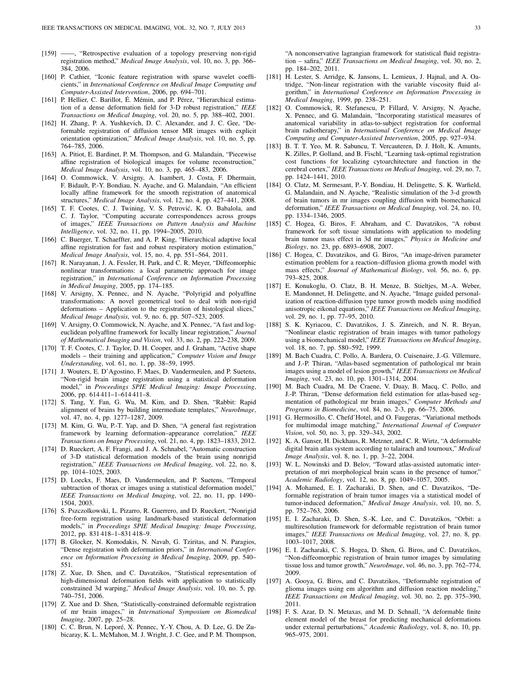- [159] -, "Retrospective evaluation of a topology preserving non-rigid registration method," *Medical Image Analysis*, vol. 10, no. 3, pp. 366– 384, 2006.
- [160] P. Cathier, "Iconic feature registration with sparse wavelet coefficients," in *International Conference on Medical Image Computing and Computer-Assisted Intervention*, 2006, pp. 694–701.
- [161] P. Hellier, C. Barillot, É. Mémin, and P. Pérez, "Hierarchical estimation of a dense deformation field for 3-D robust registration," *IEEE Transactions on Medical Imaging*, vol. 20, no. 5, pp. 388–402, 2001.
- [162] H. Zhang, P. A. Yushkevich, D. C. Alexander, and J. C. Gee, "Deformable registration of diffusion tensor MR images with explicit orientation optimization," *Medical Image Analysis*, vol. 10, no. 5, pp. 764–785, 2006.
- [163] A. Pitiot, E. Bardinet, P. M. Thompson, and G. Malandain, "Piecewise affine registration of biological images for volume reconstruction," *Medical Image Analysis*, vol. 10, no. 3, pp. 465–483, 2006.
- [164] O. Commowick, V. Arsigny, A. Isambert, J. Costa, F. Dhermain, F. Bidault, P.-Y. Bondiau, N. Ayache, and G. Malandain, "An efficient locally affine framework for the smooth registration of anatomical structures," *Medical Image Analysis*, vol. 12, no. 4, pp. 427–441, 2008.
- [165] T. F. Cootes, C. J. Twining, V. S. Petrović, K. O. Babalola, and C. J. Taylor, "Computing accurate correspondences across groups of images," *IEEE Transactions on Pattern Analysis and Machine Intelligence*, vol. 32, no. 11, pp. 1994–2005, 2010.
- [166] C. Buerger, T. Schaeffter, and A. P. King, "Hierarchical adaptive local affine registration for fast and robust respiratory motion estimation," *Medical Image Analysis*, vol. 15, no. 4, pp. 551–564, 2011.
- [167] R. Narayanan, J. A. Fessler, H. Park, and C. R. Meyer, "Diffeomorphic nonlinear transformations: a local parametric approach for image registration," in *International Conference on Information Processing in Medical Imaging*, 2005, pp. 174–185.
- [168] V. Arsigny, X. Pennec, and N. Ayache, "Polyrigid and polyaffine transformations: A novel geometrical tool to deal with non-rigid deformations – Application to the registration of histological slices," *Medical Image Analysis*, vol. 9, no. 6, pp. 507–523, 2005.
- [169] V. Arsigny, O. Commowick, N. Ayache, and X. Pennec, "A fast and logeuclidean polyaffine framework for locally linear registration," *Journal of Mathematical Imaging and Vision*, vol. 33, no. 2, pp. 222–238, 2009.
- [170] T. F. Cootes, C. J. Taylor, D. H. Cooper, and J. Graham, "Active shape models – their training and application," *Computer Vision and Image Understanding*, vol. 61, no. 1, pp. 38–59, 1995.
- [171] J. Wouters, E. D'Agostino, F. Maes, D. Vandermeulen, and P. Suetens, "Non-rigid brain image registration using a statistical deformation model," in *Proceedings SPIE Medical Imaging: Image Processing*, 2006, pp. 614 411–1–614 411–8.
- [172] S. Tang, Y. Fan, G. Wu, M. Kim, and D. Shen, "Rabbit: Rapid alignment of brains by building intermediate templates," *NeuroImage*, vol. 47, no. 4, pp. 1277–1287, 2009.
- [173] M. Kim, G. Wu, P.-T. Yap, and D. Shen, "A general fast registration framework by learning deformation–appearance correlation," *IEEE Transactions on Image Processing*, vol. 21, no. 4, pp. 1823–1833, 2012.
- [174] D. Rueckert, A. F. Frangi, and J. A. Schnabel, "Automatic construction of 3-D statistical deformation models of the brain using nonrigid registration," *IEEE Transactions on Medical Imaging*, vol. 22, no. 8, pp. 1014–1025, 2003.
- [175] D. Loeckx, F. Maes, D. Vandermeulen, and P. Suetens, "Temporal subtraction of thorax cr images using a statistical deformation model," *IEEE Transactions on Medical Imaging*, vol. 22, no. 11, pp. 1490– 1504, 2003.
- [176] S. Pszczolkowski, L. Pizarro, R. Guerrero, and D. Rueckert, "Nonrigid free-form registration using landmark-based statistical deformation models," in *Proceedings SPIE Medical Imaging: Image Processing*, 2012, pp. 831 418–1–831 418–9.
- [177] B. Glocker, N. Komodakis, N. Navab, G. Tziritas, and N. Paragios, "Dense registration with deformation priors," in *International Conference on Information Processing in Medical Imaging*, 2009, pp. 540– 551.
- [178] Z. Xue, D. Shen, and C. Davatzikos, "Statistical representation of high-dimensional deformation fields with application to statistically constrained 3d warping," *Medical Image Analysis*, vol. 10, no. 5, pp. 740–751, 2006.
- [179] Z. Xue and D. Shen, "Statistically-constrained deformable registration of mr brain images," in *International Symposium on Biomedical Imaging*, 2007, pp. 25–28.
- [180] C. C. Brun, N. Leporé, X. Pennec, Y.-Y. Chou, A. D. Lee, G. De Zubicaray, K. L. McMahon, M. J. Wright, J. C. Gee, and P. M. Thompson,

"A nonconservative lagrangian framework for statistical fluid registration – safira," *IEEE Transactions on Medical Imaging*, vol. 30, no. 2, pp. 184–202, 2011.

- [181] H. Lester, S. Arridge, K. Jansons, L. Lemieux, J. Hajnal, and A. Oatridge, "Non-linear registration with the variable viscosity fluid algorithm," in *International Conference on Information Processing in Medical Imaging*, 1999, pp. 238–251.
- [182] O. Commowick, R. Stefanescu, P. Fillard, V. Arsigny, N. Ayache, X. Pennec, and G. Malandain, "Incorporating statistical measures of anatomical variability in atlas-to-subject registration for conformal brain radiotherapy," in *International Conference on Medical Image Computing and Computer-Assisted Intervention*, 2005, pp. 927–934.
- [183] B. T. T. Yeo, M. R. Sabuncu, T. Vercauteren, D. J. Holt, K. Amunts, K. Zilles, P. Golland, and B. Fischl, "Learning task-optimal registration cost functions for localizing cytoarchitecture and function in the cerebral cortex," *IEEE Transactions on Medical Imaging*, vol. 29, no. 7, pp. 1424–1441, 2010.
- [184] O. Clatz, M. Sermesant, P.-Y. Bondiau, H. Delingette, S. K. Warfield, G. Malandain, and N. Ayache, "Realistic simulation of the 3-d growth of brain tumors in mr images coupling diffusion with biomechanical deformation," *IEEE Transactions on Medical Imaging*, vol. 24, no. 10, pp. 1334–1346, 2005.
- [185] C. Hogea, G. Biros, F. Abraham, and C. Davatzikos, "A robust framework for soft tissue simulations with application to modeling brain tumor mass effect in 3d mr images," *Physics in Medicine and Biology*, no. 23, pp. 6893–6908, 2007.
- [186] C. Hogea, C. Davatzikos, and G. Biros, "An image-driven parameter estimation problem for a reaction–diffusion glioma growth model with mass effects," *Journal of Mathematical Biology*, vol. 56, no. 6, pp. 793–825, 2008.
- [187] E. Konukoglu, O. Clatz, B. H. Menze, B. Stieltjes, M.-A. Weber, E. Mandonnet, H. Delingette, and N. Ayache, "Image guided personalization of reaction-diffusion type tumor growth models using modified anisotropic eikonal equations," *IEEE Transactions on Medical Imaging*, vol. 29, no. 1, pp. 77–95, 2010.
- [188] S. K. Kyriacou, C. Davatzikos, J. S. Zinreich, and N. R. Bryan, "Nonlinear elastic registration of brain images with tumor pathology using a biomechanical model," *IEEE Transactions on Medical Imaging*, vol. 18, no. 7, pp. 580–592, 1999.
- [189] M. Bach Cuadra, C. Pollo, A. Bardera, O. Cuisenaire, J.-G. Villemure, and J.-P. Thiran, "Atlas-based segmentation of pathological mr brain images using a model of lesion growth," *IEEE Transactions on Medical Imaging*, vol. 23, no. 10, pp. 1301–1314, 2004.
- [190] M. Bach Cuadra, M. De Craene, V. Duay, B. Macq, C. Pollo, and J.-P. Thiran, "Dense deformation field estimation for atlas-based segmentation of pathological mr brain images," *Computer Methods and Programs in Biomedicine*, vol. 84, no. 2-3, pp. 66–75, 2006.
- [191] G. Hermosillo, C. Chefd'Hotel, and O. Faugeras, "Variational methods for multimodal image matching," *International Journal of Computer Vision*, vol. 50, no. 3, pp. 329–343, 2002.
- [192] K. A. Ganser, H. Dickhaus, R. Metzner, and C. R. Wirtz, "A deformable digital brain atlas system according to talairach and tournoux," *Medical Image Analysis*, vol. 8, no. 1, pp. 3–22, 2004.
- [193] W. L. Nowinski and D. Belov, "Toward atlas-assisted automatic interpretation of mri morphological brain scans in the presence of tumor," *Academic Radiology*, vol. 12, no. 8, pp. 1049–1057, 2005.
- [194] A. Mohamed, E. I. Zacharaki, D. Shen, and C. Davatzikos, "Deformable registration of brain tumor images via a statistical model of tumor-induced deformation," *Medical Image Analysis*, vol. 10, no. 5, pp. 752–763, 2006.
- [195] E. I. Zacharaki, D. Shen, S.-K. Lee, and C. Davatzikos, "Orbit: a multiresolution framework for deformable registration of brain tumor images," *IEEE Transactions on Medical Imaging*, vol. 27, no. 8, pp. 1003–1017, 2008.
- [196] E. I. Zacharaki, C. S. Hogea, D. Shen, G. Biros, and C. Davatzikos, "Non-diffeomorphic registration of brain tumor images by simulating tissue loss and tumor growth," *NeuroImage*, vol. 46, no. 3, pp. 762–774, 2009.
- [197] A. Gooya, G. Biros, and C. Davatzikos, "Deformable registration of glioma images using em algorithm and diffusion reaction modeling," *IEEE Transactions on Medical Imaging*, vol. 30, no. 2, pp. 375–390, 2011.
- [198] F. S. Azar, D. N. Metaxas, and M. D. Schnall, "A deformable finite element model of the breast for predicting mechanical deformations under external perturbations," *Academic Radiology*, vol. 8, no. 10, pp. 965–975, 2001.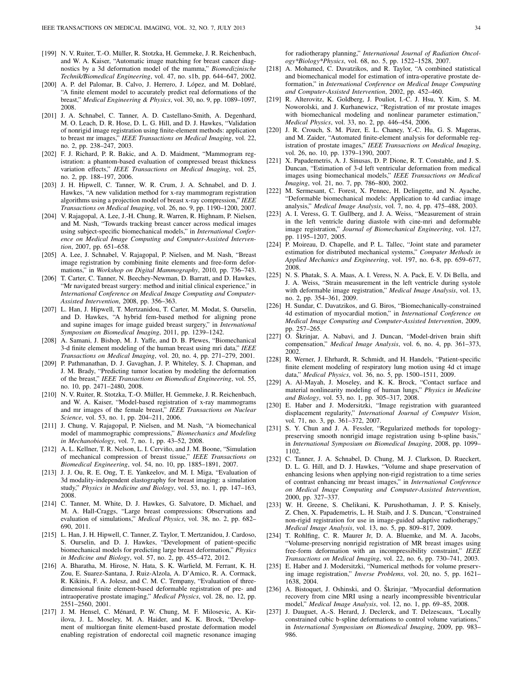- [199] N. V. Ruiter, T.-O. Müller, R. Stotzka, H. Gemmeke, J. R. Reichenbach, and W. A. Kaiser, "Automatic image matching for breast cancer diagnostics by a 3d deformation model of the mamma," *Biomedizinische Technik/Biomedical Engineering*, vol. 47, no. s1b, pp. 644–647, 2002.
- $[200]$  A. P. del Palomar, B. Calvo, J. Herrero, J. López, and M. Doblaré, "A finite element model to accurately predict real deformations of the breast," *Medical Engineering & Physics*, vol. 30, no. 9, pp. 1089–1097, 2008.
- [201] J. A. Schnabel, C. Tanner, A. D. Castellano-Smith, A. Degenhard, M. O. Leach, D. R. Hose, D. L. G. Hill, and D. J. Hawkes, "Validation of nonrigid image registration using finite-element methods: application to breast mr images," *IEEE Transactions on Medical Imaging*, vol. 22, no. 2, pp. 238–247, 2003.
- [202] F. J. Richard, P. R. Bakic, and A. D. Maidment, "Mammogram registration: a phantom-based evaluation of compressed breast thickness variation effects," *IEEE Transactions on Medical Imaging*, vol. 25, no. 2, pp. 188–197, 2006.
- [203] J. H. Hipwell, C. Tanner, W. R. Crum, J. A. Schnabel, and D. J. Hawkes, "A new validation method for x-ray mammogram registration algorithms using a projection model of breast x-ray compression," *IEEE Transactions on Medical Imaging*, vol. 26, no. 9, pp. 1190–1200, 2007.
- [204] V. Rajagopal, A. Lee, J.-H. Chung, R. Warren, R. Highnam, P. Nielsen, and M. Nash, "Towards tracking breast cancer across medical images using subject-specific biomechanical models," in *International Conference on Medical Image Computing and Computer-Assisted Intervention*, 2007, pp. 651–658.
- [205] A. Lee, J. Schnabel, V. Rajagopal, P. Nielsen, and M. Nash, "Breast image registration by combining finite elements and free-form deformations," in *Workshop on Digital Mammography*, 2010, pp. 736–743.
- [206] T. Carter, C. Tanner, N. Beechey-Newman, D. Barratt, and D. Hawkes, "Mr navigated breast surgery: method and initial clinical experience," in *International Conference on Medical Image Computing and Computer-Assisted Intervention*, 2008, pp. 356–363.
- [207] L. Han, J. Hipwell, T. Mertzanidou, T. Carter, M. Modat, S. Ourselin, and D. Hawkes, "A hybrid fem-based method for aligning prone and supine images for image guided breast surgery," in *International Symposium on Biomedical Imaging*, 2011, pp. 1239–1242.
- [208] A. Samani, J. Bishop, M. J. Yaffe, and D. B. Plewes, "Biomechanical 3-d finite element modeling of the human breast using mri data," *IEEE Transactions on Medical Imaging*, vol. 20, no. 4, pp. 271–279, 2001.
- [209] P. Pathmanathan, D. J. Gavaghan, J. P. Whiteley, S. J. Chapman, and J. M. Brady, "Predicting tumor location by modeling the deformation of the breast," *IEEE Transactions on Biomedical Engineering*, vol. 55, no. 10, pp. 2471–2480, 2008.
- [210] N. V. Ruiter, R. Stotzka, T.-O. Müller, H. Gemmeke, J. R. Reichenbach, and W. A. Kaiser, "Model-based registration of x-ray mammograms and mr images of the female breast," *IEEE Transactions on Nuclear Science*, vol. 53, no. 1, pp. 204–211, 2006.
- [211] J. Chung, V. Rajagopal, P. Nielsen, and M. Nash, "A biomechanical model of mammographic compressions," *Biomechanics and Modeling in Mechanobiology*, vol. 7, no. 1, pp. 43–52, 2008.
- [212] A. L. Kellner, T. R. Nelson, L. I. Cerviño, and J. M. Boone, "Simulation of mechanical compression of breast tissue," *IEEE Transactions on Biomedical Engineering*, vol. 54, no. 10, pp. 1885–1891, 2007.
- [213] J. J. Ou, R. E. Ong, T. E. Yankeelov, and M. I. Miga, "Evaluation of 3d modality-independent elastography for breast imaging: a simulation study," *Physics in Medicine and Biology*, vol. 53, no. 1, pp. 147–163, 2008.
- [214] C. Tanner, M. White, D. J. Hawkes, G. Salvatore, D. Michael, and M. A. Hall-Craggs, "Large breast compressions: Observations and evaluation of simulations," *Medical Physics*, vol. 38, no. 2, pp. 682– 690, 2011.
- [215] L. Han, J. H. Hipwell, C. Tanner, Z. Taylor, T. Mertzanidou, J. Cardoso, S. Ourselin, and D. J. Hawkes, "Development of patient-specific biomechanical models for predicting large breast deformation," *Physics in Medicine and Biology*, vol. 57, no. 2, pp. 455–472, 2012.
- [216] A. Bharatha, M. Hirose, N. Hata, S. K. Warfield, M. Ferrant, K. H. Zou, E. Suarez-Santana, J. Ruiz-Alzola, A. D'Amico, R. A. Cormack, R. Kikinis, F. A. Jolesz, and C. M. C. Tempany, "Evaluation of threedimensional finite element-based deformable registration of pre- and intraoperative prostate imaging," *Medical Physics*, vol. 28, no. 12, pp. 2551–2560, 2001.
- [217] J. M. Hensel, C. Ménard, P. W. Chung, M. F. Milosevic, A. Kirilova, J. L. Moseley, M. A. Haider, and K. K. Brock, "Development of multiorgan finite element-based prostate deformation model enabling registration of endorectal coil magnetic resonance imaging

for radiotherapy planning," *International Journal of Radiation Oncology\*Biology\*Physics*, vol. 68, no. 5, pp. 1522–1528, 2007.

- [218] A. Mohamed, C. Davatzikos, and R. Taylor, "A combined statistical and biomechanical model for estimation of intra-operative prostate deformation," in *International Conference on Medical Image Computing and Computer-Assisted Intervention*, 2002, pp. 452–460.
- [219] R. Alterovitz, K. Goldberg, J. Pouliot, I.-C. J. Hsu, Y. Kim, S. M. Noworolski, and J. Kurhanewicz, "Registration of mr prostate images with biomechanical modeling and nonlinear parameter estimation," *Medical Physics*, vol. 33, no. 2, pp. 446–454, 2006.
- [220] J. R. Crouch, S. M. Pizer, E. L. Chaney, Y.-C. Hu, G. S. Mageras, and M. Zaider, "Automated finite-element analysis for deformable registration of prostate images," *IEEE Transactions on Medical Imaging*, vol. 26, no. 10, pp. 1379–1390, 2007.
- [221] X. Papademetris, A. J. Sinusas, D. P. Dione, R. T. Constable, and J. S. Duncan, "Estimation of 3-d left ventricular deformation from medical images using biomechanical models," *IEEE Transactions on Medical Imaging*, vol. 21, no. 7, pp. 786–800, 2002.
- [222] M. Sermesant, C. Forest, X. Pennec, H. Delingette, and N. Ayache, "Deformable biomechanical models: Application to 4d cardiac image analysis," *Medical Image Analysis*, vol. 7, no. 4, pp. 475–488, 2003.
- [223] A. I. Veress, G. T. Gullberg, and J. A. Weiss, "Measurement of strain in the left ventricle during diastole with cine-mri and deformable image registration," *Journal of Biomechanical Engineering*, vol. 127, pp. 1195–1207, 2005.
- [224] P. Moireau, D. Chapelle, and P. L. Tallec, "Joint state and parameter estimation for distributed mechanical systems," *Computer Methods in Applied Mechanics and Engineering*, vol. 197, no. 6-8, pp. 659–677, 2008.
- [225] N. S. Phatak, S. A. Maas, A. I. Veress, N. A. Pack, E. V. Di Bella, and J. A. Weiss, "Strain measurement in the left ventricle during systole with deformable image registration," *Medical Image Analysis*, vol. 13, no. 2, pp. 354–361, 2009.
- [226] H. Sundar, C. Davatzikos, and G. Biros, "Biomechanically-constrained 4d estimation of myocardial motion," in *International Conference on Medical Image Computing and Computer-Assisted Intervention*, 2009, pp. 257–265.
- [227] O. Škrinjar, A. Nabavi, and J. Duncan, "Model-driven brain shift compensation," *Medical Image Analysis*, vol. 6, no. 4, pp. 361–373, 2002.
- [228] R. Werner, J. Ehrhardt, R. Schmidt, and H. Handels, "Patient-specific finite element modeling of respiratory lung motion using 4d ct image data," *Medical Physics*, vol. 36, no. 5, pp. 1500–1511, 2009.
- [229] A. Al-Mayah, J. Moseley, and K. K. Brock, "Contact surface and material nonlinearity modeling of human lungs," *Physics in Medicine and Biology*, vol. 53, no. 1, pp. 305–317, 2008.
- [230] E. Haber and J. Modersitzki, "Image registration with guaranteed displacement regularity," *International Journal of Computer Vision*, vol. 71, no. 3, pp. 361–372, 2007.
- [231] S. Y. Chun and J. A. Fessler, "Regularized methods for topologypreserving smooth nonrigid image registration using b-spline basis, in *International Symposium on Biomedical Imaging*, 2008, pp. 1099– 1102.
- [232] C. Tanner, J. A. Schnabel, D. Chung, M. J. Clarkson, D. Rueckert, D. L. G. Hill, and D. J. Hawkes, "Volume and shape preservation of enhancing lesions when applying non-rigid registration to a time series of contrast enhancing mr breast images," in *International Conference on Medical Image Computing and Computer-Assisted Intervention*, 2000, pp. 327–337.
- [233] W. H. Greene, S. Chelikani, K. Purushothaman, J. P. S. Knisely, Z. Chen, X. Papademetris, L. H. Staib, and J. S. Duncan, "Constrained non-rigid registration for use in image-guided adaptive radiotherapy," *Medical Image Analysis*, vol. 13, no. 5, pp. 809–817, 2009.
- [234] T. Rohlfing, C. R. Maurer Jr, D. A. Bluemke, and M. A. Jacobs, "Volume-preserving nonrigid registration of MR breast images using free-form deformation with an incompressibility constraint," *IEEE Transactions on Medical Imaging*, vol. 22, no. 6, pp. 730–741, 2003.
- [235] E. Haber and J. Modersitzki, "Numerical methods for volume preserving image registration," *Inverse Problems*, vol. 20, no. 5, pp. 1621– 1638, 2004.
- [236] A. Bistoquet, J. Oshinski, and O. Skrinjar, "Myocardial deformation recovery from cine MRI using a nearly incompressible biventricular model," *Medical Image Analysis*, vol. 12, no. 1, pp. 69–85, 2008.
- J. Dauguet, A.-S. Herard, J. Declerck, and T. Delzescaux, "Locally constrained cubic b-spline deformations to control volume variations," in *International Symposium on Biomedical Imaging*, 2009, pp. 983– 986.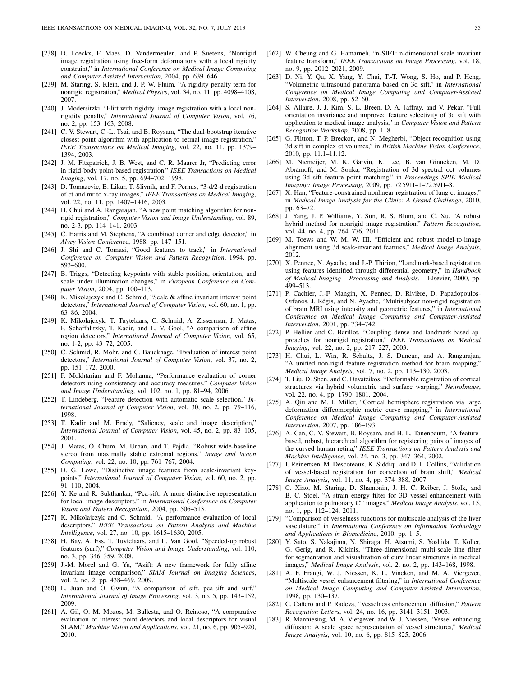- [238] D. Loeckx, F. Maes, D. Vandermeulen, and P. Suetens, "Nonrigid image registration using free-form deformations with a local rigidity constraint," in *International Conference on Medical Image Computing and Computer-Assisted Intervention*, 2004, pp. 639–646.
- [239] M. Staring, S. Klein, and J. P. W. Pluim, "A rigidity penalty term for nonrigid registration," *Medical Physics*, vol. 34, no. 11, pp. 4098–4108, 2007.
- [240] J. Modersitzki, "Flirt with rigidity–image registration with a local nonrigidity penalty," *International Journal of Computer Vision*, vol. 76, no. 2, pp. 153–163, 2008.
- [241] C. V. Stewart, C.-L. Tsai, and B. Roysam, "The dual-bootstrap iterative closest point algorithm with application to retinal image registration,' *IEEE Transactions on Medical Imaging*, vol. 22, no. 11, pp. 1379– 1394, 2003.
- [242] J. M. Fitzpatrick, J. B. West, and C. R. Maurer Jr, "Predicting error in rigid-body point-based registration," *IEEE Transactions on Medical Imaging*, vol. 17, no. 5, pp. 694–702, 1998.
- [243] D. Tomazevic, B. Likar, T. Slivnik, and F. Pernus, "3-d/2-d registration of ct and mr to x-ray images," *IEEE Transactions on Medical Imaging*, vol. 22, no. 11, pp. 1407–1416, 2003.
- [244] H. Chui and A. Rangarajan, "A new point matching algorithm for nonrigid registration," *Computer Vision and Image Understanding*, vol. 89, no. 2-3, pp. 114–141, 2003.
- [245] C. Harris and M. Stephens, "A combined corner and edge detector," in *Alvey Vision Conference*, 1988, pp. 147–151.
- [246] J. Shi and C. Tomasi, "Good features to track," in *International Conference on Computer Vision and Pattern Recognition*, 1994, pp. 593–600.
- [247] B. Triggs, "Detecting keypoints with stable position, orientation, and scale under illumination changes," in *European Conference on Computer Vision*, 2004, pp. 100–113.
- [248] K. Mikolajczyk and C. Schmid, "Scale & affine invariant interest point detectors," *International Journal of Computer Vision*, vol. 60, no. 1, pp. 63–86, 2004.
- [249] K. Mikolajczyk, T. Tuytelaars, C. Schmid, A. Zisserman, J. Matas, F. Schaffalitzky, T. Kadir, and L. V. Gool, "A comparison of affine region detectors," *International Journal of Computer Vision*, vol. 65, no. 1-2, pp. 43–72, 2005.
- [250] C. Schmid, R. Mohr, and C. Bauckhage, "Evaluation of interest point detectors," *International Journal of Computer Vision*, vol. 37, no. 2, pp. 151–172, 2000.
- [251] F. Mokhtarian and F. Mohanna, "Performance evaluation of corner detectors using consistency and accuracy measures," *Computer Vision and Image Understanding*, vol. 102, no. 1, pp. 81–94, 2006.
- [252] T. Lindeberg, "Feature detection with automatic scale selection," *International Journal of Computer Vision*, vol. 30, no. 2, pp. 79–116, 1998.
- [253] T. Kadir and M. Brady, "Saliency, scale and image description," *International Journal of Computer Vision*, vol. 45, no. 2, pp. 83–105, 2001.
- [254] J. Matas, O. Chum, M. Urban, and T. Pajdla, "Robust wide-baseline stereo from maximally stable extremal regions," *Image and Vision Computing*, vol. 22, no. 10, pp. 761–767, 2004.
- [255] D. G. Lowe, "Distinctive image features from scale-invariant keypoints," *International Journal of Computer Vision*, vol. 60, no. 2, pp. 91–110, 2004.
- [256] Y. Ke and R. Sukthankar, "Pca-sift: A more distinctive representation for local image descriptors," in *International Conference on Computer Vision and Pattern Recognition*, 2004, pp. 506–513.
- [257] K. Mikolajczyk and C. Schmid, "A performance evaluation of local descriptors," *IEEE Transactions on Pattern Analysis and Machine Intelligence*, vol. 27, no. 10, pp. 1615–1630, 2005.
- [258] H. Bay, A. Ess, T. Tuytelaars, and L. Van Gool, "Speeded-up robust features (surf)," *Computer Vision and Image Understanding*, vol. 110, no. 3, pp. 346–359, 2008.
- [259] J.-M. Morel and G. Yu, "Asift: A new framework for fully affine invariant image comparison," *SIAM Journal on Imaging Sciences*, vol. 2, no. 2, pp. 438–469, 2009.
- [260] L. Juan and O. Gwun, "A comparison of sift, pca-sift and surf," *International Journal of Image Processing*, vol. 3, no. 5, pp. 143–152, 2009.
- [261] A. Gil, O. M. Mozos, M. Ballesta, and O. Reinoso, "A comparative evaluation of interest point detectors and local descriptors for visual SLAM," *Machine Vision and Applications*, vol. 21, no. 6, pp. 905–920, 2010.
- [262] W. Cheung and G. Hamarneh, "n-SIFT: n-dimensional scale invariant feature transform," *IEEE Transactions on Image Processing*, vol. 18, no. 9, pp. 2012–2021, 2009.
- [263] D. Ni, Y. Qu, X. Yang, Y. Chui, T.-T. Wong, S. Ho, and P. Heng, "Volumetric ultrasound panorama based on 3d sift," in *International Conference on Medical Image Computing and Computer-Assisted Intervention*, 2008, pp. 52–60.
- [264] S. Allaire, J. J. Kim, S. L. Breen, D. A. Jaffray, and V. Pekar, "Full orientation invariance and improved feature selectivity of 3d sift with application to medical image analysis," in *Computer Vision and Pattern Recognition Workshop*, 2008, pp. 1–8.
- [265] G. Flitton, T. P. Breckon, and N. Megherbi, "Object recognition using 3d sift in complex ct volumes," in *British Machine Vision Conference*, 2010, pp. 11.1–11.12.
- [266] M. Niemeijer, M. K. Garvin, K. Lee, B. van Ginneken, M. D. Abrámoff, and M. Sonka, "Registration of 3d spectral oct volumes using 3d sift feature point matching," in *Proceedings SPIE Medical Imaging: Image Processing*, 2009, pp. 72 591I–1–72 591I–8.
- [267] X. Han, "Feature-constrained nonlinear registration of lung ct images," in *Medical Image Analysis for the Clinic: A Grand Challenge*, 2010, pp. 63–72.
- [268] J. Yang, J. P. Williams, Y. Sun, R. S. Blum, and C. Xu, "A robust hybrid method for nonrigid image registration," *Pattern Recognition*, vol. 44, no. 4, pp. 764–776, 2011.
- [269] M. Toews and W. M. W. III, "Efficient and robust model-to-image alignment using 3d scale-invariant features," *Medical Image Analysis*, 2012.
- [270] X. Pennec, N. Ayache, and J.-P. Thirion, "Landmark-based registration using features identified through differential geometry," in *Handbook of Medical Imaging - Processing and Analysis*. Elsevier, 2000, pp. 499–513.
- [271] P. Cachier, J.-F. Mangin, X. Pennec, D. Rivière, D. Papadopoulos-Orfanos, J. Regis, and N. Ayache, "Multisubject non-rigid registration ´ of brain MRI using intensity and geometric features," in *International Conference on Medical Image Computing and Computer-Assisted Intervention*, 2001, pp. 734–742.
- [272] P. Hellier and C. Barillot, "Coupling dense and landmark-based approaches for nonrigid registration," *IEEE Transactions on Medical Imaging*, vol. 22, no. 2, pp. 217–227, 2003.
- [273] H. Chui, L. Win, R. Schultz, J. S. Duncan, and A. Rangarajan, "A unified non-rigid feature registration method for brain mapping," *Medical Image Analysis*, vol. 7, no. 2, pp. 113–130, 2003.
- [274] T. Liu, D. Shen, and C. Davatzikos, "Deformable registration of cortical structures via hybrid volumetric and surface warping," *NeuroImage*, vol. 22, no. 4, pp. 1790–1801, 2004.
- [275] A. Qiu and M. I. Miller, "Cortical hemisphere registration via large deformation diffeomorphic metric curve mapping," in *International Conference on Medical Image Computing and Computer-Assisted Intervention*, 2007, pp. 186–193.
- [276] A. Can, C. V. Stewart, B. Roysam, and H. L. Tanenbaum, "A featurebased, robust, hierarchical algorithm for registering pairs of images of the curved human retina," *IEEE Transactions on Pattern Analysis and Machine Intelligence*, vol. 24, no. 3, pp. 347–364, 2002.
- [277] I. Reinertsen, M. Descoteaux, K. Siddiqi, and D. L. Collins, "Validation of vessel-based registration for correction of brain shift," *Medical Image Analysis*, vol. 11, no. 4, pp. 374–388, 2007.
- [278] C. Xiao, M. Staring, D. Shamonin, J. H. C. Reiber, J. Stolk, and B. C. Stoel, "A strain energy filter for 3D vessel enhancement with application to pulmonary CT images," *Medical Image Analysis*, vol. 15, no. 1, pp. 112–124, 2011.
- [279] "Comparison of vesselness functions for multiscale analysis of the liver vasculature," in *International Conference on Information Technology and Applications in Biomedicine*, 2010, pp. 1–5.
- [280] Y. Sato, S. Nakajima, N. Shiraga, H. Atsumi, S. Yoshida, T. Koller, G. Gerig, and R. Kikinis, "Three-dimensional multi-scale line filter for segmentation and visualization of curvilinear structures in medical images," *Medical Image Analysis*, vol. 2, no. 2, pp. 143–168, 1998.
- [281] A. F. Frangi, W. J. Niessen, K. L. Vincken, and M. A. Viergever, "Multiscale vessel enhancement filtering," in *International Conference on Medical Image Computing and Computer-Assisted Intervention*, 1998, pp. 130–137.
- [282] C. Cañero and P. Radeva, "Vesselness enhancement diffusion," Pattern *Recognition Letters*, vol. 24, no. 16, pp. 3141–3151, 2003.
- [283] R. Manniesing, M. A. Viergever, and W. J. Niessen, "Vessel enhancing diffusion: A scale space representation of vessel structures," *Medical Image Analysis*, vol. 10, no. 6, pp. 815–825, 2006.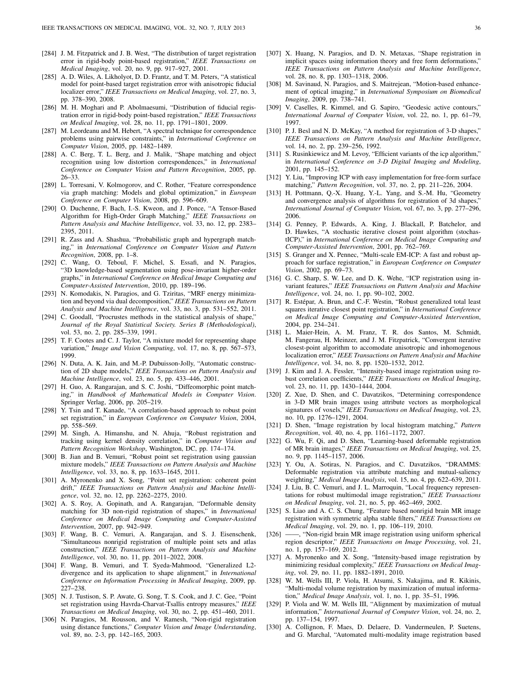- [284] J. M. Fitzpatrick and J. B. West, "The distribution of target registration error in rigid-body point-based registration," *IEEE Transactions on Medical Imaging*, vol. 20, no. 9, pp. 917–927, 2001.
- [285] A. D. Wiles, A. Likholyot, D. D. Frantz, and T. M. Peters, "A statistical model for point-based target registration error with anisotropic fiducial localizer error," *IEEE Transactions on Medical Imaging*, vol. 27, no. 3, pp. 378–390, 2008.
- [286] M. H. Moghari and P. Abolmaesumi, "Distribution of fiducial registration error in rigid-body point-based registration," *IEEE Transactions on Medical Imaging*, vol. 28, no. 11, pp. 1791–1801, 2009.
- [287] M. Leordeanu and M. Hebert, "A spectral technique for correspondence problems using pairwise constraints," in *International Conference on Computer Vision*, 2005, pp. 1482–1489.
- [288] A. C. Berg, T. L. Berg, and J. Malik, "Shape matching and object recognition using low distortion correspondences," in *International Conference on Computer Vision and Pattern Recognition*, 2005, pp. 26–33.
- [289] L. Torresani, V. Kolmogorov, and C. Rother, "Feature correspondence via graph matching: Models and global optimization," in *European Conference on Computer Vision*, 2008, pp. 596–609.
- [290] O. Duchenne, F. Bach, I.-S. Kweon, and J. Ponce, "A Tensor-Based Algorithm for High-Order Graph Matching," *IEEE Transactions on Pattern Analysis and Machine Intelligence*, vol. 33, no. 12, pp. 2383– 2395, 2011.
- [291] R. Zass and A. Shashua, "Probabilistic graph and hypergraph matching," in *International Conference on Computer Vision and Pattern Recognition*, 2008, pp. 1–8.
- [292] C. Wang, O. Teboul, F. Michel, S. Essafi, and N. Paragios, "3D knowledge-based segmentation using pose-invariant higher-order graphs," in *International Conference on Medical Image Computing and Computer-Assisted Intervention*, 2010, pp. 189–196.
- [293] N. Komodakis, N. Paragios, and G. Tziritas, "MRF energy minimization and beyond via dual decomposition," *IEEE Transactions on Pattern Analysis and Machine Intelligence*, vol. 33, no. 3, pp. 531–552, 2011.
- [294] C. Goodall, "Procrustes methods in the statistical analysis of shape," *Journal of the Royal Statistical Society. Series B (Methodological)*, vol. 53, no. 2, pp. 285–339, 1991.
- [295] T. F. Cootes and C. J. Taylor, "A mixture model for representing shape variation," *Image and Vision Computing*, vol. 17, no. 8, pp. 567–573, 1999.
- [296] N. Duta, A. K. Jain, and M.-P. Dubuisson-Jolly, "Automatic construction of 2D shape models," *IEEE Transactions on Pattern Analysis and Machine Intelligence*, vol. 23, no. 5, pp. 433–446, 2001.
- H. Guo, A. Rangarajan, and S. C. Joshi, "Diffeomorphic point matching," in *Handbook of Mathematical Models in Computer Vision*. Springer Verlag, 2006, pp. 205–219.
- [298] Y. Tsin and T. Kanade, "A correlation-based approach to robust point set registration," in *European Conference on Computer Vision*, 2004, pp. 558–569.
- [299] M. Singh, A. Himanshu, and N. Ahuja, "Robust registration and tracking using kernel density correlation," in *Computer Vision and Pattern Recognition Workshop*, Washington, DC, pp. 174–174.
- [300] B. Jian and B. Vemuri, "Robust point set registration using gaussian mixture models," *IEEE Transactions on Pattern Analysis and Machine Intelligence*, vol. 33, no. 8, pp. 1633–1645, 2011.
- [301] A. Myronenko and X. Song, "Point set registration: coherent point drift," *IEEE Transactions on Pattern Analysis and Machine Intelligence*, vol. 32, no. 12, pp. 2262–2275, 2010.
- [302] A. S. Roy, A. Gopinath, and A. Rangarajan, "Deformable density matching for 3D non-rigid registration of shapes," in *International Conference on Medical Image Computing and Computer-Assisted Intervention*, 2007, pp. 942–949.
- [303] F. Wang, B. C. Vemuri, A. Rangarajan, and S. J. Eisenschenk, "Simultaneous nonrigid registration of multiple point sets and atlas construction," *IEEE Transactions on Pattern Analysis and Machine Intelligence*, vol. 30, no. 11, pp. 2011–2022, 2008.
- [304] F. Wang, B. Vemuri, and T. Syeda-Mahmood, "Generalized L2 divergence and its application to shape alignment," in *International Conference on Information Processing in Medical Imaging*, 2009, pp. 227–238.
- [305] N. J. Tustison, S. P. Awate, G. Song, T. S. Cook, and J. C. Gee, "Point set registration using Havrda-Charvat-Tsallis entropy measures," *IEEE Transactions on Medical Imaging*, vol. 30, no. 2, pp. 451–460, 2011.
- [306] N. Paragios, M. Rousson, and V. Ramesh, "Non-rigid registration using distance functions," *Computer Vision and Image Understanding*, vol. 89, no. 2-3, pp. 142–165, 2003.
- [307] X. Huang, N. Paragios, and D. N. Metaxas, "Shape registration in implicit spaces using information theory and free form deformations," *IEEE Transactions on Pattern Analysis and Machine Intelligence*, vol. 28, no. 8, pp. 1303–1318, 2006.
- [308] M. Savinaud, N. Paragios, and S. Maitrejean, "Motion-based enhancement of optical imaging," in *International Symposium on Biomedical Imaging*, 2009, pp. 738–741.
- [309] V. Caselles, R. Kimmel, and G. Sapiro, "Geodesic active contours," *International Journal of Computer Vision*, vol. 22, no. 1, pp. 61–79, 1997.
- [310] P. J. Besl and N. D. McKay, "A method for registration of 3-D shapes," *IEEE Transactions on Pattern Analysis and Machine Intelligence*, vol. 14, no. 2, pp. 239–256, 1992.
- [311] S. Rusinkiewicz and M. Levoy, "Efficient variants of the icp algorithm," in *International Conference on 3-D Digital Imaging and Modeling*, 2001, pp. 145–152.
- [312] Y. Liu, "Improving ICP with easy implementation for free-form surface matching," *Pattern Recognition*, vol. 37, no. 2, pp. 211–226, 2004.
- [313] H. Pottmann, Q.-X. Huang, Y.-L. Yang, and S.-M. Hu, "Geometry and convergence analysis of algorithms for registration of 3d shapes, *International Journal of Computer Vision*, vol. 67, no. 3, pp. 277–296, 2006.
- [314] G. Penney, P. Edwards, A. King, J. Blackall, P. Batchelor, and D. Hawkes, "A stochastic iterative closest point algorithm (stochastICP)," in *International Conference on Medical Image Computing and Computer-Assisted Intervention*, 2001, pp. 762–769.
- [315] S. Granger and X. Pennec, "Multi-scale EM-ICP: A fast and robust approach for surface registration," in *European Conference on Computer Vision*, 2002, pp. 69–73.
- [316] G. C. Sharp, S. W. Lee, and D. K. Wehe, "ICP registration using invariant features," *IEEE Transactions on Pattern Analysis and Machine Intelligence*, vol. 24, no. 1, pp. 90–102, 2002.
- [317] R. Estépar, A. Brun, and C.-F. Westin, "Robust generalized total least squares iterative closest point registration," in *International Conference on Medical Image Computing and Computer-Assisted Intervention*, 2004, pp. 234–241.
- [318] L. Maier-Hein, A. M. Franz, T. R. dos Santos, M. Schmidt, M. Fangerau, H. Meinzer, and J. M. Fitzpatrick, "Convergent iterative closest-point algorithm to accomodate anisotropic and inhomogenous localization error," *IEEE Transactions on Pattern Analysis and Machine Intelligence*, vol. 34, no. 8, pp. 1520–1532, 2012.
- [319] J. Kim and J. A. Fessler, "Intensity-based image registration using robust correlation coefficients," *IEEE Transactions on Medical Imaging*, vol. 23, no. 11, pp. 1430–1444, 2004.
- [320] Z. Xue, D. Shen, and C. Davatzikos, "Determining correspondence in 3-D MR brain images using attribute vectors as morphological signatures of voxels," *IEEE Transactions on Medical Imaging*, vol. 23, no. 10, pp. 1276–1291, 2004.
- [321] D. Shen, "Image registration by local histogram matching," *Pattern Recognition*, vol. 40, no. 4, pp. 1161–1172, 2007.
- [322] G. Wu, F. Qi, and D. Shen, "Learning-based deformable registration of MR brain images," *IEEE Transactions on Medical Imaging*, vol. 25, no. 9, pp. 1145–1157, 2006.
- [323] Y. Ou, A. Sotiras, N. Paragios, and C. Davatzikos, "DRAMMS: Deformable registration via attribute matching and mutual-saliency weighting," *Medical Image Analysis*, vol. 15, no. 4, pp. 622–639, 2011.
- [324] J. Liu, B. C. Vemuri, and J. L. Marroquin, "Local frequency representations for robust multimodal image registration," *IEEE Transactions on Medical Imaging*, vol. 21, no. 5, pp. 462–469, 2002.
- [325] S. Liao and A. C. S. Chung, "Feature based nonrigid brain MR image registration with symmetric alpha stable filters," *IEEE Transactions on Medical Imaging*, vol. 29, no. 1, pp. 106–119, 2010.
- [326] ——, "Non-rigid brain MR image registration using uniform spherical region descriptor," *IEEE Transactions on Image Processing*, vol. 21, no. 1, pp. 157–169, 2012.
- [327] A. Myronenko and X. Song, "Intensity-based image registration by minimizing residual complexity," *IEEE Transactions on Medical Imaging*, vol. 29, no. 11, pp. 1882–1891, 2010.
- [328] W. M. Wells III, P. Viola, H. Atsumi, S. Nakajima, and R. Kikinis, "Multi-modal volume registration by maximization of mutual information," *Medical Image Analysis*, vol. 1, no. 1, pp. 35–51, 1996.
- [329] P. Viola and W. M. Wells III, "Alignment by maximization of mutual information," *International Journal of Computer Vision*, vol. 24, no. 2, pp. 137–154, 1997.
- [330] A. Collignon, F. Maes, D. Delaere, D. Vandermeulen, P. Suetens, and G. Marchal, "Automated multi-modality image registration based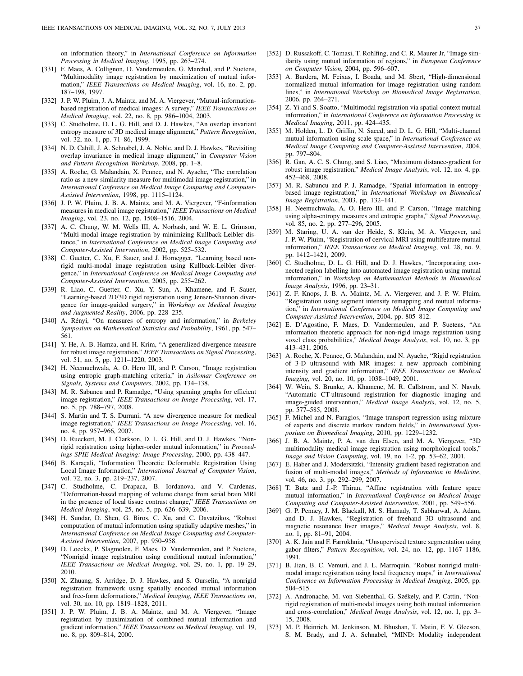on information theory," in *International Conference on Information Processing in Medical Imaging*, 1995, pp. 263–274.

- [331] F. Maes, A. Collignon, D. Vandermeulen, G. Marchal, and P. Suetens, "Multimodality image registration by maximization of mutual information," *IEEE Transactions on Medical Imaging*, vol. 16, no. 2, pp. 187–198, 1997.
- [332] J. P. W. Pluim, J. A. Maintz, and M. A. Viergever, "Mutual-informationbased registration of medical images: A survey," *IEEE Transactions on Medical Imaging*, vol. 22, no. 8, pp. 986–1004, 2003.
- [333] C. Studholme, D. L. G. Hill, and D. J. Hawkes, "An overlap invariant entropy measure of 3D medical image alignment," *Pattern Recognition*, vol. 32, no. 1, pp. 71–86, 1999.
- [334] N. D. Cahill, J. A. Schnabel, J. A. Noble, and D. J. Hawkes, "Revisiting overlap invariance in medical image alignment," in *Computer Vision and Pattern Recognition Workshop*, 2008, pp. 1–8.
- [335] A. Roche, G. Malandain, X. Pennec, and N. Ayache, "The correlation ratio as a new similarity measure for multimodal image registration," in *International Conference on Medical Image Computing and Computer-Assisted Intervention*, 1998, pp. 1115–1124.
- [336] J. P. W. Pluim, J. B. A. Maintz, and M. A. Viergever, "F-information measures in medical image registration," *IEEE Transactions on Medical Imaging*, vol. 23, no. 12, pp. 1508–1516, 2004.
- [337] A. C. Chung, W. M. Wells III, A. Norbash, and W. E. L. Grimson, "Multi-modal image registration by minimizing Kullback-Leibler distance," in *International Conference on Medical Image Computing and Computer-Assisted Intervention*, 2002, pp. 525–532.
- [338] C. Guetter, C. Xu, F. Sauer, and J. Hornegger, "Learning based nonrigid multi-modal image registration using Kullback-Leibler divergence," in *International Conference on Medical Image Computing and Computer-Assisted Intervention*, 2005, pp. 255–262.
- [339] R. Liao, C. Guetter, C. Xu, Y. Sun, A. Khamene, and F. Sauer, "Learning-based 2D/3D rigid registration using Jensen-Shannon divergence for image-guided surgery," in *Workshop on Medical Imaging and Augmented Reality*, 2006, pp. 228–235.
- [340] A. Rényi, "On measures of entropy and information," in Berkeley *Symposium on Mathematical Statistics and Probability*, 1961, pp. 547– 561.
- [341] Y. He, A. B. Hamza, and H. Krim, "A generalized divergence measure for robust image registration," *IEEE Transactions on Signal Processing*, vol. 51, no. 5, pp. 1211–1220, 2003.
- [342] H. Neemuchwala, A. O. Hero III, and P. Carson, "Image registration using entropic graph-matching criteria," in *Asilomar Conference on Signals, Systems and Computers*, 2002, pp. 134–138.
- [343] M. R. Sabuncu and P. Ramadge, "Using spanning graphs for efficient image registration," *IEEE Transactions on Image Processing*, vol. 17, no. 5, pp. 788–797, 2008.
- [344] S. Martin and T. S. Durrani, "A new divergence measure for medical image registration," *IEEE Transactions on Image Processing*, vol. 16, no. 4, pp. 957–966, 2007.
- [345] D. Rueckert, M. J. Clarkson, D. L. G. Hill, and D. J. Hawkes, "Nonrigid registration using higher-order mutual information," in *Proceedings SPIE Medical Imaging: Image Processing*, 2000, pp. 438–447.
- [346] B. Karaçali, "Information Theoretic Deformable Registration Using Local Image Information," *International Journal of Computer Vision*, vol. 72, no. 3, pp. 219–237, 2007.
- [347] C. Studholme, C. Drapaca, B. Iordanova, and V. Cardenas, "Deformation-based mapping of volume change from serial brain MRI in the presence of local tissue contrast change," *IEEE Transactions on Medical Imaging*, vol. 25, no. 5, pp. 626–639, 2006.
- [348] H. Sundar, D. Shen, G. Biros, C. Xu, and C. Davatzikos, "Robust computation of mutual information using spatially adaptive meshes," in *International Conference on Medical Image Computing and Computer-Assisted Intervention*, 2007, pp. 950–958.
- [349] D. Loeckx, P. Slagmolen, F. Maes, D. Vandermeulen, and P. Suetens, "Nonrigid image registration using conditional mutual information," *IEEE Transactions on Medical Imaging*, vol. 29, no. 1, pp. 19–29, 2010.
- [350] X. Zhuang, S. Arridge, D. J. Hawkes, and S. Ourselin, "A nonrigid registration framework using spatially encoded mutual information and free-form deformations," *Medical Imaging, IEEE Transactions on*, vol. 30, no. 10, pp. 1819–1828, 2011.
- [351] J. P. W. Pluim, J. B. A. Maintz, and M. A. Viergever, "Image registration by maximization of combined mutual information and gradient information," *IEEE Transactions on Medical Imaging*, vol. 19, no. 8, pp. 809–814, 2000.
- [352] D. Russakoff, C. Tomasi, T. Rohlfing, and C. R. Maurer Jr, "Image similarity using mutual information of regions," in *European Conference on Computer Vision*, 2004, pp. 596–607.
- [353] A. Bardera, M. Feixas, I. Boada, and M. Sbert, "High-dimensional normalized mutual information for image registration using random lines," in *International Workshop on Biomedical Image Registration*, 2006, pp. 264–271.
- [354] Z. Yi and S. Soatto, "Multimodal registration via spatial-context mutual information," in *International Conference on Information Processing in Medical Imaging*, 2011, pp. 424–435.
- [355] M. Holden, L. D. Griffin, N. Saeed, and D. L. G. Hill, "Multi-channel mutual information using scale space," in *International Conference on Medical Image Computing and Computer-Assisted Intervention*, 2004, pp. 797–804.
- [356] R. Gan, A. C. S. Chung, and S. Liao, "Maximum distance-gradient for robust image registration," *Medical Image Analysis*, vol. 12, no. 4, pp. 452–468, 2008.
- [357] M. R. Sabuncu and P. J. Ramadge, "Spatial information in entropybased image registration," in *International Workshop on Biomedical Image Registration*, 2003, pp. 132–141.
- [358] H. Neemuchwala, A. O. Hero III, and P. Carson, "Image matching using alpha-entropy measures and entropic graphs," *Signal Processing*, vol. 85, no. 2, pp. 277–296, 2005.
- [359] M. Staring, U. A. van der Heide, S. Klein, M. A. Viergever, and J. P. W. Pluim, "Registration of cervical MRI using multifeature mutual information," *IEEE Transactions on Medical Imaging*, vol. 28, no. 9, pp. 1412–1421, 2009.
- [360] C. Studholme, D. L. G. Hill, and D. J. Hawkes, "Incorporating connected region labelling into automated image registration using mutual information," in *Workshop on Mathematical Methods in Biomedical Image Analysis*, 1996, pp. 23–31.
- [361] Z. F. Knops, J. B. A. Maintz, M. A. Viergever, and J. P. W. Pluim, "Registration using segment intensity remapping and mutual information," in *International Conference on Medical Image Computing and Computer-Assisted Intervention*, 2004, pp. 805–812.
- [362] E. D'Agostino, F. Maes, D. Vandermeulen, and P. Suetens, "An information theoretic approach for non-rigid image registration using voxel class probabilities," *Medical Image Analysis*, vol. 10, no. 3, pp. 413–431, 2006.
- [363] A. Roche, X. Pennec, G. Malandain, and N. Ayache, "Rigid registration of 3-D ultrasound with MR images: a new approach combining intensity and gradient information," *IEEE Transactions on Medical Imaging*, vol. 20, no. 10, pp. 1038–1049, 2001.
- [364] W. Wein, S. Brunke, A. Khamene, M. R. Callstrom, and N. Navab, "Automatic CT-ultrasound registration for diagnostic imaging and image-guided intervention," *Medical Image Analysis*, vol. 12, no. 5, pp. 577–585, 2008.
- [365] F. Michel and N. Paragios, "Image transport regression using mixture of experts and discrete markov random fields," in *International Symposium on Biomedical Imaging*, 2010, pp. 1229–1232.
- [366] J. B. A. Maintz, P. A. van den Elsen, and M. A. Viergever, "3D multimodality medical image registration using morphological tools," *Image and Vision Computing*, vol. 19, no. 1-2, pp. 53–62, 2001.
- [367] E. Haber and J. Modersitzki, "Intensity gradient based registration and fusion of multi-modal images," *Methods of Information in Medicine*, vol. 46, no. 3, pp. 292–299, 2007.
- [368] T. Butz and J.-P. Thiran, "Affine registration with feature space mutual information," in *International Conference on Medical Image Computing and Computer-Assisted Intervention*, 2001, pp. 549–556.
- [369] G. P. Penney, J. M. Blackall, M. S. Hamady, T. Sabharwal, A. Adam, and D. J. Hawkes, "Registration of freehand 3D ultrasound and magnetic resonance liver images," *Medical Image Analysis*, vol. 8, no. 1, pp. 81–91, 2004.
- [370] A. K. Jain and F. Farrokhnia, "Unsupervised texture segmentation using gabor filters," *Pattern Recognition*, vol. 24, no. 12, pp. 1167–1186, 1991.
- [371] B. Jian, B. C. Vemuri, and J. L. Marroquin, "Robust nonrigid multimodal image registration using local frequency maps," in *International Conference on Information Processing in Medical Imaging*, 2005, pp. 504–515.
- [372] A. Andronache, M. von Siebenthal, G. Székely, and P. Cattin, "Nonrigid registration of multi-modal images using both mutual information and cross-correlation," *Medical Image Analysis*, vol. 12, no. 1, pp. 3– 15, 2008.
- [373] M. P. Heinrich, M. Jenkinson, M. Bhushan, T. Matin, F. V. Gleeson, S. M. Brady, and J. A. Schnabel, "MIND: Modality independent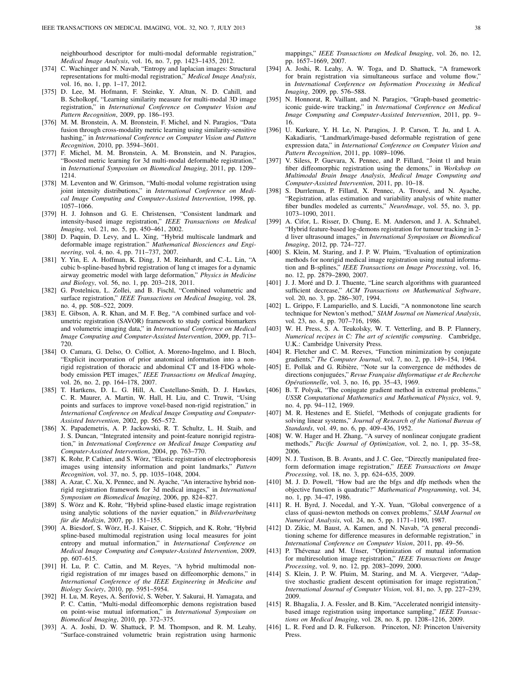neighbourhood descriptor for multi-modal deformable registration," *Medical Image Analysis*, vol. 16, no. 7, pp. 1423–1435, 2012.

- [374] C. Wachinger and N. Navab, "Entropy and laplacian images: Structural representations for multi-modal registration," *Medical Image Analysis*, vol. 16, no. 1, pp. 1–17, 2012.
- [375] D. Lee, M. Hofmann, F. Steinke, Y. Altun, N. D. Cahill, and B. Scholkopf, "Learning similarity measure for multi-modal 3D image registration," in *International Conference on Computer Vision and Pattern Recognition*, 2009, pp. 186–193.
- [376] M. M. Bronstein, A. M. Bronstein, F. Michel, and N. Paragios, "Data fusion through cross-modality metric learning using similarity-sensitive hashing," in *International Conference on Computer Vision and Pattern Recognition*, 2010, pp. 3594–3601.
- [377] F. Michel, M. M. Bronstein, A. M. Bronstein, and N. Paragios, "Boosted metric learning for 3d multi-modal deformable registration," in *International Symposium on Biomedical Imaging*, 2011, pp. 1209– 1214.
- [378] M. Leventon and W. Grimson, "Multi-modal volume registration using joint intensity distributions," in *International Conference on Medical Image Computing and Computer-Assisted Intervention*, 1998, pp. 1057–1066.
- [379] H. J. Johnson and G. E. Christensen, "Consistent landmark and intensity-based image registration," *IEEE Transactions on Medical Imaging*, vol. 21, no. 5, pp. 450–461, 2002.
- [380] D. Paquin, D. Levy, and L. Xing, "Hybrid multiscale landmark and deformable image registration." *Mathematical Biosciences and Engineering*, vol. 4, no. 4, pp. 711–737, 2007.
- [381] Y. Yin, E. A. Hoffman, K. Ding, J. M. Reinhardt, and C.-L. Lin, "A cubic b-spline-based hybrid registration of lung ct images for a dynamic airway geometric model with large deformation," *Physics in Medicine and Biology*, vol. 56, no. 1, pp. 203–218, 2011.
- [382] G. Postelnicu, L. Zollei, and B. Fischl, "Combined volumetric and surface registration," *IEEE Transactions on Medical Imaging*, vol. 28, no. 4, pp. 508–522, 2009.
- [383] E. Gibson, A. R. Khan, and M. F. Beg, "A combined surface and volumetric registration (SAVOR) framework to study cortical biomarkers and volumetric imaging data," in *International Conference on Medical Image Computing and Computer-Assisted Intervention*, 2009, pp. 713– 720.
- [384] O. Camara, G. Delso, O. Colliot, A. Moreno-Ingelmo, and I. Bloch, "Explicit incorporation of prior anatomical information into a nonrigid registration of thoracic and abdominal CT and 18-FDG wholebody emission PET images," *IEEE Transactions on Medical Imaging*, vol. 26, no. 2, pp. 164–178, 2007.
- [385] T. Hartkens, D. L. G. Hill, A. Castellano-Smith, D. J. Hawkes, C. R. Maurer, A. Martin, W. Hall, H. Liu, and C. Truwit, "Using points and surfaces to improve voxel-based non-rigid registration," in *International Conference on Medical Image Computing and Computer-Assisted Intervention*, 2002, pp. 565–572.
- [386] X. Papademetris, A. P. Jackowski, R. T. Schultz, L. H. Staib, and J. S. Duncan, "Integrated intensity and point-feature nonrigid registration," in *International Conference on Medical Image Computing and Computer-Assisted Intervention*, 2004, pp. 763–770.
- [387] K. Rohr, P. Cathier, and S. Wörz, "Elastic registration of electrophoresis images using intensity information and point landmarks," *Pattern Recognition*, vol. 37, no. 5, pp. 1035–1048, 2004.
- [388] A. Azar, C. Xu, X. Pennec, and N. Ayache, "An interactive hybrid nonrigid registration framework for 3d medical images," in *International Symposium on Biomedical Imaging*, 2006, pp. 824–827.
- [389] S. Wörz and K. Rohr, "Hybrid spline-based elastic image registration using analytic solutions of the navier equation," in *Bildverarbeitung für die Medizin*, 2007, pp. 151-155.
- [390] A. Biesdorf, S. Wörz, H.-J. Kaiser, C. Stippich, and K. Rohr, "Hybrid spline-based multimodal registration using local measures for joint entropy and mutual information," in *International Conference on Medical Image Computing and Computer-Assisted Intervention*, 2009, pp. 607–615.
- [391] H. Lu, P. C. Cattin, and M. Reyes, "A hybrid multimodal nonrigid registration of mr images based on diffeomorphic demons," in *International Conference of the IEEE Engineering in Medicine and Biology Society*, 2010, pp. 5951–5954.
- [392] H. Lu, M. Reyes, A. Serifović, S. Weber, Y. Sakurai, H. Yamagata, and P. C. Cattin, "Multi-modal diffeomorphic demons registration based on point-wise mutual information," in *International Symposium on Biomedical Imaging*, 2010, pp. 372–375.
- [393] A. A. Joshi, D. W. Shattuck, P. M. Thompson, and R. M. Leahy, "Surface-constrained volumetric brain registration using harmonic

mappings," *IEEE Transactions on Medical Imaging*, vol. 26, no. 12, pp. 1657–1669, 2007.

- [394] A. Joshi, R. Leahy, A. W. Toga, and D. Shattuck, "A framework for brain registration via simultaneous surface and volume flow," in *International Conference on Information Processing in Medical Imaging*, 2009, pp. 576–588.
- [395] N. Honnorat, R. Vaillant, and N. Paragios, "Graph-based geometriciconic guide-wire tracking," in *International Conference on Medical Image Computing and Computer-Assisted Intervention*, 2011, pp. 9– 16.
- [396] U. Kurkure, Y. H. Le, N. Paragios, J. P. Carson, T. Ju, and I. A. Kakadiaris, "Landmark/image-based deformable registration of gene expression data," in *International Conference on Computer Vision and Pattern Recognition*, 2011, pp. 1089–1096.
- [397] V. Siless, P. Guevara, X. Pennec, and P. Fillard, "Joint t1 and brain fiber diffeomorphic registration using the demons," in *Workshop on Multimodal Brain Image Analysis, Medical Image Computing and Computer-Assisted Intervention*, 2011, pp. 10–18.
- [398] S. Durrleman, P. Fillard, X. Pennec, A. Trouvé, and N. Ayache, "Registration, atlas estimation and variability analysis of white matter fiber bundles modeled as currents," *NeuroImage*, vol. 55, no. 3, pp. 1073–1090, 2011.
- [399] A. Cifor, L. Risser, D. Chung, E. M. Anderson, and J. A. Schnabel, "Hybrid feature-based log-demons registration for tumour tracking in 2 d liver ultrasound images," in *International Symposium on Biomedical Imaging*, 2012, pp. 724–727.
- [400] S. Klein, M. Staring, and J. P. W. Pluim, "Evaluation of optimization methods for nonrigid medical image registration using mutual information and B-splines," *IEEE Transactions on Image Processing*, vol. 16, no. 12, pp. 2879–2890, 2007.
- [401] J. J. Moré and D. J. Thuente, "Line search algorithms with guaranteed sufficient decrease," *ACM Transactions on Mathematical Software*, vol. 20, no. 3, pp. 286–307, 1994.
- [402] L. Grippo, F. Lampariello, and S. Lucidi, "A nonmonotone line search technique for Newton's method," *SIAM Journal on Numerical Analysis*, vol. 23, no. 4, pp. 707–716, 1986.
- [403] W. H. Press, S. A. Teukolsky, W. T. Vetterling, and B. P. Flannery, *Numerical recipes in C: The art of scientific computing*. Cambridge, U.K.: Cambridge University Press.
- [404] R. Fletcher and C. M. Reeves, "Function minimization by conjugate gradients," *The Computer Journal*, vol. 7, no. 2, pp. 149–154, 1964.
- [405] E. Pollak and G. Ribière, "Note sur la convergence de méthodes de directions conjuguées," Revue Française dInformatique et de Recherche *Operationnelle ´* , vol. 3, no. 16, pp. 35–43, 1969.
- [406] B. T. Polyak, "The conjugate gradient method in extremal problems," *USSR Computational Mathematics and Mathematical Physics*, vol. 9, no. 4, pp. 94–112, 1969.
- [407] M. R. Hestenes and E. Stiefel, "Methods of conjugate gradients for solving linear systems," *Journal of Research of the National Bureau of Standards*, vol. 49, no. 6, pp. 409–436, 1952.
- [408] W. W. Hager and H. Zhang, "A survey of nonlinear conjugate gradient methods," *Pacific Journal of Optimization*, vol. 2, no. 1, pp. 35–58, 2006.
- [409] N. J. Tustison, B. B. Avants, and J. C. Gee, "Directly manipulated freeform deformation image registration," *IEEE Transactions on Image Processing*, vol. 18, no. 3, pp. 624–635, 2009.
- [410] M. J. D. Powell, "How bad are the bfgs and dfp methods when the objective function is quadratic?" *Mathematical Programming*, vol. 34, no. 1, pp. 34–47, 1986.
- [411] R. H. Byrd, J. Nocedal, and Y.-X. Yuan, "Global convergence of a class of quasi-newton methods on convex problems," *SIAM Journal on Numerical Analysis*, vol. 24, no. 5, pp. 1171–1190, 1987.
- [412] D. Zikic, M. Baust, A. Kamen, and N. Navab, "A general preconditioning scheme for difference measures in deformable registration," in *International Conference on Computer Vision*, 2011, pp. 49–56.
- [413] P. Thévenaz and M. Unser, "Optimization of mutual information for multiresolution image registration," *IEEE Transactions on Image Processing*, vol. 9, no. 12, pp. 2083–2099, 2000.
- [414] S. Klein, J. P. W. Pluim, M. Staring, and M. A. Viergever, "Adaptive stochastic gradient descent optimisation for image registration, *International Journal of Computer Vision*, vol. 81, no. 3, pp. 227–239, 2009.
- [415] R. Bhagalia, J. A. Fessler, and B. Kim, "Accelerated nonrigid intensitybased image registration using importance sampling," *IEEE Transactions on Medical Imaging*, vol. 28, no. 8, pp. 1208–1216, 2009.
- [416] L. R. Ford and D. R. Fulkerson. Princeton, NJ: Princeton University Press.